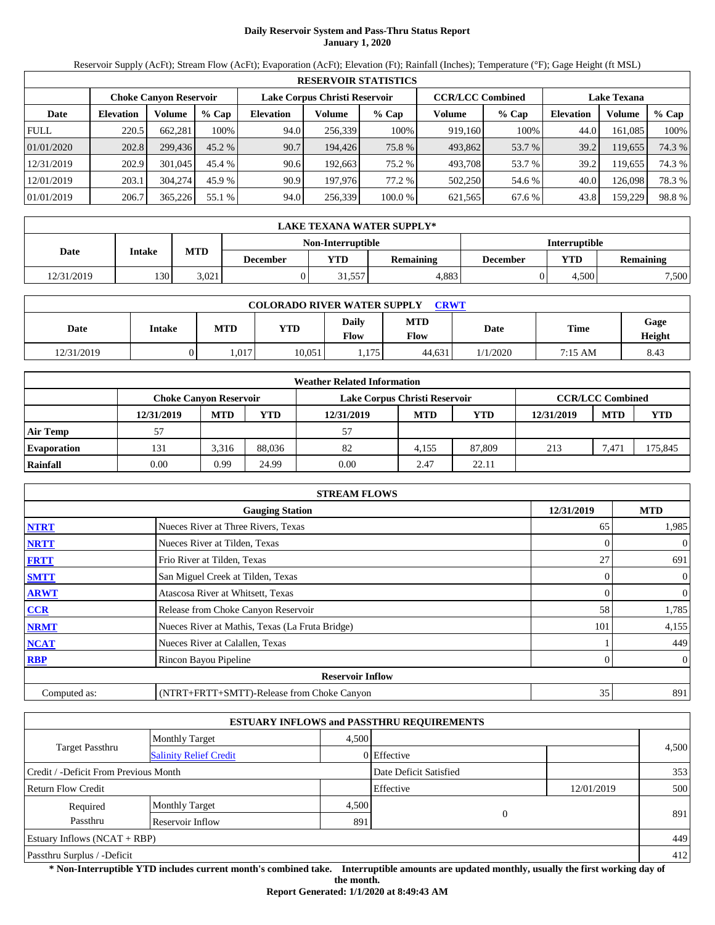# **Daily Reservoir System and Pass-Thru Status Report January 1, 2020**

Reservoir Supply (AcFt); Stream Flow (AcFt); Evaporation (AcFt); Elevation (Ft); Rainfall (Inches); Temperature (°F); Gage Height (ft MSL)

|             | <b>RESERVOIR STATISTICS</b> |                               |          |                  |                               |         |         |                         |                    |         |        |  |
|-------------|-----------------------------|-------------------------------|----------|------------------|-------------------------------|---------|---------|-------------------------|--------------------|---------|--------|--|
|             |                             | <b>Choke Canvon Reservoir</b> |          |                  | Lake Corpus Christi Reservoir |         |         | <b>CCR/LCC Combined</b> | <b>Lake Texana</b> |         |        |  |
| Date        | <b>Elevation</b>            | Volume                        | $%$ Cap  | <b>Elevation</b> | Volume                        | $%$ Cap | Volume  | $%$ Cap                 | <b>Elevation</b>   | Volume  | % Cap  |  |
| <b>FULL</b> | 220.5                       | 662,281                       | 100%     | 94.0             | 256,339                       | 100%    | 919,160 | 100%                    | 44.0               | 161,085 | 100%   |  |
| 01/01/2020  | 202.8                       | 299,436                       | $45.2\%$ | 90.7             | 194.426                       | 75.8 %  | 493,862 | 53.7 %                  | 39.2               | 119,655 | 74.3 % |  |
| 12/31/2019  | 202.9                       | 301,045                       | 45.4 %   | 90.6             | 192.663                       | 75.2 %  | 493.708 | 53.7 %                  | 39.2               | 19,655  | 74.3 % |  |
| 12/01/2019  | 203.1                       | 304.274                       | 45.9 %   | 90.9             | 197,976                       | 77.2 %  | 502,250 | 54.6 %                  | 40.0               | 126,098 | 78.3 % |  |
| 01/01/2019  | 206.7                       | 365,226                       | 55.1 %   | 94.0             | 256,339                       | 100.0%  | 621,565 | 67.6 %                  | 43.8               | 159,229 | 98.8%  |  |

|                                           | <b>LAKE TEXANA WATER SUPPLY*</b> |            |                 |       |                  |                                     |       |       |  |  |  |
|-------------------------------------------|----------------------------------|------------|-----------------|-------|------------------|-------------------------------------|-------|-------|--|--|--|
| <b>Interruptible</b><br>Non-Interruptible |                                  |            |                 |       |                  |                                     |       |       |  |  |  |
| Date                                      | Intake                           | <b>MTD</b> | <b>December</b> | VTD-  | <b>Remaining</b> | YTD<br><b>Remaining</b><br>December |       |       |  |  |  |
| 12/31/2019                                | 130                              | 3.021      |                 | 1.557 | 4.883            |                                     | 4.500 | 7,500 |  |  |  |

| <b>COLORADO RIVER WATER SUPPLY</b><br>CRWT |        |            |        |               |                    |          |         |                |  |  |
|--------------------------------------------|--------|------------|--------|---------------|--------------------|----------|---------|----------------|--|--|
| Date                                       | Intake | <b>MTD</b> | YTD    | Daily<br>Flow | <b>MTD</b><br>Flow | Date     | Time    | Gage<br>Height |  |  |
| 12/31/2019                                 |        | 1.017      | 10,051 | 1.175         | 44.631             | 1/1/2020 | 7:15 AM | 8.43           |  |  |

|                    | <b>Weather Related Information</b> |                                                                                           |        |            |            |            |            |            |            |  |  |
|--------------------|------------------------------------|-------------------------------------------------------------------------------------------|--------|------------|------------|------------|------------|------------|------------|--|--|
|                    |                                    | Lake Corpus Christi Reservoir<br><b>CCR/LCC Combined</b><br><b>Choke Canvon Reservoir</b> |        |            |            |            |            |            |            |  |  |
|                    | 12/31/2019                         | <b>MTD</b>                                                                                | YTD    | 12/31/2019 | <b>MTD</b> | <b>YTD</b> | 12/31/2019 | <b>MTD</b> | <b>YTD</b> |  |  |
| <b>Air Temp</b>    | 57                                 |                                                                                           |        | 57         |            |            |            |            |            |  |  |
| <b>Evaporation</b> | 131                                | 3,316                                                                                     | 88.036 | 82         | 4.155      | 87,809     | 213        | 7,47       | 175,845    |  |  |
| Rainfall           | 0.00                               | 0.99                                                                                      | 24.99  | 0.00       | 2.47       | 22.11      |            |            |            |  |  |

|              | <b>STREAM FLOWS</b>                             |            |                |
|--------------|-------------------------------------------------|------------|----------------|
|              | <b>Gauging Station</b>                          | 12/31/2019 | <b>MTD</b>     |
| <b>NTRT</b>  | Nueces River at Three Rivers, Texas             | 65         | 1,985          |
| <b>NRTT</b>  | Nueces River at Tilden, Texas                   |            | $\overline{0}$ |
| <b>FRTT</b>  | Frio River at Tilden, Texas                     | 27         | 691            |
| <b>SMTT</b>  | San Miguel Creek at Tilden, Texas               | 0          | $\overline{0}$ |
| <b>ARWT</b>  | Atascosa River at Whitsett, Texas               | 0          | $\overline{0}$ |
| CCR          | Release from Choke Canyon Reservoir             | 58         | 1,785          |
| <b>NRMT</b>  | Nueces River at Mathis, Texas (La Fruta Bridge) | 101        | 4,155          |
| <b>NCAT</b>  | Nueces River at Calallen, Texas                 |            | 449            |
| <b>RBP</b>   | Rincon Bayou Pipeline                           | 0          | $\overline{0}$ |
|              | <b>Reservoir Inflow</b>                         |            |                |
| Computed as: | (NTRT+FRTT+SMTT)-Release from Choke Canyon      | 35         | 891            |

|                                       |                               |       | <b>ESTUARY INFLOWS and PASSTHRU REQUIREMENTS</b> |            |       |
|---------------------------------------|-------------------------------|-------|--------------------------------------------------|------------|-------|
|                                       | <b>Monthly Target</b>         | 4.500 |                                                  |            |       |
| Target Passthru                       | <b>Salinity Relief Credit</b> |       | 0 Effective                                      |            | 4,500 |
| Credit / -Deficit From Previous Month |                               |       | Date Deficit Satisfied                           |            | 353   |
| <b>Return Flow Credit</b>             |                               |       | Effective                                        | 12/01/2019 | 500   |
| Required                              | <b>Monthly Target</b>         | 4,500 |                                                  |            |       |
| Passthru                              | Reservoir Inflow              | 891   | 0                                                |            | 891   |
| Estuary Inflows $(NCAT + RBP)$        |                               |       |                                                  |            | 449   |
| Passthru Surplus / -Deficit           |                               |       |                                                  |            | 412   |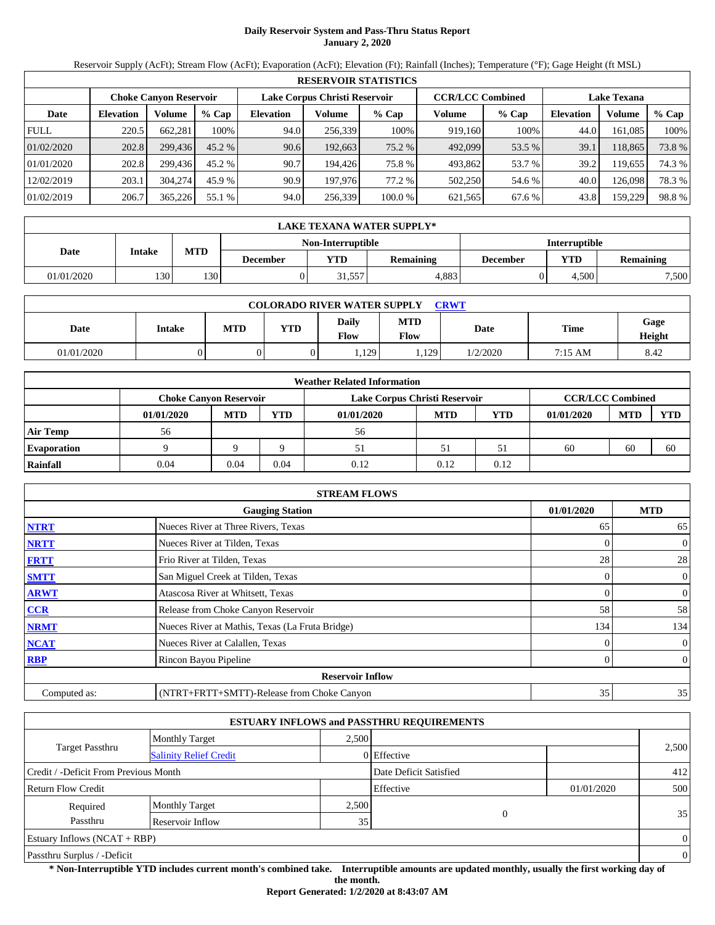# **Daily Reservoir System and Pass-Thru Status Report January 2, 2020**

Reservoir Supply (AcFt); Stream Flow (AcFt); Evaporation (AcFt); Elevation (Ft); Rainfall (Inches); Temperature (°F); Gage Height (ft MSL)

|             | <b>RESERVOIR STATISTICS</b> |                               |          |                  |                               |         |         |                         |                    |         |        |  |
|-------------|-----------------------------|-------------------------------|----------|------------------|-------------------------------|---------|---------|-------------------------|--------------------|---------|--------|--|
|             |                             | <b>Choke Canvon Reservoir</b> |          |                  | Lake Corpus Christi Reservoir |         |         | <b>CCR/LCC Combined</b> | <b>Lake Texana</b> |         |        |  |
| Date        | <b>Elevation</b>            | Volume                        | $%$ Cap  | <b>Elevation</b> | Volume                        | $%$ Cap | Volume  | $%$ Cap                 | <b>Elevation</b>   | Volume  | % Cap  |  |
| <b>FULL</b> | 220.5                       | 662,281                       | 100%     | 94.0             | 256,339                       | 100%    | 919,160 | 100%                    | 44.0               | 161,085 | 100%   |  |
| 01/02/2020  | 202.8                       | 299,436                       | $45.2\%$ | 90.6             | 192,663                       | 75.2 %  | 492,099 | 53.5 %                  | 39.1               | 118,865 | 73.8 % |  |
| 01/01/2020  | 202.8                       | 299.436                       | 45.2 %   | 90.7             | 194.426                       | 75.8 %  | 493,862 | 53.7 %                  | 39.2               | 19,655  | 74.3 % |  |
| 12/02/2019  | 203.1                       | 304.274                       | 45.9 %   | 90.9             | 197,976                       | 77.2 %  | 502,250 | 54.6 %                  | 40.0               | 126,098 | 78.3 % |  |
| 01/02/2019  | 206.7                       | 365,226                       | 55.1 %   | 94.0             | 256,339                       | 100.0%  | 621,565 | 67.6 %                  | 43.8               | 159,229 | 98.8%  |  |

|            | LAKE TEXANA WATER SUPPLY*                 |            |          |            |                  |          |                                |       |  |  |  |  |
|------------|-------------------------------------------|------------|----------|------------|------------------|----------|--------------------------------|-------|--|--|--|--|
|            | Non-Interruptible<br><b>Interruptible</b> |            |          |            |                  |          |                                |       |  |  |  |  |
| Date       | Intake                                    | <b>MTD</b> | December | <b>YTD</b> | <b>Remaining</b> | December | <b>VTD</b><br><b>Remaining</b> |       |  |  |  |  |
| 01/01/2020 | 1301                                      | 130        |          | 31,557     | 4.883            |          | 4.500                          | 7,500 |  |  |  |  |

| <b>COLORADO RIVER WATER SUPPLY</b><br><b>CRWT</b> |        |            |     |                      |                           |          |         |                |  |  |
|---------------------------------------------------|--------|------------|-----|----------------------|---------------------------|----------|---------|----------------|--|--|
| Date                                              | Intake | <b>MTD</b> | YTD | <b>Daily</b><br>Flow | <b>MTD</b><br><b>Flow</b> | Date     | Time    | Gage<br>Height |  |  |
| 01/01/2020                                        |        |            |     | 1,129                | .129                      | 1/2/2020 | 7:15 AM | 8.42           |  |  |

|                    | <b>Weather Related Information</b> |            |            |                                                          |            |      |            |            |            |  |  |  |  |
|--------------------|------------------------------------|------------|------------|----------------------------------------------------------|------------|------|------------|------------|------------|--|--|--|--|
|                    | <b>Choke Canyon Reservoir</b>      |            |            | <b>CCR/LCC Combined</b><br>Lake Corpus Christi Reservoir |            |      |            |            |            |  |  |  |  |
|                    | 01/01/2020                         | <b>MTD</b> | <b>YTD</b> | 01/01/2020                                               | <b>MTD</b> | YTD  | 01/01/2020 | <b>MTD</b> | <b>YTD</b> |  |  |  |  |
| <b>Air Temp</b>    | 56                                 |            |            | 56                                                       |            |      |            |            |            |  |  |  |  |
| <b>Evaporation</b> |                                    |            |            | 51                                                       | 51         | 51   | 60         | 60         | 60         |  |  |  |  |
| Rainfall           | 0.04                               | 0.04       | 0.04       | 0.12                                                     | 0.12       | 0.12 |            |            |            |  |  |  |  |

|              | <b>STREAM FLOWS</b>                             |                |                |
|--------------|-------------------------------------------------|----------------|----------------|
|              | <b>Gauging Station</b>                          | 01/01/2020     | <b>MTD</b>     |
| <b>NTRT</b>  | Nueces River at Three Rivers, Texas             | 65             | 65             |
| <b>NRTT</b>  | Nueces River at Tilden, Texas                   | $\Omega$       | $\mathbf{0}$   |
| <b>FRTT</b>  | Frio River at Tilden, Texas                     | 28             | 28             |
| <b>SMTT</b>  | San Miguel Creek at Tilden, Texas               | $\overline{0}$ | $\mathbf{0}$   |
| <b>ARWT</b>  | Atascosa River at Whitsett, Texas               | $\Omega$       | $\mathbf{0}$   |
| CCR          | Release from Choke Canyon Reservoir             | 58             | 58             |
| <b>NRMT</b>  | Nueces River at Mathis, Texas (La Fruta Bridge) | 134            | 134            |
| <b>NCAT</b>  | Nueces River at Calallen, Texas                 |                | $\overline{0}$ |
| <b>RBP</b>   | Rincon Bayou Pipeline                           | $\Omega$       | $\overline{0}$ |
|              | <b>Reservoir Inflow</b>                         |                |                |
| Computed as: | (NTRT+FRTT+SMTT)-Release from Choke Canyon      | 35             | 35             |

|                                       |                               |       | <b>ESTUARY INFLOWS and PASSTHRU REQUIREMENTS</b> |            |                |
|---------------------------------------|-------------------------------|-------|--------------------------------------------------|------------|----------------|
|                                       | Monthly Target                | 2.500 |                                                  |            |                |
| <b>Target Passthru</b>                | <b>Salinity Relief Credit</b> |       | 0 Effective                                      |            | 2,500          |
| Credit / -Deficit From Previous Month |                               |       | Date Deficit Satisfied                           |            | 412            |
| <b>Return Flow Credit</b>             |                               |       | Effective                                        | 01/01/2020 | 500            |
| Required                              | <b>Monthly Target</b>         | 2,500 |                                                  |            |                |
| Passthru                              | Reservoir Inflow              | 35    | $\Omega$                                         |            | 35             |
| Estuary Inflows $(NCAT + RBP)$        |                               |       |                                                  |            | $\Omega$       |
| Passthru Surplus / -Deficit           |                               |       |                                                  |            | $\overline{0}$ |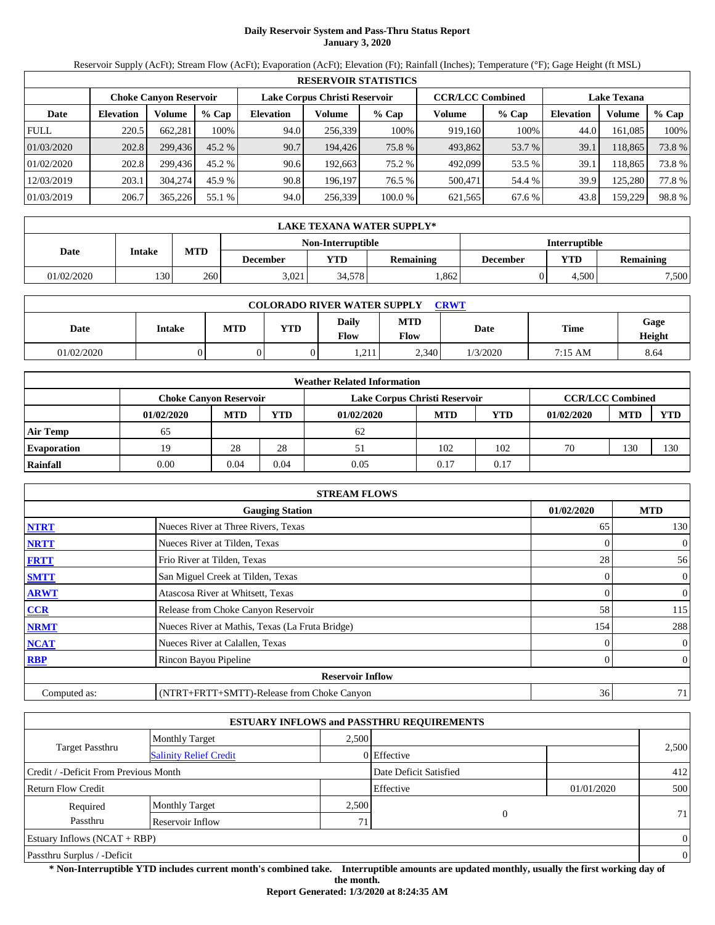# **Daily Reservoir System and Pass-Thru Status Report January 3, 2020**

Reservoir Supply (AcFt); Stream Flow (AcFt); Evaporation (AcFt); Elevation (Ft); Rainfall (Inches); Temperature (°F); Gage Height (ft MSL)

|             | <b>RESERVOIR STATISTICS</b> |                               |         |                               |         |         |                         |         |                    |         |       |  |
|-------------|-----------------------------|-------------------------------|---------|-------------------------------|---------|---------|-------------------------|---------|--------------------|---------|-------|--|
|             |                             | <b>Choke Canvon Reservoir</b> |         | Lake Corpus Christi Reservoir |         |         | <b>CCR/LCC Combined</b> |         | <b>Lake Texana</b> |         |       |  |
| Date        | <b>Elevation</b>            | Volume                        | $%$ Cap | <b>Elevation</b>              | Volume  | $%$ Cap | Volume                  | $%$ Cap | <b>Elevation</b>   | Volume  | % Cap |  |
| <b>FULL</b> | 220.5                       | 662.281                       | 100%    | 94.0                          | 256,339 | 100%    | 919.160                 | 100%    | 44.0               | 161,085 | 100%  |  |
| 01/03/2020  | 202.8                       | 299,436                       | 45.2 %  | 90.7                          | 194.426 | 75.8 %  | 493,862                 | 53.7 %  | 39.1               | 118.865 | 73.8% |  |
| 01/02/2020  | 202.8                       | 299.436                       | 45.2 %  | 90.6                          | 192.663 | 75.2 %  | 492,099                 | 53.5 %  | 39.1               | 18.865  | 73.8% |  |
| 12/03/2019  | 203.1                       | 304,274                       | 45.9 %  | 90.8                          | 196.197 | 76.5 %  | 500,471                 | 54.4 %  | 39.9               | 125,280 | 77.8% |  |
| 01/03/2019  | 206.7                       | 365,226                       | 55.1 %  | 94.0                          | 256,339 | 100.0 % | 621,565                 | 67.6 %  | 43.8               | 159,229 | 98.8% |  |

|            | LAKE TEXANA WATER SUPPLY* |            |          |                   |                  |          |                      |                  |  |  |  |
|------------|---------------------------|------------|----------|-------------------|------------------|----------|----------------------|------------------|--|--|--|
|            |                           |            |          | Non-Interruptible |                  |          | <b>Interruptible</b> |                  |  |  |  |
| Date       | Intake                    | <b>MTD</b> | December | <b>YTD</b>        | <b>Remaining</b> | December | VTD                  | <b>Remaining</b> |  |  |  |
| 01/02/2020 | 1301                      | 260        | 3.021    | 34.5781           | .862             |          | 4.500                | 7,500            |  |  |  |

| <b>COLORADO RIVER WATER SUPPLY</b><br><b>CRWT</b> |        |     |     |                      |                           |          |         |                |  |  |
|---------------------------------------------------|--------|-----|-----|----------------------|---------------------------|----------|---------|----------------|--|--|
| Date                                              | Intake | MTD | YTD | <b>Daily</b><br>Flow | <b>MTD</b><br><b>Flow</b> | Date     | Time    | Gage<br>Height |  |  |
| 01/02/2020                                        |        |     |     | 1.211                | 2,340                     | 1/3/2020 | 7:15 AM | 8.64           |  |  |

|                    |                               |            |      | <b>Weather Related Information</b> |            |      |                         |            |            |
|--------------------|-------------------------------|------------|------|------------------------------------|------------|------|-------------------------|------------|------------|
|                    | <b>Choke Canyon Reservoir</b> |            |      | Lake Corpus Christi Reservoir      |            |      | <b>CCR/LCC Combined</b> |            |            |
|                    | 01/02/2020                    | <b>MTD</b> | YTD  | 01/02/2020                         | <b>MTD</b> | YTD  | 01/02/2020              | <b>MTD</b> | <b>YTD</b> |
| <b>Air Temp</b>    | 65                            |            |      | 62                                 |            |      |                         |            |            |
| <b>Evaporation</b> | 19                            | 28         | 28   | 51                                 | 102        | 102  | 70                      | 130        | 130        |
| Rainfall           | $0.00\,$                      | 0.04       | 0.04 | 0.05                               | 0.17       | 0.17 |                         |            |            |

|              | <b>STREAM FLOWS</b>                             |            |                |
|--------------|-------------------------------------------------|------------|----------------|
|              | <b>Gauging Station</b>                          | 01/02/2020 | <b>MTD</b>     |
| <b>NTRT</b>  | Nueces River at Three Rivers, Texas             | 65         | 130            |
| <b>NRTT</b>  | Nueces River at Tilden, Texas                   |            | $\overline{0}$ |
| <b>FRTT</b>  | Frio River at Tilden, Texas                     | 28         | 56             |
| <b>SMTT</b>  | San Miguel Creek at Tilden, Texas               | 0          | $\overline{0}$ |
| <b>ARWT</b>  | Atascosa River at Whitsett, Texas               |            | $\mathbf{0}$   |
| <b>CCR</b>   | Release from Choke Canyon Reservoir             | 58         | 115            |
| <b>NRMT</b>  | Nueces River at Mathis, Texas (La Fruta Bridge) | 154        | 288            |
| <b>NCAT</b>  | Nueces River at Calallen, Texas                 |            | $\overline{0}$ |
| <b>RBP</b>   | Rincon Bayou Pipeline                           | 0          | $\overline{0}$ |
|              | <b>Reservoir Inflow</b>                         |            |                |
| Computed as: | (NTRT+FRTT+SMTT)-Release from Choke Canyon      | 36         | 71             |

|                                       |                               |       | <b>ESTUARY INFLOWS and PASSTHRU REQUIREMENTS</b> |            |                |
|---------------------------------------|-------------------------------|-------|--------------------------------------------------|------------|----------------|
|                                       | <b>Monthly Target</b>         | 2.500 |                                                  |            |                |
| <b>Target Passthru</b>                | <b>Salinity Relief Credit</b> |       | 0 Effective                                      |            | 2,500          |
| Credit / -Deficit From Previous Month |                               |       | Date Deficit Satisfied                           |            | 412            |
| <b>Return Flow Credit</b>             |                               |       | Effective                                        | 01/01/2020 | 500            |
| Required                              | <b>Monthly Target</b>         | 2,500 |                                                  |            |                |
| Passthru                              | Reservoir Inflow              | 71    | 0                                                |            | 71             |
| Estuary Inflows $(NCAT + RBP)$        |                               |       |                                                  |            | $\overline{0}$ |
| Passthru Surplus / -Deficit           |                               |       |                                                  |            | $\overline{0}$ |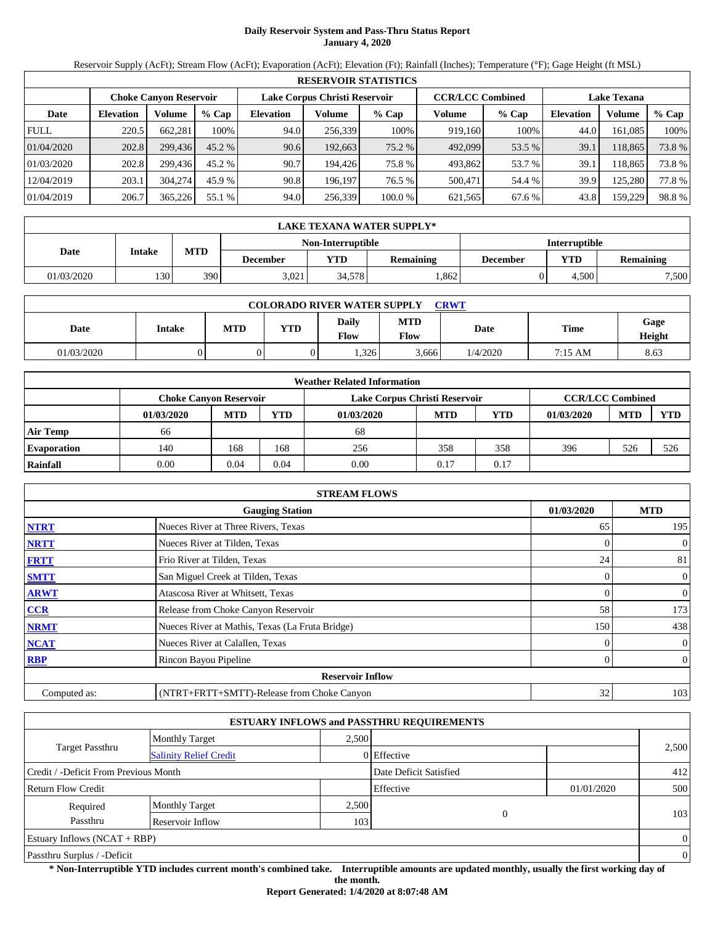# **Daily Reservoir System and Pass-Thru Status Report January 4, 2020**

Reservoir Supply (AcFt); Stream Flow (AcFt); Evaporation (AcFt); Elevation (Ft); Rainfall (Inches); Temperature (°F); Gage Height (ft MSL)

|             | <b>RESERVOIR STATISTICS</b> |                               |          |                  |                               |         |                         |         |                    |         |        |  |
|-------------|-----------------------------|-------------------------------|----------|------------------|-------------------------------|---------|-------------------------|---------|--------------------|---------|--------|--|
|             |                             | <b>Choke Canvon Reservoir</b> |          |                  | Lake Corpus Christi Reservoir |         | <b>CCR/LCC Combined</b> |         | <b>Lake Texana</b> |         |        |  |
| Date        | <b>Elevation</b>            | Volume                        | $%$ Cap  | <b>Elevation</b> | Volume                        | $%$ Cap | Volume                  | $%$ Cap | <b>Elevation</b>   | Volume  | % Cap  |  |
| <b>FULL</b> | 220.5                       | 662,281                       | 100%     | 94.0             | 256,339                       | 100%    | 919,160                 | 100%    | 44.0               | 161,085 | 100%   |  |
| 01/04/2020  | 202.8                       | 299,436                       | $45.2\%$ | 90.6             | 192,663                       | 75.2 %  | 492,099                 | 53.5 %  | 39.1               | 118,865 | 73.8 % |  |
| 01/03/2020  | 202.8                       | 299.436                       | 45.2 %   | 90.7             | 194.426                       | 75.8 %  | 493,862                 | 53.7 %  | 39.1               | 18,865  | 73.8 % |  |
| 12/04/2019  | 203.1                       | 304.274                       | 45.9 %   | 90.8             | 196.197                       | 76.5 %  | 500,471                 | 54.4 %  | 39.9               | 125,280 | 77.8%  |  |
| 01/04/2019  | 206.7                       | 365,226                       | 55.1 %   | 94.0             | 256,339                       | 100.0%  | 621,565                 | 67.6 %  | 43.8               | 159,229 | 98.8%  |  |

|            | LAKE TEXANA WATER SUPPLY* |            |          |                   |                  |                      |       |                  |  |  |  |  |
|------------|---------------------------|------------|----------|-------------------|------------------|----------------------|-------|------------------|--|--|--|--|
|            |                           |            |          | Non-Interruptible |                  | <b>Interruptible</b> |       |                  |  |  |  |  |
| Date       | Intake                    | <b>MTD</b> | December | <b>YTD</b>        | <b>Remaining</b> | December             | VTD   | <b>Remaining</b> |  |  |  |  |
| 01/03/2020 | 1301                      | 390        | 3.021    | 34.5781           | .862             |                      | 4.500 | 7,500            |  |  |  |  |

| <b>COLORADO RIVER WATER SUPPLY</b><br><b>CRWT</b> |        |     |     |                      |                           |          |         |                |  |  |
|---------------------------------------------------|--------|-----|-----|----------------------|---------------------------|----------|---------|----------------|--|--|
| Date                                              | Intake | MTD | YTD | <b>Daily</b><br>Flow | <b>MTD</b><br><b>Flow</b> | Date     | Time    | Gage<br>Height |  |  |
| 01/03/2020                                        |        |     |     | .326                 | 3,666                     | 1/4/2020 | 7:15 AM | 8.63           |  |  |

|                    |                               |            |            | <b>Weather Related Information</b> |            |      |                         |            |            |
|--------------------|-------------------------------|------------|------------|------------------------------------|------------|------|-------------------------|------------|------------|
|                    | <b>Choke Canyon Reservoir</b> |            |            | Lake Corpus Christi Reservoir      |            |      | <b>CCR/LCC Combined</b> |            |            |
|                    | 01/03/2020                    | <b>MTD</b> | <b>YTD</b> | 01/03/2020                         | <b>MTD</b> | YTD  | 01/03/2020              | <b>MTD</b> | <b>YTD</b> |
| Air Temp           | 66                            |            |            | 68                                 |            |      |                         |            |            |
| <b>Evaporation</b> | 140                           | 168        | 168        | 256                                | 358        | 358  | 396                     | 526        | 526        |
| Rainfall           | 0.00                          | 0.04       | 0.04       | 0.00                               | 0.17       | 0.17 |                         |            |            |

|              | <b>STREAM FLOWS</b>                             |            |                |
|--------------|-------------------------------------------------|------------|----------------|
|              | <b>Gauging Station</b>                          | 01/03/2020 | <b>MTD</b>     |
| <b>NTRT</b>  | Nueces River at Three Rivers, Texas             | 65         | 195            |
| <b>NRTT</b>  | Nueces River at Tilden, Texas                   | 0          | $\overline{0}$ |
| <b>FRTT</b>  | Frio River at Tilden, Texas                     | 24         | 81             |
| <b>SMTT</b>  | San Miguel Creek at Tilden, Texas               | 0          | $\overline{0}$ |
| <b>ARWT</b>  | Atascosa River at Whitsett, Texas               | 0          | $\overline{0}$ |
| CCR          | Release from Choke Canyon Reservoir             | 58         | 173            |
| <b>NRMT</b>  | Nueces River at Mathis, Texas (La Fruta Bridge) | 150        | 438            |
| <b>NCAT</b>  | Nueces River at Calallen, Texas                 |            | $\overline{0}$ |
| <b>RBP</b>   | Rincon Bayou Pipeline                           | 0          | $\overline{0}$ |
|              | <b>Reservoir Inflow</b>                         |            |                |
| Computed as: | (NTRT+FRTT+SMTT)-Release from Choke Canyon      | 32         | 103            |

|                                                  |                       |       | <b>ESTUARY INFLOWS and PASSTHRU REQUIREMENTS</b> |            |                |
|--------------------------------------------------|-----------------------|-------|--------------------------------------------------|------------|----------------|
|                                                  | <b>Monthly Target</b> | 2,500 |                                                  |            |                |
| Target Passthru<br><b>Salinity Relief Credit</b> |                       |       | 0 Effective                                      |            | 2,500          |
| Credit / -Deficit From Previous Month            |                       |       | Date Deficit Satisfied                           |            | 412            |
| Return Flow Credit                               |                       |       | Effective                                        | 01/01/2020 | 500            |
| Required                                         | <b>Monthly Target</b> | 2,500 |                                                  |            | 103            |
| Passthru<br>Reservoir Inflow                     |                       |       | $\overline{0}$<br>103                            |            |                |
| Estuary Inflows $(NCAT + RBP)$                   |                       |       |                                                  |            | $\Omega$       |
| Passthru Surplus / -Deficit                      |                       |       |                                                  |            | $\overline{0}$ |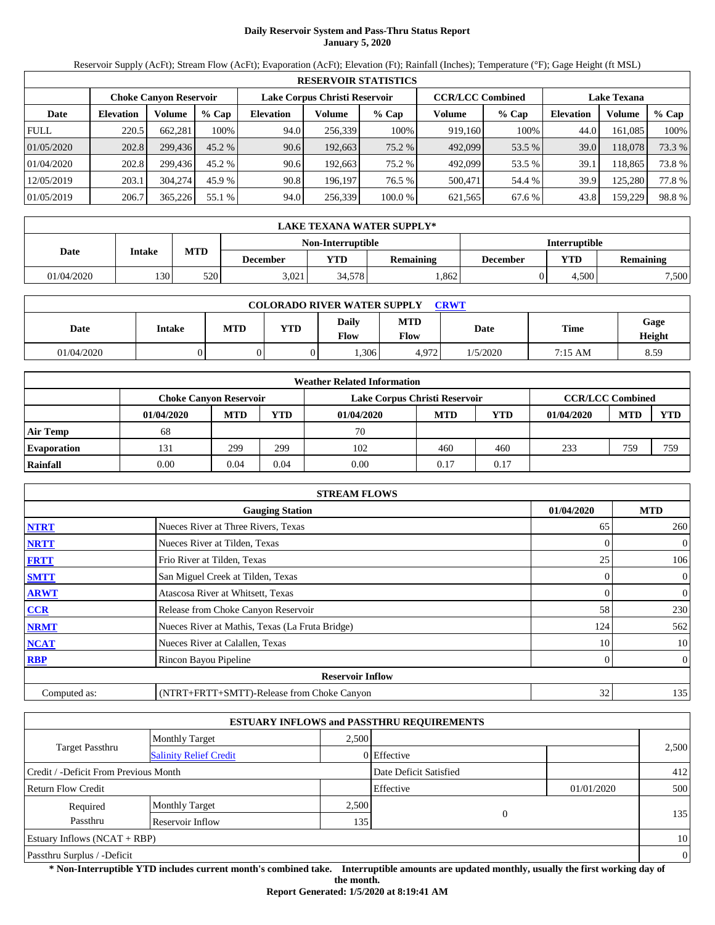# **Daily Reservoir System and Pass-Thru Status Report January 5, 2020**

Reservoir Supply (AcFt); Stream Flow (AcFt); Evaporation (AcFt); Elevation (Ft); Rainfall (Inches); Temperature (°F); Gage Height (ft MSL)

|             | <b>RESERVOIR STATISTICS</b> |                               |          |                  |                               |         |                         |         |                  |                    |        |  |
|-------------|-----------------------------|-------------------------------|----------|------------------|-------------------------------|---------|-------------------------|---------|------------------|--------------------|--------|--|
|             |                             | <b>Choke Canvon Reservoir</b> |          |                  | Lake Corpus Christi Reservoir |         | <b>CCR/LCC Combined</b> |         |                  | <b>Lake Texana</b> |        |  |
| Date        | <b>Elevation</b>            | Volume                        | $%$ Cap  | <b>Elevation</b> | Volume                        | $%$ Cap | Volume                  | $%$ Cap | <b>Elevation</b> | Volume             | % Cap  |  |
| <b>FULL</b> | 220.5                       | 662,281                       | 100%     | 94.0             | 256,339                       | 100%    | 919,160                 | 100%    | 44.0             | 161,085            | 100%   |  |
| 01/05/2020  | 202.8                       | 299,436                       | $45.2\%$ | 90.6             | 192,663                       | 75.2 %  | 492,099                 | 53.5 %  | 39.0             | 118,078            | 73.3 % |  |
| 01/04/2020  | 202.8                       | 299.436                       | 45.2 %   | 90.6             | 192.663                       | 75.2 %  | 492,099                 | 53.5 %  | 39.1             | 18,865             | 73.8 % |  |
| 12/05/2019  | 203.1                       | 304.274                       | 45.9 %   | 90.8             | 196.197                       | 76.5 %  | 500,471                 | 54.4 %  | 39.9             | 125,280            | 77.8 % |  |
| 01/05/2019  | 206.7                       | 365,226                       | 55.1 %   | 94.0             | 256,339                       | 100.0%  | 621,565                 | 67.6 %  | 43.8             | 159,229            | 98.8%  |  |

|            | LAKE TEXANA WATER SUPPLY* |            |          |                   |                  |                      |       |                  |  |  |  |  |
|------------|---------------------------|------------|----------|-------------------|------------------|----------------------|-------|------------------|--|--|--|--|
|            |                           |            |          | Non-Interruptible |                  | <b>Interruptible</b> |       |                  |  |  |  |  |
| Date       | Intake                    | <b>MTD</b> | December | <b>YTD</b>        | <b>Remaining</b> | December             | VTD   | <b>Remaining</b> |  |  |  |  |
| 01/04/2020 | 1301                      | 520        | 3.021    | 34.5781           | .862             |                      | 4.500 | 7,500            |  |  |  |  |

| <b>COLORADO RIVER WATER SUPPLY</b><br><b>CRWT</b> |        |     |     |                      |                           |          |         |                |  |  |
|---------------------------------------------------|--------|-----|-----|----------------------|---------------------------|----------|---------|----------------|--|--|
| Date                                              | Intake | MTD | YTD | <b>Daily</b><br>Flow | <b>MTD</b><br><b>Flow</b> | Date     | Time    | Gage<br>Height |  |  |
| 01/04/2020                                        |        |     |     | .306                 | 4.972                     | 1/5/2020 | 7:15 AM | 8.59           |  |  |

|                    | <b>Weather Related Information</b> |            |      |                               |            |      |                         |            |            |  |  |  |
|--------------------|------------------------------------|------------|------|-------------------------------|------------|------|-------------------------|------------|------------|--|--|--|
|                    | <b>Choke Canyon Reservoir</b>      |            |      | Lake Corpus Christi Reservoir |            |      | <b>CCR/LCC Combined</b> |            |            |  |  |  |
|                    | 01/04/2020                         | <b>MTD</b> | YTD  | 01/04/2020                    | <b>MTD</b> | YTD  | 01/04/2020              | <b>MTD</b> | <b>YTD</b> |  |  |  |
| <b>Air Temp</b>    | 68                                 |            |      | 70                            |            |      |                         |            |            |  |  |  |
| <b>Evaporation</b> | 131                                | 299        | 299  | 102                           | 460        | 460  | 233                     | 759        | 759        |  |  |  |
| Rainfall           | $0.00\,$                           | 0.04       | 0.04 | 0.00                          | 0.17       | 0.17 |                         |            |            |  |  |  |

|              | <b>STREAM FLOWS</b>                             |            |                |
|--------------|-------------------------------------------------|------------|----------------|
|              | <b>Gauging Station</b>                          | 01/04/2020 | <b>MTD</b>     |
| <b>NTRT</b>  | Nueces River at Three Rivers, Texas             | 65         | 260            |
| <b>NRTT</b>  | Nueces River at Tilden, Texas                   | $\Omega$   | $\overline{0}$ |
| <b>FRTT</b>  | Frio River at Tilden, Texas                     | 25         | 106            |
| <b>SMTT</b>  | San Miguel Creek at Tilden, Texas               | $\Omega$   | $\overline{0}$ |
| <b>ARWT</b>  | Atascosa River at Whitsett, Texas               | $\Omega$   | $\mathbf{0}$   |
| <b>CCR</b>   | Release from Choke Canyon Reservoir             | 58         | 230            |
| <b>NRMT</b>  | Nueces River at Mathis, Texas (La Fruta Bridge) | 124        | 562            |
| <b>NCAT</b>  | Nueces River at Calallen, Texas                 | 10         | 10             |
| <b>RBP</b>   | Rincon Bayou Pipeline                           | $\Omega$   | $\overline{0}$ |
|              | <b>Reservoir Inflow</b>                         |            |                |
| Computed as: | (NTRT+FRTT+SMTT)-Release from Choke Canyon      | 32         | 135            |

|                                       |                               |       | <b>ESTUARY INFLOWS and PASSTHRU REQUIREMENTS</b> |            |                |
|---------------------------------------|-------------------------------|-------|--------------------------------------------------|------------|----------------|
|                                       | <b>Monthly Target</b>         | 2.500 |                                                  |            |                |
| Target Passthru                       | <b>Salinity Relief Credit</b> |       | 0 Effective                                      |            | 2,500          |
| Credit / -Deficit From Previous Month |                               |       | Date Deficit Satisfied                           |            | 412            |
| <b>Return Flow Credit</b>             |                               |       | Effective                                        | 01/01/2020 | 500            |
| Required                              | <b>Monthly Target</b>         | 2,500 |                                                  |            |                |
| Passthru                              | Reservoir Inflow              | 135   | 0                                                |            | 135            |
| Estuary Inflows $(NCAT + RBP)$        |                               |       |                                                  |            | 10             |
| Passthru Surplus / -Deficit           |                               |       |                                                  |            | $\overline{0}$ |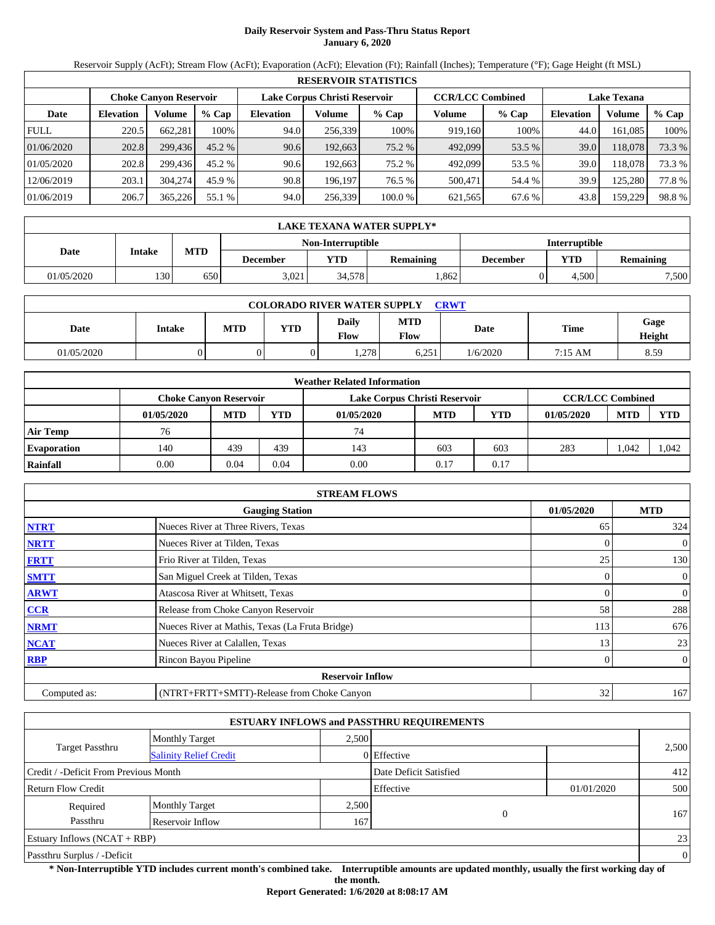# **Daily Reservoir System and Pass-Thru Status Report January 6, 2020**

Reservoir Supply (AcFt); Stream Flow (AcFt); Evaporation (AcFt); Elevation (Ft); Rainfall (Inches); Temperature (°F); Gage Height (ft MSL)

|             | <b>RESERVOIR STATISTICS</b> |                               |          |                  |                               |         |                         |         |                  |                    |        |  |
|-------------|-----------------------------|-------------------------------|----------|------------------|-------------------------------|---------|-------------------------|---------|------------------|--------------------|--------|--|
|             |                             | <b>Choke Canvon Reservoir</b> |          |                  | Lake Corpus Christi Reservoir |         | <b>CCR/LCC Combined</b> |         |                  | <b>Lake Texana</b> |        |  |
| Date        | <b>Elevation</b>            | Volume                        | $%$ Cap  | <b>Elevation</b> | Volume                        | $%$ Cap | Volume                  | $%$ Cap | <b>Elevation</b> | Volume             | % Cap  |  |
| <b>FULL</b> | 220.5                       | 662,281                       | 100%     | 94.0             | 256,339                       | 100%    | 919,160                 | 100%    | 44.0             | 161,085            | 100%   |  |
| 01/06/2020  | 202.8                       | 299,436                       | $45.2\%$ | 90.6             | 192,663                       | 75.2 %  | 492,099                 | 53.5 %  | 39.0             | 118,078            | 73.3 % |  |
| 01/05/2020  | 202.8                       | 299.436                       | 45.2 %   | 90.6             | 192.663                       | 75.2 %  | 492,099                 | 53.5 %  | 39.0             | 118.078            | 73.3 % |  |
| 12/06/2019  | 203.1                       | 304,274                       | 45.9 %   | 90.8             | 196.197                       | 76.5 %  | 500,471                 | 54.4 %  | 39.9             | 125,280            | 77.8%  |  |
| 01/06/2019  | 206.7                       | 365,226                       | 55.1 %   | 94.0             | 256,339                       | 100.0%  | 621,565                 | 67.6 %  | 43.8             | 159,229            | 98.8%  |  |

|            | LAKE TEXANA WATER SUPPLY* |            |                   |            |                  |                      |            |                  |  |  |  |  |
|------------|---------------------------|------------|-------------------|------------|------------------|----------------------|------------|------------------|--|--|--|--|
|            |                           |            | Non-Interruptible |            |                  | <b>Interruptible</b> |            |                  |  |  |  |  |
| Date       | Intake                    | <b>MTD</b> | December          | <b>YTD</b> | <b>Remaining</b> | December             | <b>VTD</b> | <b>Remaining</b> |  |  |  |  |
| 01/05/2020 | 1301                      | 650        | 3.021             | 34.5781    | .862             |                      | 4.500      | 7,500            |  |  |  |  |

| <b>COLORADO RIVER WATER SUPPLY</b><br><b>CRWT</b> |        |     |            |                      |                           |             |         |                |  |  |
|---------------------------------------------------|--------|-----|------------|----------------------|---------------------------|-------------|---------|----------------|--|--|
| Date                                              | Intake | MTD | <b>YTD</b> | <b>Daily</b><br>Flow | <b>MTD</b><br><b>Flow</b> | <b>Date</b> | Time    | Gage<br>Height |  |  |
| 01/05/2020                                        |        |     |            | . 278                | 6,251                     | 1/6/2020    | 7:15 AM | 8.59           |  |  |

|                    |                        |            |            | <b>Weather Related Information</b> |            |      |                         |            |       |
|--------------------|------------------------|------------|------------|------------------------------------|------------|------|-------------------------|------------|-------|
|                    | Choke Canvon Reservoir |            |            | Lake Corpus Christi Reservoir      |            |      | <b>CCR/LCC Combined</b> |            |       |
|                    | 01/05/2020             | <b>MTD</b> | <b>YTD</b> | 01/05/2020                         | <b>MTD</b> | YTD  | 01/05/2020              | <b>MTD</b> | YTD   |
| <b>Air Temp</b>    | 76                     |            |            | 74                                 |            |      |                         |            |       |
| <b>Evaporation</b> | 140                    | 439        | 439        | 143                                | 603        | 603  | 283                     | .042       | 1,042 |
| Rainfall           | 0.00                   | 0.04       | 0.04       | 0.00                               | 0.17       | 0.17 |                         |            |       |

|              | <b>STREAM FLOWS</b>                             |            |                |
|--------------|-------------------------------------------------|------------|----------------|
|              | <b>Gauging Station</b>                          | 01/05/2020 | <b>MTD</b>     |
| <b>NTRT</b>  | Nueces River at Three Rivers, Texas             | 65         | 324            |
| <b>NRTT</b>  | Nueces River at Tilden, Texas                   |            | $\overline{0}$ |
| <b>FRTT</b>  | Frio River at Tilden, Texas                     | 25         | 130            |
| <b>SMTT</b>  | San Miguel Creek at Tilden, Texas               | 0          | $\overline{0}$ |
| <b>ARWT</b>  | Atascosa River at Whitsett, Texas               |            | $\mathbf{0}$   |
| <b>CCR</b>   | Release from Choke Canyon Reservoir             | 58         | 288            |
| <b>NRMT</b>  | Nueces River at Mathis, Texas (La Fruta Bridge) | 113        | 676            |
| <b>NCAT</b>  | Nueces River at Calallen, Texas                 | 13         | 23             |
| <b>RBP</b>   | Rincon Bayou Pipeline                           | 0          | $\overline{0}$ |
|              | <b>Reservoir Inflow</b>                         |            |                |
| Computed as: | (NTRT+FRTT+SMTT)-Release from Choke Canyon      | 32         | 167            |

|                                       |                               |       | <b>ESTUARY INFLOWS and PASSTHRU REQUIREMENTS</b> |            |          |
|---------------------------------------|-------------------------------|-------|--------------------------------------------------|------------|----------|
|                                       | <b>Monthly Target</b>         | 2,500 |                                                  |            |          |
| <b>Target Passthru</b>                | <b>Salinity Relief Credit</b> |       | 0 Effective                                      |            | 2,500    |
| Credit / -Deficit From Previous Month |                               |       | Date Deficit Satisfied                           |            | 412      |
| <b>Return Flow Credit</b>             |                               |       | Effective                                        | 01/01/2020 | 500      |
| Required                              | <b>Monthly Target</b>         | 2,500 |                                                  |            |          |
| Passthru                              | Reservoir Inflow              | 167   | $\overline{0}$                                   |            | 167      |
| Estuary Inflows $(NCAT + RBP)$        |                               |       |                                                  |            | 23       |
| Passthru Surplus / -Deficit           |                               |       |                                                  |            | $\theta$ |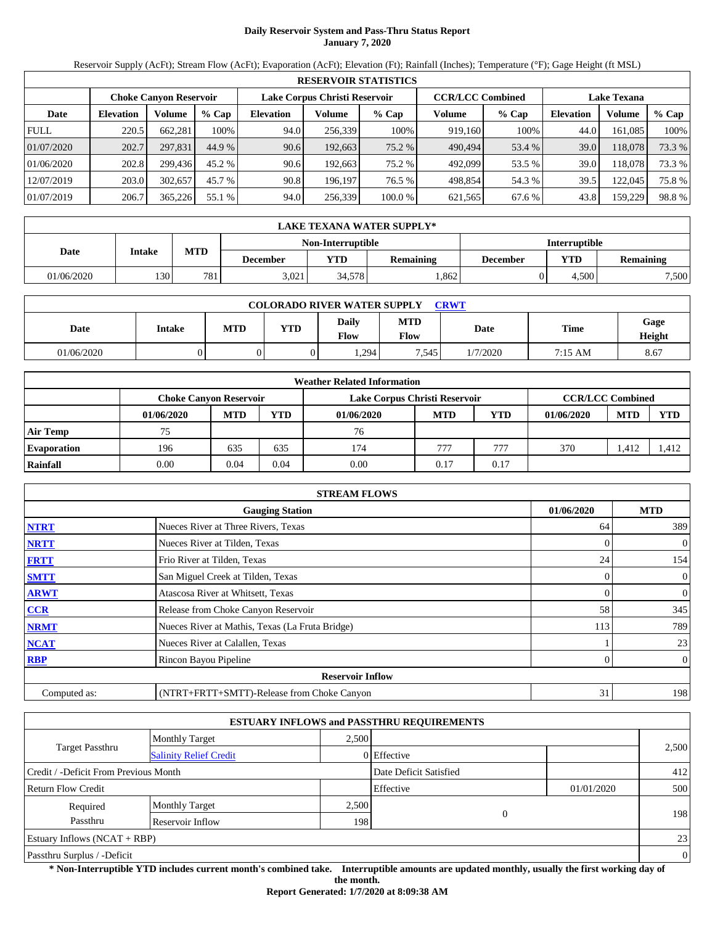# **Daily Reservoir System and Pass-Thru Status Report January 7, 2020**

Reservoir Supply (AcFt); Stream Flow (AcFt); Evaporation (AcFt); Elevation (Ft); Rainfall (Inches); Temperature (°F); Gage Height (ft MSL)

|             | <b>RESERVOIR STATISTICS</b>                                                                                     |         |         |                  |         |         |         |         |                  |         |        |
|-------------|-----------------------------------------------------------------------------------------------------------------|---------|---------|------------------|---------|---------|---------|---------|------------------|---------|--------|
|             | Lake Corpus Christi Reservoir<br><b>CCR/LCC Combined</b><br><b>Lake Texana</b><br><b>Choke Canvon Reservoir</b> |         |         |                  |         |         |         |         |                  |         |        |
| Date        | <b>Elevation</b>                                                                                                | Volume  | $%$ Cap | <b>Elevation</b> | Volume  | $%$ Cap | Volume  | $%$ Cap | <b>Elevation</b> | Volume  | % Cap  |
| <b>FULL</b> | 220.5                                                                                                           | 662,281 | 100%    | 94.0             | 256,339 | 100%    | 919,160 | 100%    | 44.0             | 161,085 | 100%   |
| 01/07/2020  | 202.7                                                                                                           | 297.831 | 44.9 %  | 90.6             | 192,663 | 75.2 %  | 490,494 | 53.4 %  | 39.0             | 118,078 | 73.3 % |
| 01/06/2020  | 202.8                                                                                                           | 299.436 | 45.2 %  | 90.6             | 192.663 | 75.2 %  | 492,099 | 53.5 %  | 39.0             | 118,078 | 73.3 % |
| 12/07/2019  | 203.0                                                                                                           | 302,657 | 45.7 %  | 90.8             | 196.197 | 76.5 %  | 498,854 | 54.3 %  | 39.5             | 122,045 | 75.8%  |
| 01/07/2019  | 206.7                                                                                                           | 365,226 | 55.1 %  | 94.0             | 256,339 | 100.0%  | 621,565 | 67.6 %  | 43.8             | 159,229 | 98.8%  |

|            | LAKE TEXANA WATER SUPPLY* |            |          |                   |                  |          |                      |                  |  |  |
|------------|---------------------------|------------|----------|-------------------|------------------|----------|----------------------|------------------|--|--|
|            |                           |            |          | Non-Interruptible |                  |          | <b>Interruptible</b> |                  |  |  |
| Date       | Intake                    | <b>MTD</b> | December | <b>YTD</b>        | <b>Remaining</b> | December | VTD                  | <b>Remaining</b> |  |  |
| 01/06/2020 | 1301                      | 781        | 3.021    | 34.5781           | .862             |          | 4.500                | 7,500            |  |  |

| <b>COLORADO RIVER WATER SUPPLY</b><br><b>CRWT</b> |        |     |            |                      |                           |         |         |                |  |  |
|---------------------------------------------------|--------|-----|------------|----------------------|---------------------------|---------|---------|----------------|--|--|
| Date                                              | Intake | MTD | <b>YTD</b> | <b>Daily</b><br>Flow | <b>MTD</b><br><b>Flow</b> | Date    | Time    | Gage<br>Height |  |  |
| 01/06/2020                                        |        |     |            | . 294                | .545                      | /7/2020 | 7:15 AM | 8.67           |  |  |

|                    |                        |            |            | <b>Weather Related Information</b> |            |      |                         |            |       |
|--------------------|------------------------|------------|------------|------------------------------------|------------|------|-------------------------|------------|-------|
|                    | Choke Canvon Reservoir |            |            | Lake Corpus Christi Reservoir      |            |      | <b>CCR/LCC Combined</b> |            |       |
|                    | 01/06/2020             | <b>MTD</b> | <b>YTD</b> | 01/06/2020                         | <b>MTD</b> | YTD  | 01/06/2020              | <b>MTD</b> | YTD   |
| <b>Air Temp</b>    | 75                     |            |            | 76                                 |            |      |                         |            |       |
| <b>Evaporation</b> | 196                    | 635        | 635        | 174                                | 777        | 777  | 370                     | .412       | 1,412 |
| Rainfall           | 0.00                   | 0.04       | 0.04       | 0.00                               | 0.17       | 0.17 |                         |            |       |

|              | <b>STREAM FLOWS</b>                             |            |                |
|--------------|-------------------------------------------------|------------|----------------|
|              | <b>Gauging Station</b>                          | 01/06/2020 | <b>MTD</b>     |
| <b>NTRT</b>  | Nueces River at Three Rivers, Texas             | 64         | 389            |
| <b>NRTT</b>  | Nueces River at Tilden, Texas                   |            | $\overline{0}$ |
| <b>FRTT</b>  | Frio River at Tilden, Texas                     | 24         | 154            |
| <b>SMTT</b>  | San Miguel Creek at Tilden, Texas               | $\Omega$   | $\overline{0}$ |
| <b>ARWT</b>  | Atascosa River at Whitsett, Texas               |            | $\mathbf{0}$   |
| <b>CCR</b>   | Release from Choke Canyon Reservoir             | 58         | 345            |
| <b>NRMT</b>  | Nueces River at Mathis, Texas (La Fruta Bridge) | 113        | 789            |
| <b>NCAT</b>  | Nueces River at Calallen, Texas                 |            | 23             |
| <b>RBP</b>   | Rincon Bayou Pipeline                           | 0          | $\overline{0}$ |
|              | <b>Reservoir Inflow</b>                         |            |                |
| Computed as: | (NTRT+FRTT+SMTT)-Release from Choke Canyon      | 31         | 198            |

|                                       |                               |       | <b>ESTUARY INFLOWS and PASSTHRU REQUIREMENTS</b> |            |          |
|---------------------------------------|-------------------------------|-------|--------------------------------------------------|------------|----------|
|                                       | <b>Monthly Target</b>         | 2,500 |                                                  |            |          |
| <b>Target Passthru</b>                | <b>Salinity Relief Credit</b> |       | 0 Effective                                      |            | 2,500    |
| Credit / -Deficit From Previous Month |                               |       | Date Deficit Satisfied                           |            | 412      |
| <b>Return Flow Credit</b>             |                               |       | Effective                                        | 01/01/2020 | 500      |
| Required                              | <b>Monthly Target</b>         | 2,500 |                                                  |            |          |
| Passthru                              | Reservoir Inflow              | 198   | $\overline{0}$                                   |            | 198      |
| Estuary Inflows $(NCAT + RBP)$        |                               |       |                                                  |            | 23       |
| Passthru Surplus / -Deficit           |                               |       |                                                  |            | $\theta$ |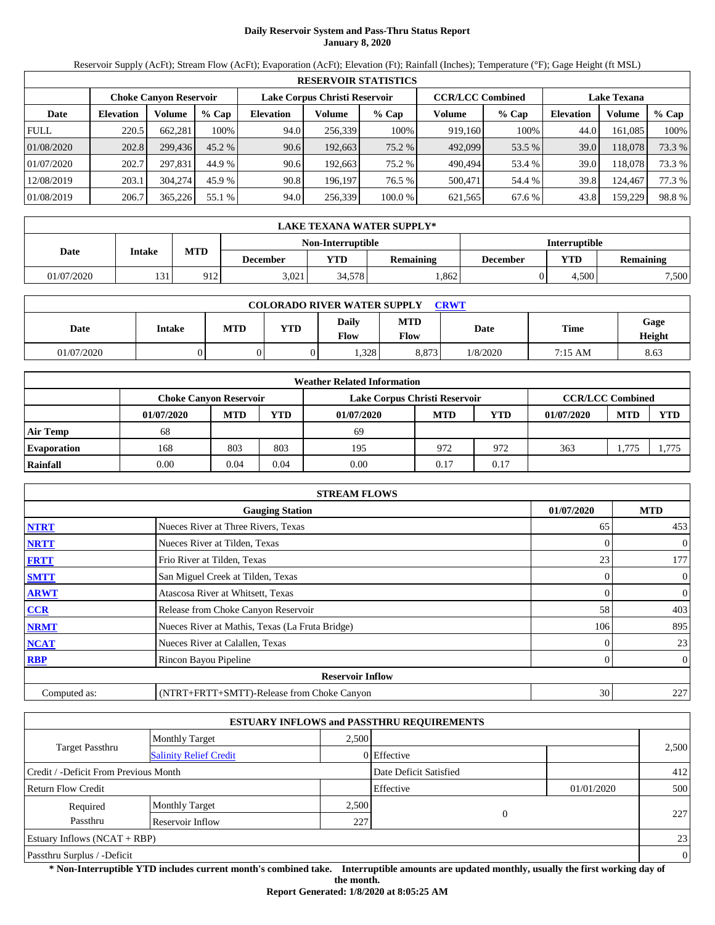# **Daily Reservoir System and Pass-Thru Status Report January 8, 2020**

Reservoir Supply (AcFt); Stream Flow (AcFt); Evaporation (AcFt); Elevation (Ft); Rainfall (Inches); Temperature (°F); Gage Height (ft MSL)

|             | <b>RESERVOIR STATISTICS</b>                                                                                     |         |         |                  |         |         |         |         |                  |         |        |
|-------------|-----------------------------------------------------------------------------------------------------------------|---------|---------|------------------|---------|---------|---------|---------|------------------|---------|--------|
|             | Lake Corpus Christi Reservoir<br><b>CCR/LCC Combined</b><br><b>Lake Texana</b><br><b>Choke Canyon Reservoir</b> |         |         |                  |         |         |         |         |                  |         |        |
| Date        | <b>Elevation</b>                                                                                                | Volume  | $%$ Cap | <b>Elevation</b> | Volume  | $%$ Cap | Volume  | $%$ Cap | <b>Elevation</b> | Volume  | % Cap  |
| <b>FULL</b> | 220.5                                                                                                           | 662.281 | 100%    | 94.0             | 256,339 | 100%    | 919,160 | 100%    | 44.0             | 161.085 | 100%   |
| 01/08/2020  | 202.8                                                                                                           | 299.436 | 45.2 %  | 90.6             | 192,663 | 75.2 %  | 492,099 | 53.5 %  | 39.0             | 118.078 | 73.3 % |
| 01/07/2020  | 202.7                                                                                                           | 297.831 | 44.9 %  | 90.6             | 192.663 | 75.2 %  | 490.494 | 53.4 %  | 39.0             | 118.078 | 73.3 % |
| 12/08/2019  | 203.1                                                                                                           | 304,274 | 45.9 %  | 90.8             | 196.197 | 76.5 %  | 500,471 | 54.4 %  | 39.8             | 124,467 | 77.3 % |
| 01/08/2019  | 206.7                                                                                                           | 365,226 | 55.1 %  | 94.0             | 256,339 | 100.0 % | 621,565 | 67.6 %  | 43.8             | 159,229 | 98.8%  |

|            | LAKE TEXANA WATER SUPPLY* |              |          |                          |                  |          |                      |                  |  |  |
|------------|---------------------------|--------------|----------|--------------------------|------------------|----------|----------------------|------------------|--|--|
|            |                           |              |          | <b>Non-Interruptible</b> |                  |          | <b>Interruptible</b> |                  |  |  |
| Date       | Intake                    | <b>MTD</b>   | December | <b>YTD</b>               | <b>Remaining</b> | December | <b>VTD</b>           | <b>Remaining</b> |  |  |
| 01/07/2020 | 131                       | 012<br>1 I Z | 3.021    | 34.5781                  | .862             |          | 4.500                | 7,500            |  |  |

| <b>COLORADO RIVER WATER SUPPLY</b><br><b>CRWT</b> |               |            |            |               |                           |          |         |                |  |
|---------------------------------------------------|---------------|------------|------------|---------------|---------------------------|----------|---------|----------------|--|
| Date                                              | <b>Intake</b> | <b>MTD</b> | <b>YTD</b> | Daily<br>Flow | <b>MTD</b><br><b>Flow</b> | Date     | Time    | Gage<br>Height |  |
| 01/07/2020                                        |               |            |            | .328          | 8.873                     | 1/8/2020 | 7:15 AM | 8.63           |  |

|                    | <b>Weather Related Information</b> |            |            |                               |            |      |                         |            |            |  |  |
|--------------------|------------------------------------|------------|------------|-------------------------------|------------|------|-------------------------|------------|------------|--|--|
|                    | <b>Choke Canvon Reservoir</b>      |            |            | Lake Corpus Christi Reservoir |            |      | <b>CCR/LCC Combined</b> |            |            |  |  |
|                    | 01/07/2020                         | <b>MTD</b> | <b>YTD</b> | 01/07/2020                    | <b>MTD</b> | YTD  | 01/07/2020              | <b>MTD</b> | <b>YTD</b> |  |  |
| <b>Air Temp</b>    | 68                                 |            |            | 69                            |            |      |                         |            |            |  |  |
| <b>Evaporation</b> | 168                                | 803        | 803        | 195                           | 972        | 972  | 363                     | 1.775      | 1.775      |  |  |
| Rainfall           | 0.00                               | 0.04       | 0.04       | 0.00                          | 0.17       | 0.17 |                         |            |            |  |  |

|              | <b>STREAM FLOWS</b>                             |            |                |
|--------------|-------------------------------------------------|------------|----------------|
|              | <b>Gauging Station</b>                          | 01/07/2020 | <b>MTD</b>     |
| <b>NTRT</b>  | Nueces River at Three Rivers, Texas             | 65         | 453            |
| <b>NRTT</b>  | Nueces River at Tilden, Texas                   | 0          | $\mathbf{0}$   |
| <b>FRTT</b>  | Frio River at Tilden, Texas                     | 23         | 177            |
| <b>SMTT</b>  | San Miguel Creek at Tilden, Texas               | 0          | $\mathbf{0}$   |
| <b>ARWT</b>  | Atascosa River at Whitsett, Texas               | 0          | $\mathbf{0}$   |
| CCR          | Release from Choke Canyon Reservoir             | 58         | 403            |
| <b>NRMT</b>  | Nueces River at Mathis, Texas (La Fruta Bridge) | 106        | 895            |
| <b>NCAT</b>  | Nueces River at Calallen, Texas                 |            | 23             |
| <b>RBP</b>   | Rincon Bayou Pipeline                           | 0          | $\overline{0}$ |
|              | <b>Reservoir Inflow</b>                         |            |                |
| Computed as: | (NTRT+FRTT+SMTT)-Release from Choke Canyon      | 30         | 227            |

|                                       |                               |       | <b>ESTUARY INFLOWS and PASSTHRU REQUIREMENTS</b> |            |                |
|---------------------------------------|-------------------------------|-------|--------------------------------------------------|------------|----------------|
|                                       | <b>Monthly Target</b>         | 2.500 |                                                  |            |                |
| <b>Target Passthru</b>                | <b>Salinity Relief Credit</b> |       | 0 Effective                                      |            | 2,500          |
| Credit / -Deficit From Previous Month |                               |       | Date Deficit Satisfied                           |            | 412            |
| <b>Return Flow Credit</b>             |                               |       | Effective                                        | 01/01/2020 | 500            |
| Required                              | <b>Monthly Target</b>         | 2,500 |                                                  |            |                |
| Passthru                              | Reservoir Inflow              | 227   | 0                                                |            | 227            |
| Estuary Inflows $(NCAT + RBP)$        |                               |       |                                                  |            | 23             |
| Passthru Surplus / -Deficit           |                               |       |                                                  |            | $\overline{0}$ |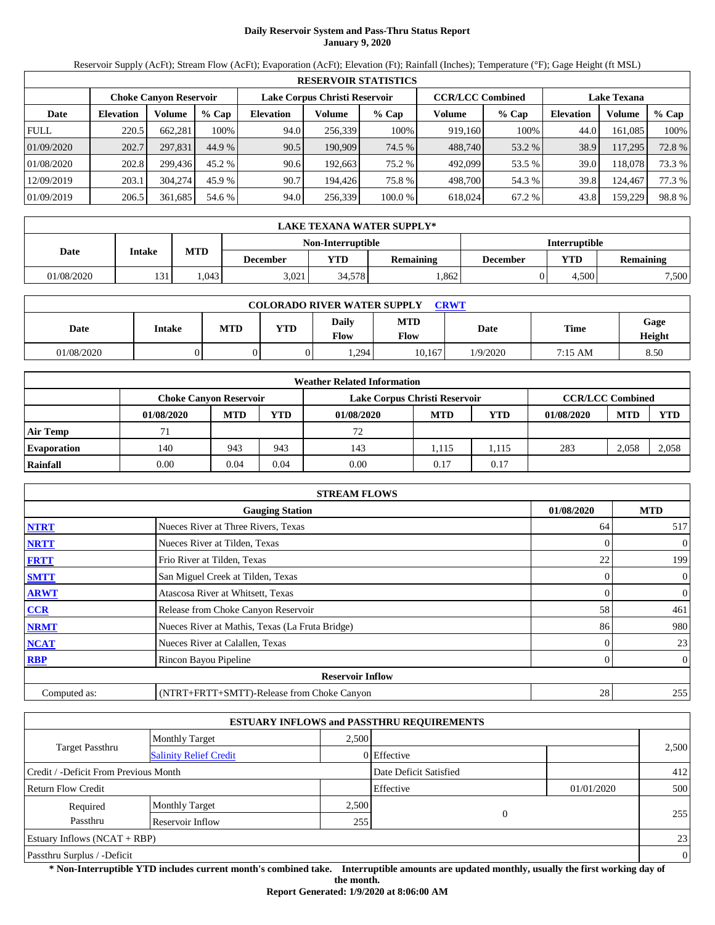# **Daily Reservoir System and Pass-Thru Status Report January 9, 2020**

Reservoir Supply (AcFt); Stream Flow (AcFt); Evaporation (AcFt); Elevation (Ft); Rainfall (Inches); Temperature (°F); Gage Height (ft MSL)

|             | <b>RESERVOIR STATISTICS</b> |                               |         |                  |                               |         |                         |         |                    |         |        |  |
|-------------|-----------------------------|-------------------------------|---------|------------------|-------------------------------|---------|-------------------------|---------|--------------------|---------|--------|--|
|             |                             | <b>Choke Canyon Reservoir</b> |         |                  | Lake Corpus Christi Reservoir |         | <b>CCR/LCC Combined</b> |         | <b>Lake Texana</b> |         |        |  |
| Date        | <b>Elevation</b>            | Volume                        | $%$ Cap | <b>Elevation</b> | Volume                        | $%$ Cap | Volume                  | $%$ Cap | <b>Elevation</b>   | Volume  | % Cap  |  |
| <b>FULL</b> | 220.5                       | 662.281                       | 100%    | 94.0             | 256.339                       | 100%    | 919.160                 | 100%    | 44.0               | 161,085 | 100%   |  |
| 01/09/2020  | 202.7                       | 297.831                       | 44.9 %  | 90.5             | 190.909                       | 74.5 %  | 488,740                 | 53.2 %  | 38.9               | 117,295 | 72.8 % |  |
| 01/08/2020  | 202.8                       | 299.436                       | 45.2 %  | 90.6             | 192.663                       | 75.2 %  | 492,099                 | 53.5 %  | 39.0               | 18.078  | 73.3 % |  |
| 12/09/2019  | 203.1                       | 304.274                       | 45.9 %  | 90.7             | 194.426                       | 75.8 %  | 498,700                 | 54.3 %  | 39.8               | 124.467 | 77.3 % |  |
| 01/09/2019  | 206.5                       | 361,685                       | 54.6 %  | 94.0             | 256,339                       | 100.0%  | 618,024                 | 67.2 %  | 43.8               | 159,229 | 98.8%  |  |

|                                           | LAKE TEXANA WATER SUPPLY* |            |          |        |           |          |                         |       |  |  |  |
|-------------------------------------------|---------------------------|------------|----------|--------|-----------|----------|-------------------------|-------|--|--|--|
| <b>Interruptible</b><br>Non-Interruptible |                           |            |          |        |           |          |                         |       |  |  |  |
| Date                                      | Intake                    | <b>MTD</b> | December | YTD    | Remaining | December | YTD<br><b>Remaining</b> |       |  |  |  |
| 01/08/2020                                | 131                       | .043       | 3.021    | 34.578 | .862      |          | 4.500                   | 7,500 |  |  |  |

| <b>COLORADO RIVER WATER SUPPLY</b><br><b>CRWT</b> |        |            |     |                      |                           |          |             |                |  |  |
|---------------------------------------------------|--------|------------|-----|----------------------|---------------------------|----------|-------------|----------------|--|--|
| Date                                              | Intake | <b>MTD</b> | YTD | <b>Daily</b><br>Flow | <b>MTD</b><br><b>Flow</b> | Date     | <b>Time</b> | Gage<br>Height |  |  |
| 01/08/2020                                        |        |            | 01  | . 294                | 10.167                    | 1/9/2020 | 7:15 AM     | 8.50           |  |  |

|                    |                        |            |            | <b>Weather Related Information</b> |            |      |                         |            |       |
|--------------------|------------------------|------------|------------|------------------------------------|------------|------|-------------------------|------------|-------|
|                    | Choke Canvon Reservoir |            |            | Lake Corpus Christi Reservoir      |            |      | <b>CCR/LCC Combined</b> |            |       |
|                    | 01/08/2020             | <b>MTD</b> | <b>YTD</b> | 01/08/2020                         | <b>MTD</b> | YTD  | 01/08/2020              | <b>MTD</b> | YTD   |
| <b>Air Temp</b>    |                        |            |            | 72                                 |            |      |                         |            |       |
| <b>Evaporation</b> | 140                    | 943        | 943        | 143                                | 1.115      | .115 | 283                     | 2,058      | 2,058 |
| Rainfall           | 0.00                   | 0.04       | 0.04       | 0.00                               | 0.17       | 0.17 |                         |            |       |

|              | <b>STREAM FLOWS</b>                             |            |                |
|--------------|-------------------------------------------------|------------|----------------|
|              | <b>Gauging Station</b>                          | 01/08/2020 | <b>MTD</b>     |
| <b>NTRT</b>  | Nueces River at Three Rivers, Texas             | 64         | 517            |
| <b>NRTT</b>  | Nueces River at Tilden, Texas                   | 0          | $\mathbf{0}$   |
| <b>FRTT</b>  | Frio River at Tilden, Texas                     | 22         | 199            |
| <b>SMTT</b>  | San Miguel Creek at Tilden, Texas               | 0          | $\mathbf{0}$   |
| <b>ARWT</b>  | Atascosa River at Whitsett, Texas               | 0          | $\mathbf{0}$   |
| CCR          | Release from Choke Canyon Reservoir             | 58         | 461            |
| <b>NRMT</b>  | Nueces River at Mathis, Texas (La Fruta Bridge) | 86         | 980            |
| <b>NCAT</b>  | Nueces River at Calallen, Texas                 |            | 23             |
| <b>RBP</b>   | Rincon Bayou Pipeline                           | 0          | $\overline{0}$ |
|              | <b>Reservoir Inflow</b>                         |            |                |
| Computed as: | (NTRT+FRTT+SMTT)-Release from Choke Canyon      | 28         | 255            |

|                                                  |                       |       | <b>ESTUARY INFLOWS and PASSTHRU REQUIREMENTS</b> |            |                |
|--------------------------------------------------|-----------------------|-------|--------------------------------------------------|------------|----------------|
|                                                  | <b>Monthly Target</b> | 2.500 |                                                  |            |                |
| Target Passthru<br><b>Salinity Relief Credit</b> |                       |       | 0 Effective                                      |            | 2,500          |
| Credit / -Deficit From Previous Month            |                       |       | Date Deficit Satisfied                           |            | 412            |
| <b>Return Flow Credit</b>                        |                       |       | Effective                                        | 01/01/2020 | 500            |
| Required                                         | <b>Monthly Target</b> | 2,500 |                                                  |            |                |
| Passthru                                         | Reservoir Inflow      | 255   | $\Omega$                                         |            | 255            |
| Estuary Inflows $(NCAT + RBP)$                   |                       |       |                                                  |            | 23             |
| Passthru Surplus / -Deficit                      |                       |       |                                                  |            | $\overline{0}$ |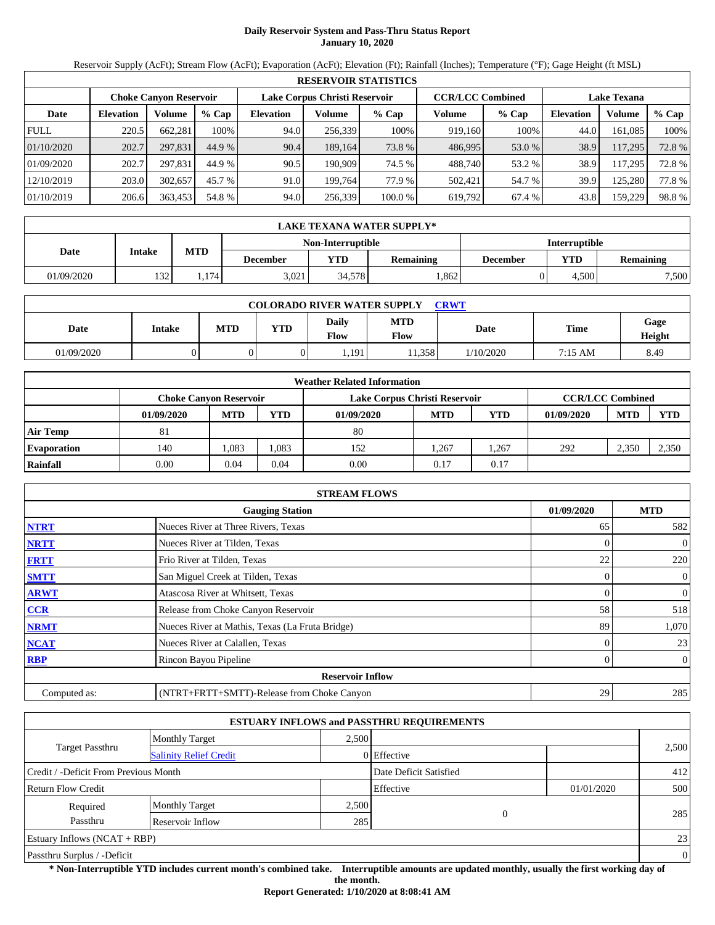# **Daily Reservoir System and Pass-Thru Status Report January 10, 2020**

Reservoir Supply (AcFt); Stream Flow (AcFt); Evaporation (AcFt); Elevation (Ft); Rainfall (Inches); Temperature (°F); Gage Height (ft MSL)

|             | <b>RESERVOIR STATISTICS</b> |                               |         |                               |         |         |                         |         |                    |         |       |  |
|-------------|-----------------------------|-------------------------------|---------|-------------------------------|---------|---------|-------------------------|---------|--------------------|---------|-------|--|
|             |                             | <b>Choke Canvon Reservoir</b> |         | Lake Corpus Christi Reservoir |         |         | <b>CCR/LCC Combined</b> |         | <b>Lake Texana</b> |         |       |  |
| Date        | <b>Elevation</b>            | Volume                        | $%$ Cap | <b>Elevation</b>              | Volume  | $%$ Cap | Volume                  | $%$ Cap | <b>Elevation</b>   | Volume  | % Cap |  |
| <b>FULL</b> | 220.5                       | 662.281                       | 100%    | 94.0                          | 256,339 | 100%    | 919.160                 | 100%    | 44.0               | 161,085 | 100%  |  |
| 01/10/2020  | 202.7                       | 297.831                       | 44.9 %  | 90.4                          | 189.164 | 73.8 %  | 486.995                 | 53.0 %  | 38.9               | 117,295 | 72.8% |  |
| 01/09/2020  | 202.7                       | 297.831                       | 44.9 %  | 90.5                          | 190.909 | 74.5 %  | 488.740                 | 53.2 %  | 38.9               | 17,295  | 72.8% |  |
| 12/10/2019  | 203.0                       | 302,657                       | 45.7 %  | 91.0                          | 199.764 | 77.9 %  | 502,421                 | 54.7 %  | 39.9               | 125,280 | 77.8% |  |
| 01/10/2019  | 206.6                       | 363,453                       | 54.8 %  | 94.0                          | 256,339 | 100.0 % | 619,792                 | 67.4 %  | 43.8               | 159,229 | 98.8% |  |

|            | LAKE TEXANA WATER SUPPLY* |            |                 |                          |                  |                                     |                      |       |  |  |  |
|------------|---------------------------|------------|-----------------|--------------------------|------------------|-------------------------------------|----------------------|-------|--|--|--|
|            |                           |            |                 | <b>Non-Interruptible</b> |                  |                                     | <b>Interruptible</b> |       |  |  |  |
| Date       | Intake                    | <b>MTD</b> | <b>December</b> | YTD                      | <b>Remaining</b> | YTD<br><b>Remaining</b><br>December |                      |       |  |  |  |
| 01/09/2020 | 132                       | . . 174    | 3.021           | 34.578                   | .862             |                                     | 4.500                | 7,500 |  |  |  |

| <b>COLORADO RIVER WATER SUPPLY</b><br><b>CRWT</b> |        |     |            |                               |                    |           |         |                |  |  |
|---------------------------------------------------|--------|-----|------------|-------------------------------|--------------------|-----------|---------|----------------|--|--|
| Date                                              | Intake | MTD | <b>YTD</b> | <b>Daily</b><br>$F_{\rm low}$ | <b>MTD</b><br>Flow | Date      | Time    | Gage<br>Height |  |  |
| 01/09/2020                                        |        |     |            | .191                          | 1.358              | 1/10/2020 | 7:15 AM | 8.49           |  |  |

|                    | <b>Weather Related Information</b> |                                                                                           |       |            |            |      |            |            |            |  |  |
|--------------------|------------------------------------|-------------------------------------------------------------------------------------------|-------|------------|------------|------|------------|------------|------------|--|--|
|                    |                                    | <b>CCR/LCC Combined</b><br><b>Choke Canvon Reservoir</b><br>Lake Corpus Christi Reservoir |       |            |            |      |            |            |            |  |  |
|                    | 01/09/2020                         | <b>MTD</b>                                                                                | YTD   | 01/09/2020 | <b>MTD</b> | YTD  | 01/09/2020 | <b>MTD</b> | <b>YTD</b> |  |  |
| <b>Air Temp</b>    | 81                                 |                                                                                           |       | 80         |            |      |            |            |            |  |  |
| <b>Evaporation</b> | 140                                | .083                                                                                      | 1,083 | 152        | 1.267      | .267 | 292        | 2,350      | 2,350      |  |  |
| Rainfall           | 0.00                               | 0.04                                                                                      | 0.04  | 0.00       | 0.17       | 0.17 |            |            |            |  |  |

|              | <b>STREAM FLOWS</b>                             |            |                |
|--------------|-------------------------------------------------|------------|----------------|
|              | <b>Gauging Station</b>                          | 01/09/2020 | <b>MTD</b>     |
| <b>NTRT</b>  | Nueces River at Three Rivers, Texas             | 65         | 582            |
| <b>NRTT</b>  | Nueces River at Tilden, Texas                   | 0          | $\theta$       |
| <b>FRTT</b>  | Frio River at Tilden, Texas                     | 22         | 220            |
| <b>SMTT</b>  | San Miguel Creek at Tilden, Texas               | 0          | $\mathbf{0}$   |
| <b>ARWT</b>  | Atascosa River at Whitsett, Texas               | 0          | $\overline{0}$ |
| CCR          | Release from Choke Canyon Reservoir             | 58         | 518            |
| <b>NRMT</b>  | Nueces River at Mathis, Texas (La Fruta Bridge) | 89         | 1,070          |
| <b>NCAT</b>  | Nueces River at Calallen, Texas                 | 0          | 23             |
| <b>RBP</b>   | Rincon Bayou Pipeline                           | 0          | $\overline{0}$ |
|              | <b>Reservoir Inflow</b>                         |            |                |
| Computed as: | (NTRT+FRTT+SMTT)-Release from Choke Canyon      | 29         | 285            |

|                                       |                               |       | <b>ESTUARY INFLOWS and PASSTHRU REQUIREMENTS</b> |            |              |
|---------------------------------------|-------------------------------|-------|--------------------------------------------------|------------|--------------|
|                                       | <b>Monthly Target</b>         | 2.500 |                                                  |            |              |
| <b>Target Passthru</b>                | <b>Salinity Relief Credit</b> |       | 0 Effective                                      |            | 2,500        |
| Credit / -Deficit From Previous Month |                               |       | Date Deficit Satisfied                           |            | 412          |
| <b>Return Flow Credit</b>             |                               |       | Effective                                        | 01/01/2020 | 500          |
| Required                              | <b>Monthly Target</b>         | 2,500 |                                                  |            |              |
| Passthru                              | Reservoir Inflow              | 285   | $\overline{0}$                                   |            | 285          |
| Estuary Inflows $(NCAT + RBP)$        |                               |       |                                                  |            | 23           |
| Passthru Surplus / -Deficit           |                               |       |                                                  |            | $\mathbf{0}$ |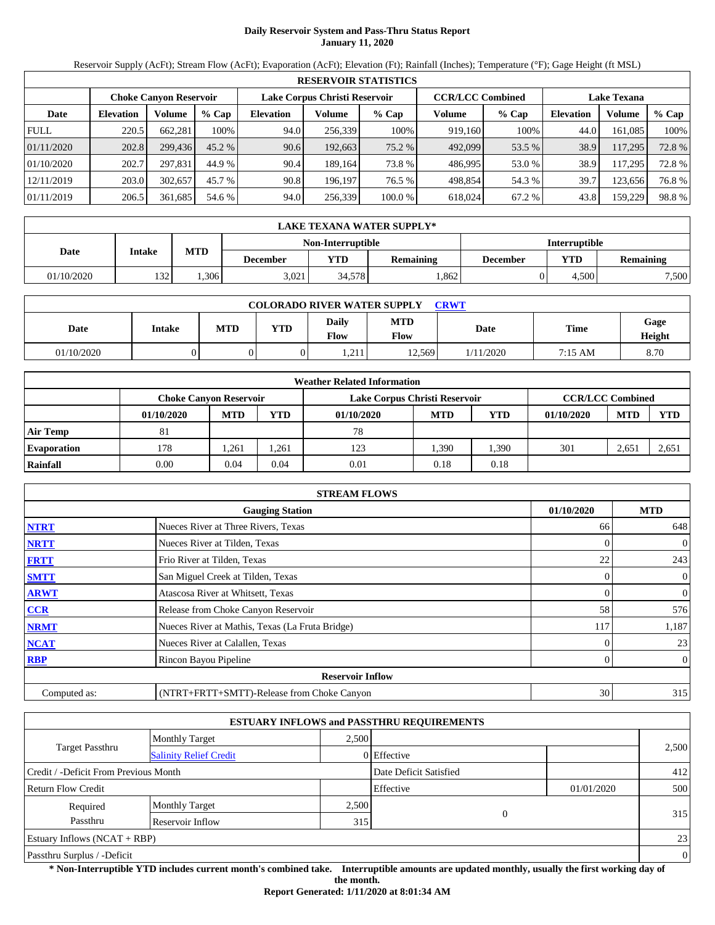# **Daily Reservoir System and Pass-Thru Status Report January 11, 2020**

Reservoir Supply (AcFt); Stream Flow (AcFt); Evaporation (AcFt); Elevation (Ft); Rainfall (Inches); Temperature (°F); Gage Height (ft MSL)

|             | <b>RESERVOIR STATISTICS</b> |                               |          |                  |                               |         |                         |         |                    |         |        |  |
|-------------|-----------------------------|-------------------------------|----------|------------------|-------------------------------|---------|-------------------------|---------|--------------------|---------|--------|--|
|             |                             | <b>Choke Canvon Reservoir</b> |          |                  | Lake Corpus Christi Reservoir |         | <b>CCR/LCC Combined</b> |         | <b>Lake Texana</b> |         |        |  |
| Date        | <b>Elevation</b>            | Volume                        | $%$ Cap  | <b>Elevation</b> | Volume                        | $%$ Cap | Volume                  | $%$ Cap | <b>Elevation</b>   | Volume  | % Cap  |  |
| <b>FULL</b> | 220.5                       | 662,281                       | 100%     | 94.0             | 256,339                       | 100%    | 919,160                 | 100%    | 44.0               | 161,085 | 100%   |  |
| 01/11/2020  | 202.8                       | 299,436                       | $45.2\%$ | 90.6             | 192,663                       | 75.2 %  | 492,099                 | 53.5 %  | 38.9               | 117,295 | 72.8 % |  |
| 01/10/2020  | 202.7                       | 297.831                       | 44.9 %   | 90.4             | 189.164                       | 73.8 %  | 486.995                 | 53.0 %  | 38.9               | 117,295 | 72.8 % |  |
| 12/11/2019  | 203.0                       | 302,657                       | 45.7 %   | 90.8             | 196.197                       | 76.5 %  | 498,854                 | 54.3 %  | 39.7               | 123,656 | 76.8%  |  |
| 01/11/2019  | 206.5                       | 361,685                       | 54.6 %   | 94.0             | 256,339                       | 100.0%  | 618,024                 | 67.2 %  | 43.8               | 159,229 | 98.8%  |  |

|            | LAKE TEXANA WATER SUPPLY* |            |                 |                          |           |          |                      |                  |  |  |  |  |
|------------|---------------------------|------------|-----------------|--------------------------|-----------|----------|----------------------|------------------|--|--|--|--|
|            |                           |            |                 | <b>Non-Interruptible</b> |           |          | <b>Interruptible</b> |                  |  |  |  |  |
| Date       | Intake                    | <b>MTD</b> | <b>December</b> | YTD                      | Remaining | December | YTD                  | <b>Remaining</b> |  |  |  |  |
| 01/10/2020 | 1321                      | .306       | 3.021           | 34.578                   | .862      |          | 4.500                | 7,500            |  |  |  |  |

| <b>COLORADO RIVER WATER SUPPLY</b><br><b>CRWT</b> |        |     |            |                             |                    |           |         |                |  |  |
|---------------------------------------------------|--------|-----|------------|-----------------------------|--------------------|-----------|---------|----------------|--|--|
| Date                                              | Intake | MTD | <b>YTD</b> | <b>Daily</b><br><b>Flow</b> | <b>MTD</b><br>Flow | Date      | Time    | Gage<br>Height |  |  |
| 01/10/2020                                        |        |     |            | 211<br>$\ldots$             | 12.569             | 1/11/2020 | 7:15 AM | 8.70           |  |  |

|                    | <b>Weather Related Information</b> |            |            |                               |            |      |                         |            |            |  |  |
|--------------------|------------------------------------|------------|------------|-------------------------------|------------|------|-------------------------|------------|------------|--|--|
|                    | <b>Choke Canyon Reservoir</b>      |            |            | Lake Corpus Christi Reservoir |            |      | <b>CCR/LCC Combined</b> |            |            |  |  |
|                    | 01/10/2020                         | <b>MTD</b> | <b>YTD</b> | 01/10/2020                    | <b>MTD</b> | YTD  | 01/10/2020              | <b>MTD</b> | <b>YTD</b> |  |  |
| <b>Air Temp</b>    | 81                                 |            |            | 78                            |            |      |                         |            |            |  |  |
| <b>Evaporation</b> | 178                                | .261       | 1,261      | 123                           | 1.390      | .390 | 301                     | 2,651      | 2,651      |  |  |
| Rainfall           | 0.00                               | 0.04       | 0.04       | 0.01                          | 0.18       | 0.18 |                         |            |            |  |  |

|              | <b>STREAM FLOWS</b>                             |              |                |
|--------------|-------------------------------------------------|--------------|----------------|
|              | <b>Gauging Station</b>                          | 01/10/2020   | <b>MTD</b>     |
| <b>NTRT</b>  | Nueces River at Three Rivers, Texas             | 66           | 648            |
| <b>NRTT</b>  | Nueces River at Tilden, Texas                   | $\Omega$     | $\mathbf{0}$   |
| <b>FRTT</b>  | Frio River at Tilden, Texas                     | 22           | 243            |
| <b>SMTT</b>  | San Miguel Creek at Tilden, Texas               | $\mathbf{0}$ | $\mathbf{0}$   |
| <b>ARWT</b>  | Atascosa River at Whitsett, Texas               |              | $\mathbf{0}$   |
| CCR          | Release from Choke Canyon Reservoir             | 58           | 576            |
| <b>NRMT</b>  | Nueces River at Mathis, Texas (La Fruta Bridge) | 117          | 1,187          |
| <b>NCAT</b>  | Nueces River at Calallen, Texas                 |              | 23             |
| <b>RBP</b>   | Rincon Bayou Pipeline                           | $\Omega$     | $\overline{0}$ |
|              | <b>Reservoir Inflow</b>                         |              |                |
| Computed as: | (NTRT+FRTT+SMTT)-Release from Choke Canyon      | 30           | 315            |

|                                       |                               |       | <b>ESTUARY INFLOWS and PASSTHRU REQUIREMENTS</b> |            |          |
|---------------------------------------|-------------------------------|-------|--------------------------------------------------|------------|----------|
|                                       | <b>Monthly Target</b>         | 2,500 |                                                  |            |          |
| <b>Target Passthru</b>                | <b>Salinity Relief Credit</b> |       | 0 Effective                                      |            | 2,500    |
| Credit / -Deficit From Previous Month |                               |       | Date Deficit Satisfied                           |            | 412      |
| <b>Return Flow Credit</b>             |                               |       | Effective                                        | 01/01/2020 | 500      |
| Required                              | <b>Monthly Target</b>         | 2,500 |                                                  |            |          |
| Passthru                              | Reservoir Inflow              | 315   | $\overline{0}$                                   |            | 315      |
| Estuary Inflows $(NCAT + RBP)$        |                               |       |                                                  |            | 23       |
| Passthru Surplus / -Deficit           |                               |       |                                                  |            | $\theta$ |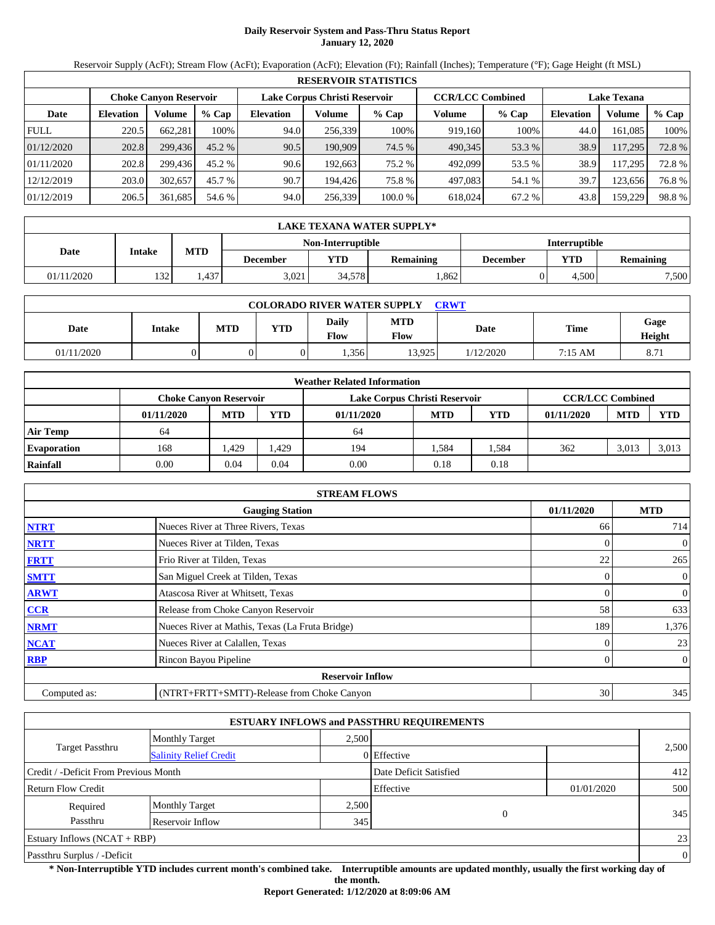# **Daily Reservoir System and Pass-Thru Status Report January 12, 2020**

Reservoir Supply (AcFt); Stream Flow (AcFt); Evaporation (AcFt); Elevation (Ft); Rainfall (Inches); Temperature (°F); Gage Height (ft MSL)

|             | <b>RESERVOIR STATISTICS</b> |                               |          |                  |                               |         |                         |         |                    |         |       |  |
|-------------|-----------------------------|-------------------------------|----------|------------------|-------------------------------|---------|-------------------------|---------|--------------------|---------|-------|--|
|             |                             | <b>Choke Canyon Reservoir</b> |          |                  | Lake Corpus Christi Reservoir |         | <b>CCR/LCC Combined</b> |         | <b>Lake Texana</b> |         |       |  |
| Date        | <b>Elevation</b>            | Volume                        | $%$ Cap  | <b>Elevation</b> | Volume                        | $%$ Cap | Volume                  | $%$ Cap | <b>Elevation</b>   | Volume  | % Cap |  |
| <b>FULL</b> | 220.5                       | 662.281                       | 100%     | 94.0             | 256.339                       | 100%    | 919.160                 | 100%    | 44.0               | 161.085 | 100%  |  |
| 01/12/2020  | 202.8                       | 299,436                       | $45.2\%$ | 90.5             | 190.909                       | 74.5 %  | 490,345                 | 53.3 %  | 38.9               | 117,295 | 72.8% |  |
| 01/11/2020  | 202.8                       | 299.436                       | 45.2 %   | 90.6             | 192.663                       | 75.2 %  | 492.099                 | 53.5 %  | 38.9               | 117.295 | 72.8% |  |
| 12/12/2019  | 203.0                       | 302,657                       | 45.7 %   | 90.7             | 194.426                       | 75.8 %  | 497.083                 | 54.1 %  | 39.7               | 123.656 | 76.8% |  |
| 01/12/2019  | 206.5                       | 361,685                       | 54.6 %   | 94.0             | 256,339                       | 100.0 % | 618.024                 | 67.2 %  | 43.8               | 159,229 | 98.8% |  |

|            | LAKE TEXANA WATER SUPPLY* |            |                                           |        |                  |          |       |                  |  |  |  |  |
|------------|---------------------------|------------|-------------------------------------------|--------|------------------|----------|-------|------------------|--|--|--|--|
|            |                           |            | <b>Interruptible</b><br>Non-Interruptible |        |                  |          |       |                  |  |  |  |  |
| Date       | Intake                    | <b>MTD</b> | <b>December</b>                           | VTD-   | <b>Remaining</b> | December | YTD   | <b>Remaining</b> |  |  |  |  |
| 01/11/2020 | 132                       | .437       | 3.021                                     | 34,578 | .862             |          | 4.500 | 7,500            |  |  |  |  |

| <b>COLORADO RIVER WATER SUPPLY</b><br><b>CRWT</b> |        |     |            |                      |                           |             |         |                |  |  |
|---------------------------------------------------|--------|-----|------------|----------------------|---------------------------|-------------|---------|----------------|--|--|
| Date                                              | Intake | MTD | <b>YTD</b> | Daily<br><b>Flow</b> | <b>MTD</b><br><b>Flow</b> | <b>Date</b> | Time    | Gage<br>Height |  |  |
| 01/11/2020                                        |        |     |            | .356                 | 13.925                    | 1/12/2020   | 7:15 AM | 8.71           |  |  |

|                    | <b>Weather Related Information</b> |            |            |                               |            |            |                         |            |            |  |  |
|--------------------|------------------------------------|------------|------------|-------------------------------|------------|------------|-------------------------|------------|------------|--|--|
|                    | <b>Choke Canvon Reservoir</b>      |            |            | Lake Corpus Christi Reservoir |            |            | <b>CCR/LCC Combined</b> |            |            |  |  |
|                    | 01/11/2020                         | <b>MTD</b> | <b>YTD</b> | 01/11/2020                    | <b>MTD</b> | <b>YTD</b> | 01/11/2020              | <b>MTD</b> | <b>YTD</b> |  |  |
| <b>Air Temp</b>    | 64                                 |            |            | 64                            |            |            |                         |            |            |  |  |
| <b>Evaporation</b> | 168                                | .429       | .429       | 194                           | 1.584      | .584       | 362                     | 3,013      | 3,013      |  |  |
| Rainfall           | 0.00                               | 0.04       | 0.04       | 0.00                          | 0.18       | 0.18       |                         |            |            |  |  |

|              | <b>STREAM FLOWS</b>                             |            |                |
|--------------|-------------------------------------------------|------------|----------------|
|              | <b>Gauging Station</b>                          | 01/11/2020 | <b>MTD</b>     |
| <b>NTRT</b>  | Nueces River at Three Rivers, Texas             | 66         | 714            |
| <b>NRTT</b>  | Nueces River at Tilden, Texas                   | $\Omega$   | $\mathbf{0}$   |
| <b>FRTT</b>  | Frio River at Tilden, Texas                     | 22         | 265            |
| <b>SMTT</b>  | San Miguel Creek at Tilden, Texas               | 0          | $\mathbf{0}$   |
| <b>ARWT</b>  | Atascosa River at Whitsett, Texas               | 0          | $\overline{0}$ |
| CCR          | Release from Choke Canyon Reservoir             | 58         | 633            |
| <b>NRMT</b>  | Nueces River at Mathis, Texas (La Fruta Bridge) | 189        | 1,376          |
| <b>NCAT</b>  | Nueces River at Calallen, Texas                 |            | 23             |
| <b>RBP</b>   | Rincon Bayou Pipeline                           | 0          | $\overline{0}$ |
|              | <b>Reservoir Inflow</b>                         |            |                |
| Computed as: | (NTRT+FRTT+SMTT)-Release from Choke Canyon      | 30         | 345            |

|                                       |                               |       | <b>ESTUARY INFLOWS and PASSTHRU REQUIREMENTS</b> |            |          |
|---------------------------------------|-------------------------------|-------|--------------------------------------------------|------------|----------|
|                                       | <b>Monthly Target</b>         | 2,500 |                                                  |            |          |
| <b>Target Passthru</b>                | <b>Salinity Relief Credit</b> |       | 0 Effective                                      |            | 2,500    |
| Credit / -Deficit From Previous Month |                               |       | Date Deficit Satisfied                           |            | 412      |
| <b>Return Flow Credit</b>             |                               |       | Effective                                        | 01/01/2020 | 500      |
| Required                              | <b>Monthly Target</b>         | 2,500 |                                                  |            |          |
| Passthru                              | Reservoir Inflow              | 345   | $\overline{0}$                                   |            | 345      |
| Estuary Inflows $(NCAT + RBP)$        |                               |       |                                                  |            | 23       |
| Passthru Surplus / -Deficit           |                               |       |                                                  |            | $\theta$ |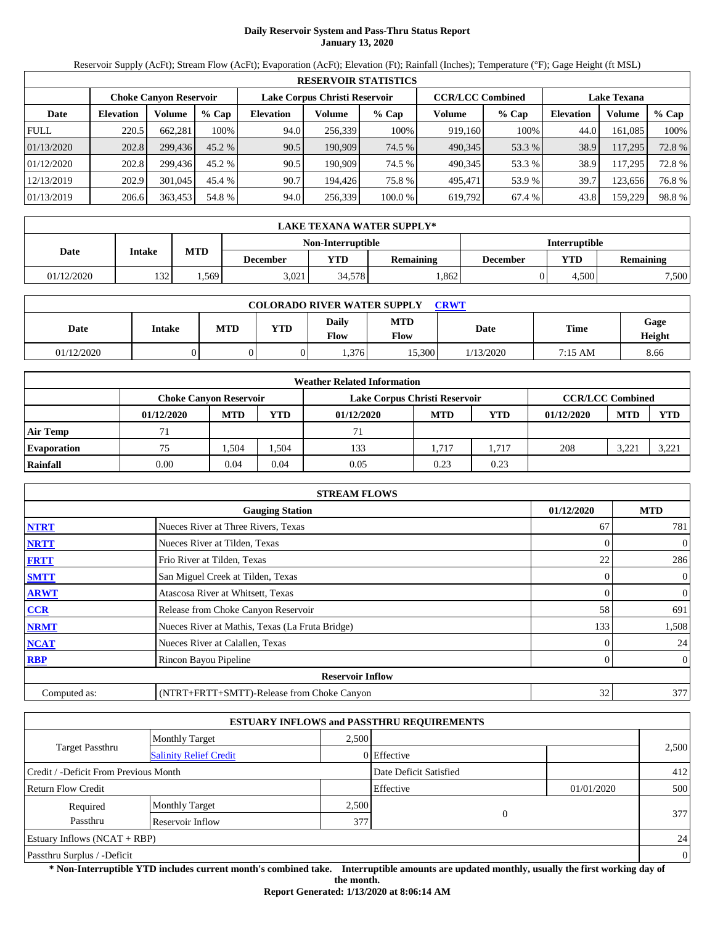# **Daily Reservoir System and Pass-Thru Status Report January 13, 2020**

Reservoir Supply (AcFt); Stream Flow (AcFt); Evaporation (AcFt); Elevation (Ft); Rainfall (Inches); Temperature (°F); Gage Height (ft MSL)

|             | <b>RESERVOIR STATISTICS</b> |                               |         |                               |         |         |                         |         |                    |         |        |  |
|-------------|-----------------------------|-------------------------------|---------|-------------------------------|---------|---------|-------------------------|---------|--------------------|---------|--------|--|
|             |                             | <b>Choke Canvon Reservoir</b> |         | Lake Corpus Christi Reservoir |         |         | <b>CCR/LCC Combined</b> |         | <b>Lake Texana</b> |         |        |  |
| Date        | <b>Elevation</b>            | Volume                        | $%$ Cap | <b>Elevation</b>              | Volume  | % Cap   | Volume                  | $%$ Cap | <b>Elevation</b>   | Volume  | % Cap  |  |
| <b>FULL</b> | 220.5                       | 662,281                       | 100%    | 94.0                          | 256,339 | 100%    | 919.160                 | 100%    | 44.0               | 161.085 | 100%   |  |
| 01/13/2020  | 202.8                       | 299.436                       | 45.2 %  | 90.5                          | 190,909 | 74.5 %  | 490,345                 | 53.3 %  | 38.9               | 117,295 | 72.8 % |  |
| 01/12/2020  | 202.8                       | 299.436                       | 45.2 %  | 90.5                          | 190.909 | 74.5 %  | 490.345                 | 53.3 %  | 38.9               | 117.295 | 72.8%  |  |
| 12/13/2019  | 202.9                       | 301,045                       | 45.4 %  | 90.7                          | 194.426 | 75.8%   | 495.471                 | 53.9 %  | 39.7               | 123.656 | 76.8%  |  |
| 01/13/2019  | 206.6                       | 363,453                       | 54.8 %  | 94.0                          | 256,339 | 100.0 % | 619,792                 | 67.4 %  | 43.8               | 159,229 | 98.8%  |  |

|            | LAKE TEXANA WATER SUPPLY* |            |                 |                   |                  |          |                      |                  |  |  |  |
|------------|---------------------------|------------|-----------------|-------------------|------------------|----------|----------------------|------------------|--|--|--|
|            |                           |            |                 | Non-Interruptible |                  |          | <b>Interruptible</b> |                  |  |  |  |
| Date       | Intake                    | <b>MTD</b> | <b>December</b> | VTD-              | <b>Remaining</b> | December | YTD                  | <b>Remaining</b> |  |  |  |
| 01/12/2020 | 132                       | .569       | 3.021           | 34,578            | .862             |          | 4.500                | 7,500            |  |  |  |

| <b>COLORADO RIVER WATER SUPPLY</b><br><b>CRWT</b> |        |     |            |                      |                           |             |         |                |  |  |
|---------------------------------------------------|--------|-----|------------|----------------------|---------------------------|-------------|---------|----------------|--|--|
| Date                                              | Intake | MTD | <b>YTD</b> | Daily<br><b>Flow</b> | <b>MTD</b><br><b>Flow</b> | <b>Date</b> | Time    | Gage<br>Height |  |  |
| 01/12/2020                                        |        |     |            | .376                 | 15.300                    | 1/13/2020   | 7:15 AM | 8.66           |  |  |

|                    | <b>Weather Related Information</b> |            |       |                               |            |            |                         |            |            |  |  |
|--------------------|------------------------------------|------------|-------|-------------------------------|------------|------------|-------------------------|------------|------------|--|--|
|                    | <b>Choke Canyon Reservoir</b>      |            |       | Lake Corpus Christi Reservoir |            |            | <b>CCR/LCC Combined</b> |            |            |  |  |
|                    | 01/12/2020                         | <b>MTD</b> | YTD   | 01/12/2020                    | <b>MTD</b> | <b>YTD</b> | 01/12/2020              | <b>MTD</b> | <b>YTD</b> |  |  |
| <b>Air Temp</b>    |                                    |            |       | 71                            |            |            |                         |            |            |  |  |
| <b>Evaporation</b> | 75                                 | .504       | 1.504 | 133                           | 1.717      | 1.717      | 208                     | 3,221      | 3,22       |  |  |
| Rainfall           | 0.00                               | 0.04       | 0.04  | 0.05                          | 0.23       | 0.23       |                         |            |            |  |  |

|              | <b>STREAM FLOWS</b>                             |            |                |
|--------------|-------------------------------------------------|------------|----------------|
|              | <b>Gauging Station</b>                          | 01/12/2020 | <b>MTD</b>     |
| <b>NTRT</b>  | Nueces River at Three Rivers, Texas             | 67         | 781            |
| <b>NRTT</b>  | Nueces River at Tilden, Texas                   |            | $\overline{0}$ |
| <b>FRTT</b>  | Frio River at Tilden, Texas                     | 22         | 286            |
| <b>SMTT</b>  | San Miguel Creek at Tilden, Texas               | $\Omega$   | $\overline{0}$ |
| <b>ARWT</b>  | Atascosa River at Whitsett, Texas               |            | $\overline{0}$ |
| <b>CCR</b>   | Release from Choke Canyon Reservoir             | 58         | 691            |
| <b>NRMT</b>  | Nueces River at Mathis, Texas (La Fruta Bridge) | 133        | 1,508          |
| <b>NCAT</b>  | Nueces River at Calallen, Texas                 |            | 24             |
| <b>RBP</b>   | Rincon Bayou Pipeline                           | 0          | $\overline{0}$ |
|              | <b>Reservoir Inflow</b>                         |            |                |
| Computed as: | (NTRT+FRTT+SMTT)-Release from Choke Canyon      | 32         | 377            |

|                                       |                               |       | <b>ESTUARY INFLOWS and PASSTHRU REQUIREMENTS</b> |            |                |
|---------------------------------------|-------------------------------|-------|--------------------------------------------------|------------|----------------|
|                                       | <b>Monthly Target</b>         | 2,500 |                                                  |            |                |
| <b>Target Passthru</b>                | <b>Salinity Relief Credit</b> |       | 0 Effective                                      |            | 2,500          |
| Credit / -Deficit From Previous Month |                               |       | Date Deficit Satisfied                           |            | 412            |
| <b>Return Flow Credit</b>             |                               |       | Effective                                        | 01/01/2020 | 500            |
| Required                              | <b>Monthly Target</b>         | 2,500 |                                                  |            |                |
| Passthru                              | Reservoir Inflow              | 377   | $\overline{0}$                                   |            | 377            |
| Estuary Inflows $(NCAT + RBP)$        |                               |       |                                                  |            | 24             |
| Passthru Surplus / -Deficit           |                               |       |                                                  |            | $\overline{0}$ |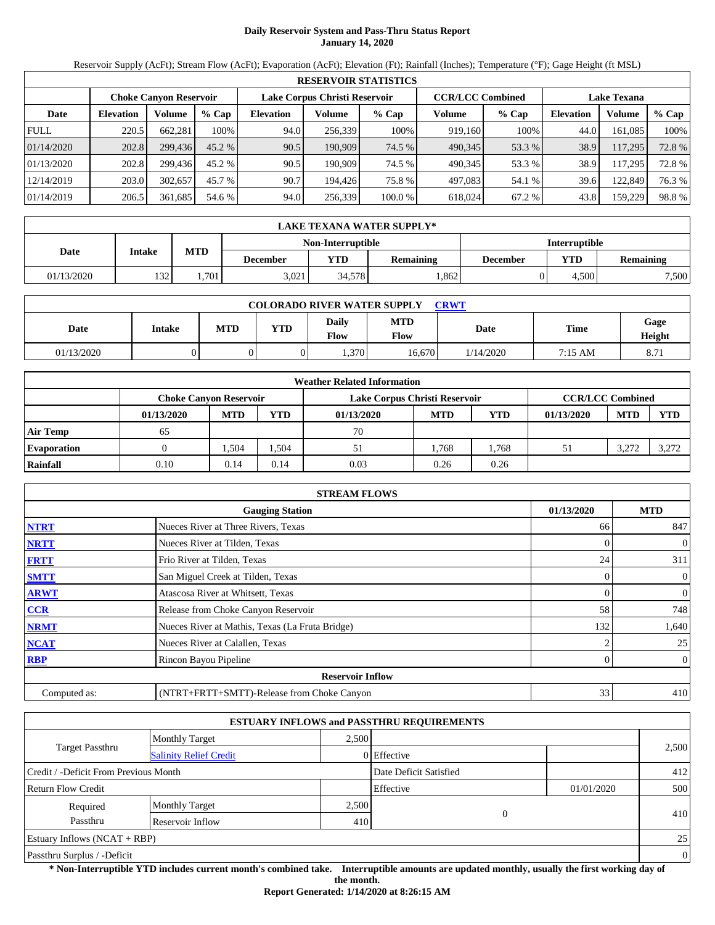# **Daily Reservoir System and Pass-Thru Status Report January 14, 2020**

Reservoir Supply (AcFt); Stream Flow (AcFt); Evaporation (AcFt); Elevation (Ft); Rainfall (Inches); Temperature (°F); Gage Height (ft MSL)

|             | <b>RESERVOIR STATISTICS</b> |                               |         |                  |                               |         |                         |         |                  |                    |        |  |
|-------------|-----------------------------|-------------------------------|---------|------------------|-------------------------------|---------|-------------------------|---------|------------------|--------------------|--------|--|
|             |                             | <b>Choke Canvon Reservoir</b> |         |                  | Lake Corpus Christi Reservoir |         | <b>CCR/LCC Combined</b> |         |                  | <b>Lake Texana</b> |        |  |
| Date        | <b>Elevation</b>            | <b>Volume</b>                 | $%$ Cap | <b>Elevation</b> | Volume                        | $%$ Cap | Volume                  | $%$ Cap | <b>Elevation</b> | Volume             | % Cap  |  |
| <b>FULL</b> | 220.5                       | 662.281                       | 100%    | 94.0             | 256,339                       | 100%    | 919,160                 | 100%    | 44.0             | 161.085            | 100%   |  |
| 01/14/2020  | 202.8                       | 299,436                       | 45.2 %  | 90.5             | 190,909                       | 74.5 %  | 490,345                 | 53.3 %  | 38.9             | 117,295            | 72.8 % |  |
| 01/13/2020  | 202.8                       | 299.436                       | 45.2 %  | 90.5             | 190.909                       | 74.5 %  | 490.345                 | 53.3 %  | 38.9             | 117.295            | 72.8%  |  |
| 12/14/2019  | 203.0                       | 302.657                       | 45.7 %  | 90.7             | 194.426                       | 75.8%   | 497.083                 | 54.1 %  | 39.6             | 122,849            | 76.3 % |  |
| 01/14/2019  | 206.5                       | 361,685                       | 54.6 %  | 94.0             | 256,339                       | 100.0 % | 618,024                 | 67.2 %  | 43.8             | 159,229            | 98.8%  |  |

|            | LAKE TEXANA WATER SUPPLY* |            |                 |                   |                  |          |                      |                  |  |  |  |
|------------|---------------------------|------------|-----------------|-------------------|------------------|----------|----------------------|------------------|--|--|--|
|            |                           |            |                 | Non-Interruptible |                  |          | <b>Interruptible</b> |                  |  |  |  |
| Date       | Intake                    | <b>MTD</b> | <b>December</b> | VTD-              | <b>Remaining</b> | December | YTD                  | <b>Remaining</b> |  |  |  |
| 01/13/2020 | 132                       | .701       | 3.021           | 34,578            | .862             |          | 4.500                | 7,500            |  |  |  |

| <b>COLORADO RIVER WATER SUPPLY</b><br><b>CRWT</b> |        |     |            |                      |                           |             |         |                |  |  |
|---------------------------------------------------|--------|-----|------------|----------------------|---------------------------|-------------|---------|----------------|--|--|
| Date                                              | Intake | MTD | <b>YTD</b> | Daily<br><b>Flow</b> | <b>MTD</b><br><b>Flow</b> | <b>Date</b> | Time    | Gage<br>Height |  |  |
| 01/13/2020                                        |        |     |            | 0.370                | 16.670                    | 1/14/2020   | 7:15 AM | 8.71           |  |  |

|                    |                               |            |            | <b>Weather Related Information</b> |            |            |                         |            |            |
|--------------------|-------------------------------|------------|------------|------------------------------------|------------|------------|-------------------------|------------|------------|
|                    | <b>Choke Canvon Reservoir</b> |            |            | Lake Corpus Christi Reservoir      |            |            | <b>CCR/LCC Combined</b> |            |            |
|                    | 01/13/2020                    | <b>MTD</b> | <b>YTD</b> | 01/13/2020                         | <b>MTD</b> | <b>YTD</b> | 01/13/2020              | <b>MTD</b> | <b>YTD</b> |
| <b>Air Temp</b>    | 65                            |            |            | 70                                 |            |            |                         |            |            |
| <b>Evaporation</b> |                               | .504       | 1.504      | 51                                 | l.768      | .768       |                         | 3,272      | 3,272      |
| Rainfall           | 0.10                          | 0.14       | 0.14       | 0.03                               | 0.26       | 0.26       |                         |            |            |

|              | <b>STREAM FLOWS</b>                             |            |                              |
|--------------|-------------------------------------------------|------------|------------------------------|
|              | <b>Gauging Station</b>                          | 01/13/2020 | <b>MTD</b>                   |
| <b>NTRT</b>  | Nueces River at Three Rivers, Texas             | 66         | 847                          |
| <b>NRTT</b>  | Nueces River at Tilden, Texas                   |            | $\boldsymbol{0}$<br>$\Omega$ |
| <b>FRTT</b>  | Frio River at Tilden, Texas                     | 24         | 311                          |
| <b>SMTT</b>  | San Miguel Creek at Tilden, Texas               |            | $\mathbf{0}$<br>0            |
| <b>ARWT</b>  | Atascosa River at Whitsett, Texas               |            | $\mathbf{0}$<br>0            |
| CCR          | Release from Choke Canyon Reservoir             | 58         | 748                          |
| <b>NRMT</b>  | Nueces River at Mathis, Texas (La Fruta Bridge) | 132        | 1,640                        |
| <b>NCAT</b>  | Nueces River at Calallen, Texas                 |            | 25                           |
| <b>RBP</b>   | Rincon Bayou Pipeline                           |            | $\overline{0}$<br>0          |
|              | <b>Reservoir Inflow</b>                         |            |                              |
| Computed as: | (NTRT+FRTT+SMTT)-Release from Choke Canyon      | 33         | 410                          |

|                                       |                               |       | <b>ESTUARY INFLOWS and PASSTHRU REQUIREMENTS</b> |            |                |
|---------------------------------------|-------------------------------|-------|--------------------------------------------------|------------|----------------|
|                                       | <b>Monthly Target</b>         | 2,500 |                                                  |            |                |
| <b>Target Passthru</b>                | <b>Salinity Relief Credit</b> |       | 0 Effective                                      |            | 2,500          |
| Credit / -Deficit From Previous Month |                               |       | Date Deficit Satisfied                           |            | 412            |
| <b>Return Flow Credit</b>             |                               |       | Effective                                        | 01/01/2020 | 500            |
| Required                              | <b>Monthly Target</b>         | 2,500 |                                                  |            |                |
| Passthru                              | Reservoir Inflow              | 410   | $\overline{0}$                                   |            | 410            |
| Estuary Inflows $(NCAT + RBP)$        |                               |       |                                                  |            | 25             |
| Passthru Surplus / -Deficit           |                               |       |                                                  |            | $\overline{0}$ |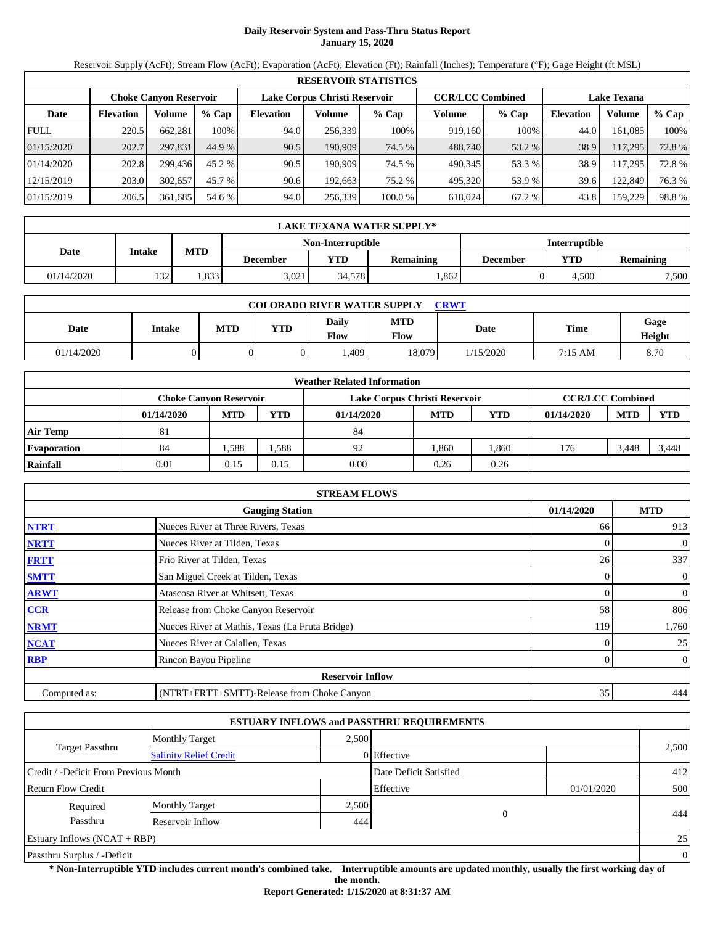# **Daily Reservoir System and Pass-Thru Status Report January 15, 2020**

Reservoir Supply (AcFt); Stream Flow (AcFt); Evaporation (AcFt); Elevation (Ft); Rainfall (Inches); Temperature (°F); Gage Height (ft MSL)

|             | <b>RESERVOIR STATISTICS</b> |                               |         |                  |                               |         |                         |         |                    |         |        |  |  |
|-------------|-----------------------------|-------------------------------|---------|------------------|-------------------------------|---------|-------------------------|---------|--------------------|---------|--------|--|--|
|             |                             | <b>Choke Canyon Reservoir</b> |         |                  | Lake Corpus Christi Reservoir |         | <b>CCR/LCC Combined</b> |         | <b>Lake Texana</b> |         |        |  |  |
| Date        | <b>Elevation</b>            | Volume                        | $%$ Cap | <b>Elevation</b> | Volume                        | $%$ Cap | Volume                  | $%$ Cap | <b>Elevation</b>   | Volume  | % Cap  |  |  |
| <b>FULL</b> | 220.5                       | 662.281                       | 100%    | 94.0             | 256.339                       | 100%    | 919.160                 | 100%    | 44.0               | 161.085 | 100%   |  |  |
| 01/15/2020  | 202.7                       | 297,831                       | 44.9 %  | 90.5             | 190,909                       | 74.5 %  | 488,740                 | 53.2 %  | 38.9               | 117,295 | 72.8%  |  |  |
| 01/14/2020  | 202.8                       | 299.436                       | 45.2 %  | 90.5             | 190.909                       | 74.5 %  | 490.345                 | 53.3 %  | 38.9               | 117.295 | 72.8%  |  |  |
| 12/15/2019  | 203.0                       | 302,657                       | 45.7 %  | 90.6             | 192.663                       | 75.2 %  | 495.320                 | 53.9 %  | 39.6               | 122,849 | 76.3 % |  |  |
| 01/15/2019  | 206.5                       | 361,685                       | 54.6 %  | 94.0             | 256,339                       | 100.0 % | 618.024                 | 67.2 %  | 43.8               | 159,229 | 98.8%  |  |  |

|            | LAKE TEXANA WATER SUPPLY* |            |                 |                   |                  |          |                      |                  |  |  |  |
|------------|---------------------------|------------|-----------------|-------------------|------------------|----------|----------------------|------------------|--|--|--|
|            |                           |            |                 | Non-Interruptible |                  |          | <b>Interruptible</b> |                  |  |  |  |
| Date       | Intake                    | <b>MTD</b> | <b>December</b> | VTD-              | <b>Remaining</b> | December | YTD                  | <b>Remaining</b> |  |  |  |
| 01/14/2020 | 132                       | .833       | 3.021           | 34,578            | .862             |          | 4.500                | 7,500            |  |  |  |

| <b>COLORADO RIVER WATER SUPPLY</b><br><b>CRWT</b> |        |     |            |                        |                           |             |         |                |  |  |
|---------------------------------------------------|--------|-----|------------|------------------------|---------------------------|-------------|---------|----------------|--|--|
| Date                                              | Intake | MTD | <b>YTD</b> | Daily<br>$F_{\rm low}$ | <b>MTD</b><br><b>Flow</b> | <b>Date</b> | Time    | Gage<br>Height |  |  |
| 01/14/2020                                        |        |     |            | .409 <sup>°</sup>      | 18,079                    | 1/15/2020   | 7:15 AM | 8.70           |  |  |

|                    | <b>Weather Related Information</b> |                                                                                           |            |            |            |            |            |            |            |  |  |  |
|--------------------|------------------------------------|-------------------------------------------------------------------------------------------|------------|------------|------------|------------|------------|------------|------------|--|--|--|
|                    |                                    | <b>CCR/LCC Combined</b><br>Lake Corpus Christi Reservoir<br><b>Choke Canvon Reservoir</b> |            |            |            |            |            |            |            |  |  |  |
|                    | 01/14/2020                         | <b>MTD</b>                                                                                | <b>YTD</b> | 01/14/2020 | <b>MTD</b> | <b>YTD</b> | 01/14/2020 | <b>MTD</b> | <b>YTD</b> |  |  |  |
| <b>Air Temp</b>    | 81                                 |                                                                                           |            | 84         |            |            |            |            |            |  |  |  |
| <b>Evaporation</b> | 84                                 | .588                                                                                      | 1.588      | 92         | 1.860      | .860       | 176        | 3.448      | 3.448      |  |  |  |
| Rainfall           | 0.01                               | 0.15                                                                                      | 0.15       | 0.00       | 0.26       | 0.26       |            |            |            |  |  |  |

|              | <b>STREAM FLOWS</b>                             |            |                |
|--------------|-------------------------------------------------|------------|----------------|
|              | <b>Gauging Station</b>                          | 01/14/2020 | <b>MTD</b>     |
| <b>NTRT</b>  | Nueces River at Three Rivers, Texas             | 66         | 913            |
| <b>NRTT</b>  | Nueces River at Tilden, Texas                   | 0          | $\mathbf{0}$   |
| <b>FRTT</b>  | Frio River at Tilden, Texas                     | 26         | 337            |
| <b>SMTT</b>  | San Miguel Creek at Tilden, Texas               | 0          | $\mathbf{0}$   |
| <b>ARWT</b>  | Atascosa River at Whitsett, Texas               | 0          | $\mathbf{0}$   |
| <b>CCR</b>   | Release from Choke Canyon Reservoir             | 58         | 806            |
| <b>NRMT</b>  | Nueces River at Mathis, Texas (La Fruta Bridge) | 119        | 1,760          |
| <b>NCAT</b>  | Nueces River at Calallen, Texas                 |            | 25             |
| <b>RBP</b>   | Rincon Bayou Pipeline                           | 0          | $\overline{0}$ |
|              | <b>Reservoir Inflow</b>                         |            |                |
| Computed as: | (NTRT+FRTT+SMTT)-Release from Choke Canyon      | 35         | 444            |

|                                       |                               |       | <b>ESTUARY INFLOWS and PASSTHRU REQUIREMENTS</b> |            |                |
|---------------------------------------|-------------------------------|-------|--------------------------------------------------|------------|----------------|
|                                       | <b>Monthly Target</b>         | 2,500 |                                                  |            |                |
| <b>Target Passthru</b>                | <b>Salinity Relief Credit</b> |       | 0 Effective                                      |            | 2,500          |
| Credit / -Deficit From Previous Month |                               |       | Date Deficit Satisfied                           |            | 412            |
| <b>Return Flow Credit</b>             |                               |       | Effective                                        | 01/01/2020 | 500            |
| Required                              | <b>Monthly Target</b>         | 2,500 |                                                  |            |                |
| Passthru                              | Reservoir Inflow              | 444   | $\overline{0}$                                   |            | 444            |
| Estuary Inflows $(NCAT + RBP)$        |                               |       |                                                  |            | 25             |
| Passthru Surplus / -Deficit           |                               |       |                                                  |            | $\overline{0}$ |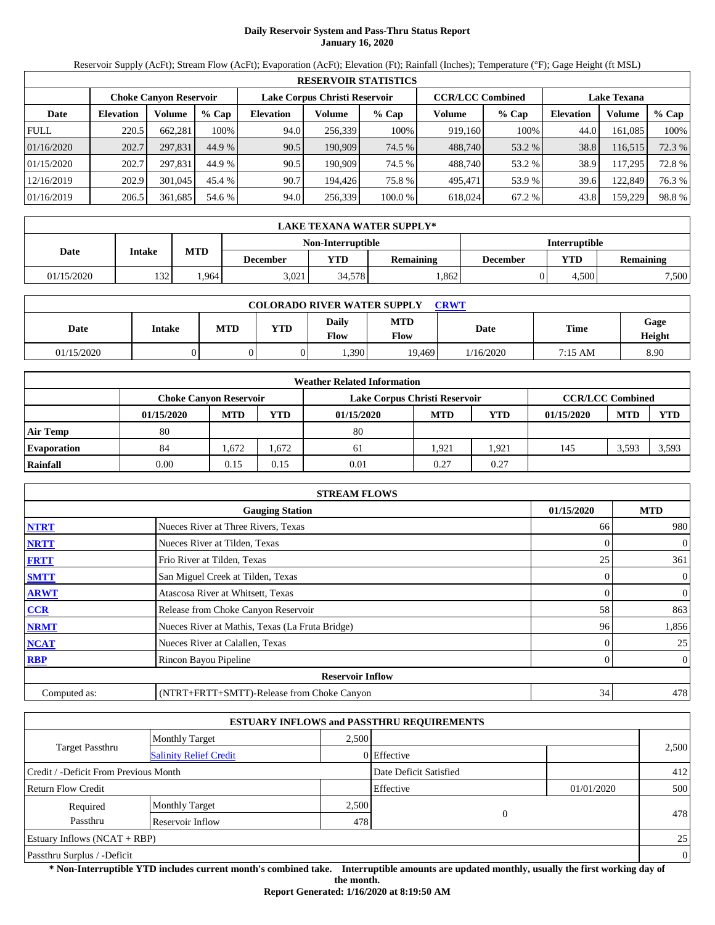# **Daily Reservoir System and Pass-Thru Status Report January 16, 2020**

Reservoir Supply (AcFt); Stream Flow (AcFt); Evaporation (AcFt); Elevation (Ft); Rainfall (Inches); Temperature (°F); Gage Height (ft MSL)

|             | <b>RESERVOIR STATISTICS</b> |                               |         |                  |                               |         |                         |         |                    |         |        |  |  |
|-------------|-----------------------------|-------------------------------|---------|------------------|-------------------------------|---------|-------------------------|---------|--------------------|---------|--------|--|--|
|             |                             | <b>Choke Canyon Reservoir</b> |         |                  | Lake Corpus Christi Reservoir |         | <b>CCR/LCC Combined</b> |         | <b>Lake Texana</b> |         |        |  |  |
| Date        | <b>Elevation</b>            | Volume                        | $%$ Cap | <b>Elevation</b> | Volume                        | $%$ Cap | Volume                  | $%$ Cap | <b>Elevation</b>   | Volume  | % Cap  |  |  |
| <b>FULL</b> | 220.5                       | 662.281                       | 100%    | 94.0             | 256.339                       | 100%    | 919.160                 | 100%    | 44.0               | 161,085 | 100%   |  |  |
| 01/16/2020  | 202.7                       | 297.831                       | 44.9 %  | 90.5             | 190.909                       | 74.5 %  | 488,740                 | 53.2 %  | 38.8               | 116,515 | 72.3 % |  |  |
| 01/15/2020  | 202.7                       | 297.831                       | 44.9 %  | 90.5             | 190.909                       | 74.5 %  | 488,740                 | 53.2 %  | 38.9               | 117.295 | 72.8 % |  |  |
| 12/16/2019  | 202.9                       | 301,045                       | 45.4 %  | 90.7             | 194.426                       | 75.8 %  | 495,471                 | 53.9 %  | 39.6               | 122,849 | 76.3 % |  |  |
| 01/16/2019  | 206.5                       | 361,685                       | 54.6 %  | 94.0             | 256,339                       | 100.0%  | 618,024                 | 67.2 %  | 43.8               | 159,229 | 98.8%  |  |  |

|            | LAKE TEXANA WATER SUPPLY* |            |                                                  |        |                  |                                     |       |       |  |  |  |
|------------|---------------------------|------------|--------------------------------------------------|--------|------------------|-------------------------------------|-------|-------|--|--|--|
|            |                           |            | <b>Interruptible</b><br><b>Non-Interruptible</b> |        |                  |                                     |       |       |  |  |  |
| Date       | Intake                    | <b>MTD</b> | <b>December</b>                                  | YTD    | <b>Remaining</b> | YTD<br><b>Remaining</b><br>December |       |       |  |  |  |
| 01/15/2020 | 1321                      | .964       | 3.021                                            | 34.578 | .862             |                                     | 4.500 | 7,500 |  |  |  |

| <b>COLORADO RIVER WATER SUPPLY</b><br><b>CRWT</b> |               |            |            |               |                    |           |             |                |  |  |
|---------------------------------------------------|---------------|------------|------------|---------------|--------------------|-----------|-------------|----------------|--|--|
| Date                                              | <b>Intake</b> | <b>MTD</b> | <b>YTD</b> | Daily<br>Flow | <b>MTD</b><br>Flow | Date      | <b>Time</b> | Gage<br>Height |  |  |
| 01/15/2020                                        |               |            |            | 0.390         | 19,469             | 1/16/2020 | 7:15 AM     | 8.90           |  |  |

|                    | <b>Weather Related Information</b> |                                                                                           |       |            |            |            |            |            |            |  |  |  |
|--------------------|------------------------------------|-------------------------------------------------------------------------------------------|-------|------------|------------|------------|------------|------------|------------|--|--|--|
|                    |                                    | <b>CCR/LCC Combined</b><br>Lake Corpus Christi Reservoir<br><b>Choke Canyon Reservoir</b> |       |            |            |            |            |            |            |  |  |  |
|                    | 01/15/2020                         | <b>MTD</b>                                                                                | YTD   | 01/15/2020 | <b>MTD</b> | <b>YTD</b> | 01/15/2020 | <b>MTD</b> | <b>YTD</b> |  |  |  |
| <b>Air Temp</b>    | 80                                 |                                                                                           |       | 80         |            |            |            |            |            |  |  |  |
| <b>Evaporation</b> | 84                                 | .672                                                                                      | 1,672 | 61         | 1.921      | .921       | 145        | 3,593      | 3,593      |  |  |  |
| Rainfall           | 0.00                               | 0.15                                                                                      | 0.15  | 0.01       | 0.27       | 0.27       |            |            |            |  |  |  |

|              | <b>STREAM FLOWS</b>                             |            |                |
|--------------|-------------------------------------------------|------------|----------------|
|              | <b>Gauging Station</b>                          | 01/15/2020 | <b>MTD</b>     |
| <b>NTRT</b>  | Nueces River at Three Rivers, Texas             | 66         | 980            |
| <b>NRTT</b>  | Nueces River at Tilden, Texas                   | 0          | $\mathbf{0}$   |
| <b>FRTT</b>  | Frio River at Tilden, Texas                     | 25         | 361            |
| <b>SMTT</b>  | San Miguel Creek at Tilden, Texas               | 0          | $\mathbf{0}$   |
| <b>ARWT</b>  | Atascosa River at Whitsett, Texas               | 0          | $\mathbf{0}$   |
| <b>CCR</b>   | Release from Choke Canyon Reservoir             | 58         | 863            |
| <b>NRMT</b>  | Nueces River at Mathis, Texas (La Fruta Bridge) | 96         | 1,856          |
| <b>NCAT</b>  | Nueces River at Calallen, Texas                 |            | 25             |
| <b>RBP</b>   | Rincon Bayou Pipeline                           | 0          | $\overline{0}$ |
|              | <b>Reservoir Inflow</b>                         |            |                |
| Computed as: | (NTRT+FRTT+SMTT)-Release from Choke Canyon      | 34         | 478            |

|                                                  |                       |       | <b>ESTUARY INFLOWS and PASSTHRU REQUIREMENTS</b> |            |                |
|--------------------------------------------------|-----------------------|-------|--------------------------------------------------|------------|----------------|
|                                                  | <b>Monthly Target</b> | 2.500 |                                                  |            |                |
| Target Passthru<br><b>Salinity Relief Credit</b> |                       |       | 0 Effective                                      |            | 2,500          |
| Credit / -Deficit From Previous Month            |                       |       | Date Deficit Satisfied                           |            | 412            |
| <b>Return Flow Credit</b>                        |                       |       | Effective                                        | 01/01/2020 | 500            |
| Required                                         | <b>Monthly Target</b> | 2,500 |                                                  |            |                |
| Passthru                                         | Reservoir Inflow      | 478   | $\Omega$                                         |            | 478            |
| Estuary Inflows $(NCAT + RBP)$                   |                       |       |                                                  |            | 25             |
| Passthru Surplus / -Deficit                      |                       |       |                                                  |            | $\overline{0}$ |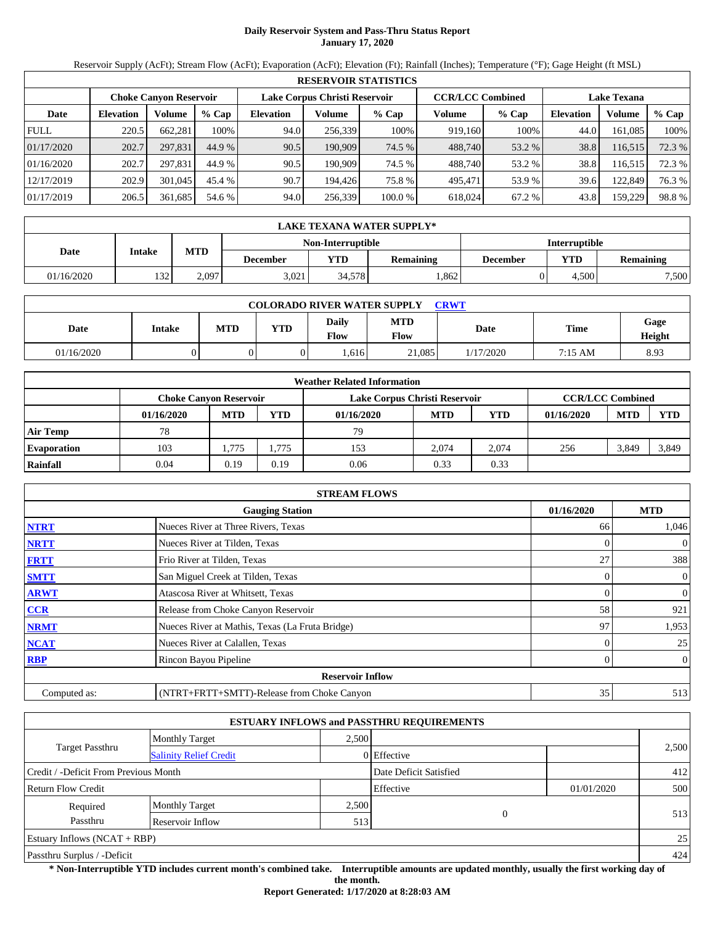# **Daily Reservoir System and Pass-Thru Status Report January 17, 2020**

Reservoir Supply (AcFt); Stream Flow (AcFt); Evaporation (AcFt); Elevation (Ft); Rainfall (Inches); Temperature (°F); Gage Height (ft MSL)

|             | <b>RESERVOIR STATISTICS</b> |                               |         |                  |                               |         |                         |         |                    |         |        |  |
|-------------|-----------------------------|-------------------------------|---------|------------------|-------------------------------|---------|-------------------------|---------|--------------------|---------|--------|--|
|             |                             | <b>Choke Canyon Reservoir</b> |         |                  | Lake Corpus Christi Reservoir |         | <b>CCR/LCC Combined</b> |         | <b>Lake Texana</b> |         |        |  |
| Date        | <b>Elevation</b>            | Volume                        | $%$ Cap | <b>Elevation</b> | Volume                        | $%$ Cap | Volume                  | $%$ Cap | <b>Elevation</b>   | Volume  | % Cap  |  |
| <b>FULL</b> | 220.5                       | 662.281                       | 100%    | 94.0             | 256.339                       | 100%    | 919.160                 | 100%    | 44.0               | 161.085 | 100%   |  |
| 01/17/2020  | 202.7                       | 297,831                       | 44.9 %  | 90.5             | 190,909                       | 74.5 %  | 488,740                 | 53.2 %  | 38.8               | 116,515 | 72.3 % |  |
| 01/16/2020  | 202.7                       | 297.831                       | 44.9 %  | 90.5             | 190.909                       | 74.5 %  | 488.740                 | 53.2 %  | 38.8               | 116,515 | 72.3 % |  |
| 12/17/2019  | 202.9                       | 301,045                       | 45.4 %  | 90.7             | 194.426                       | 75.8 %  | 495.471                 | 53.9 %  | 39.6               | 122,849 | 76.3 % |  |
| 01/17/2019  | 206.5                       | 361,685                       | 54.6 %  | 94.0             | 256,339                       | 100.0 % | 618.024                 | 67.2 %  | 43.8               | 159,229 | 98.8%  |  |

|                                                  | LAKE TEXANA WATER SUPPLY* |            |                 |        |                  |          |       |                  |  |  |  |
|--------------------------------------------------|---------------------------|------------|-----------------|--------|------------------|----------|-------|------------------|--|--|--|
| <b>Interruptible</b><br><b>Non-Interruptible</b> |                           |            |                 |        |                  |          |       |                  |  |  |  |
| Date                                             | Intake                    | <b>MTD</b> | <b>December</b> | YTD    | <b>Remaining</b> | December | YTD   | <b>Remaining</b> |  |  |  |
| 01/16/2020                                       | 1321                      | 2,097      | 3.021           | 34.578 | .862             |          | 4.500 | 7,500            |  |  |  |

| <b>COLORADO RIVER WATER SUPPLY</b><br><b>CRWT</b> |        |     |            |                             |                    |           |         |                |  |
|---------------------------------------------------|--------|-----|------------|-----------------------------|--------------------|-----------|---------|----------------|--|
| Date                                              | Intake | MTD | <b>YTD</b> | <b>Daily</b><br><b>Flow</b> | <b>MTD</b><br>Flow | Date      | Time    | Gage<br>Height |  |
| 01/16/2020                                        |        |     |            | .616                        | 21,085             | 1/17/2020 | 7:15 AM | 8.93           |  |

|                    |                               |            |            | <b>Weather Related Information</b> |            |            |                         |            |            |
|--------------------|-------------------------------|------------|------------|------------------------------------|------------|------------|-------------------------|------------|------------|
|                    | <b>Choke Canvon Reservoir</b> |            |            | Lake Corpus Christi Reservoir      |            |            | <b>CCR/LCC Combined</b> |            |            |
|                    | 01/16/2020                    | <b>MTD</b> | <b>YTD</b> | 01/16/2020                         | <b>MTD</b> | <b>YTD</b> | 01/16/2020              | <b>MTD</b> | <b>YTD</b> |
| <b>Air Temp</b>    | 78                            |            |            | 79                                 |            |            |                         |            |            |
| <b>Evaporation</b> | 103                           | . 775      | 1.775      | 153                                | 2.074      | 2.074      | 256                     | 3,849      | 3,849      |
| Rainfall           | 0.04                          | 0.19       | 0.19       | 0.06                               | 0.33       | 0.33       |                         |            |            |

|              | <b>STREAM FLOWS</b>                             |                |                |
|--------------|-------------------------------------------------|----------------|----------------|
|              | <b>Gauging Station</b>                          | 01/16/2020     | <b>MTD</b>     |
| <b>NTRT</b>  | Nueces River at Three Rivers, Texas             | 66             | 1,046          |
| <b>NRTT</b>  | Nueces River at Tilden, Texas                   |                | $\mathbf{0}$   |
| <b>FRTT</b>  | Frio River at Tilden, Texas                     | 27             | 388            |
| <b>SMTT</b>  | San Miguel Creek at Tilden, Texas               | $\overline{0}$ | $\overline{0}$ |
| <b>ARWT</b>  | Atascosa River at Whitsett, Texas               | $\Omega$       | $\mathbf{0}$   |
| <b>CCR</b>   | Release from Choke Canyon Reservoir             | 58             | 921            |
| <b>NRMT</b>  | Nueces River at Mathis, Texas (La Fruta Bridge) | 97             | 1,953          |
| <b>NCAT</b>  | Nueces River at Calallen, Texas                 |                | 25             |
| <b>RBP</b>   | Rincon Bayou Pipeline                           | $\Omega$       | $\overline{0}$ |
|              | <b>Reservoir Inflow</b>                         |                |                |
| Computed as: | (NTRT+FRTT+SMTT)-Release from Choke Canyon      | 35             | 513            |

|                                                         |                       |       | <b>ESTUARY INFLOWS and PASSTHRU REQUIREMENTS</b> |            |       |
|---------------------------------------------------------|-----------------------|-------|--------------------------------------------------|------------|-------|
|                                                         | <b>Monthly Target</b> | 2.500 |                                                  |            |       |
| <b>Target Passthru</b><br><b>Salinity Relief Credit</b> |                       |       | 0 Effective                                      |            | 2,500 |
| Credit / -Deficit From Previous Month                   |                       |       | Date Deficit Satisfied                           |            | 412   |
| <b>Return Flow Credit</b>                               |                       |       | Effective                                        | 01/01/2020 | 500   |
| Required                                                | <b>Monthly Target</b> | 2,500 |                                                  |            |       |
| Passthru                                                | Reservoir Inflow      | 513   | $\mathbf{0}$                                     |            | 513   |
| Estuary Inflows $(NCAT + RBP)$                          |                       |       |                                                  |            | 25    |
| Passthru Surplus / -Deficit                             |                       |       |                                                  |            | 424   |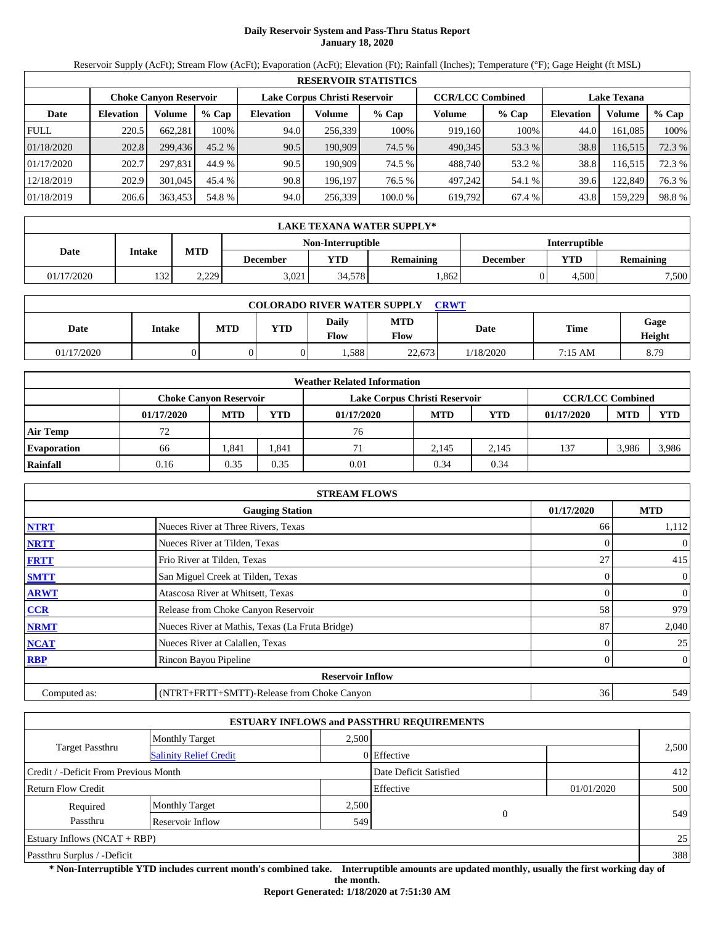# **Daily Reservoir System and Pass-Thru Status Report January 18, 2020**

Reservoir Supply (AcFt); Stream Flow (AcFt); Evaporation (AcFt); Elevation (Ft); Rainfall (Inches); Temperature (°F); Gage Height (ft MSL)

|             | <b>RESERVOIR STATISTICS</b> |                               |         |                               |         |         |                         |         |                    |         |        |  |
|-------------|-----------------------------|-------------------------------|---------|-------------------------------|---------|---------|-------------------------|---------|--------------------|---------|--------|--|
|             |                             | <b>Choke Canvon Reservoir</b> |         | Lake Corpus Christi Reservoir |         |         | <b>CCR/LCC Combined</b> |         | <b>Lake Texana</b> |         |        |  |
| Date        | <b>Elevation</b>            | Volume                        | $%$ Cap | <b>Elevation</b>              | Volume  | $%$ Cap | Volume                  | $%$ Cap | <b>Elevation</b>   | Volume  | % Cap  |  |
| <b>FULL</b> | 220.5                       | 662.281                       | 100%    | 94.0                          | 256,339 | 100%    | 919.160                 | 100%    | 44.0               | 161,085 | 100%   |  |
| 01/18/2020  | 202.8                       | 299,436                       | 45.2 %  | 90.5                          | 190.909 | 74.5 %  | 490.345                 | 53.3 %  | 38.8               | 116,515 | 72.3 % |  |
| 01/17/2020  | 202.7                       | 297.831                       | 44.9 %  | 90.5                          | 190.909 | 74.5 %  | 488.740                 | 53.2 %  | 38.8               | 116,515 | 72.3 % |  |
| 12/18/2019  | 202.9                       | 301,045                       | 45.4 %  | 90.8                          | 196.197 | 76.5 %  | 497.242                 | 54.1 %  | 39.6               | 122,849 | 76.3 % |  |
| 01/18/2019  | 206.6                       | 363,453                       | 54.8 %  | 94.0                          | 256,339 | 100.0 % | 619,792                 | 67.4 %  | 43.8               | 159,229 | 98.8%  |  |

|            | LAKE TEXANA WATER SUPPLY*                 |            |                 |        |                  |          |       |                  |  |  |  |
|------------|-------------------------------------------|------------|-----------------|--------|------------------|----------|-------|------------------|--|--|--|
|            | <b>Interruptible</b><br>Non-Interruptible |            |                 |        |                  |          |       |                  |  |  |  |
| Date       | Intake                                    | <b>MTD</b> | <b>December</b> | YTD    | <b>Remaining</b> | December | YTD   | <b>Remaining</b> |  |  |  |
| 01/17/2020 | 132                                       | 2,229      | 3.021           | 34.578 | .862             |          | 4.500 | 7,500            |  |  |  |

| <b>COLORADO RIVER WATER SUPPLY</b><br><b>CRWT</b> |        |     |            |                             |                    |           |             |                |  |
|---------------------------------------------------|--------|-----|------------|-----------------------------|--------------------|-----------|-------------|----------------|--|
| Date                                              | Intake | MTD | <b>YTD</b> | <b>Daily</b><br><b>Flow</b> | <b>MTD</b><br>Flow | Date      | <b>Time</b> | Gage<br>Height |  |
| 01/17/2020                                        |        |     |            | .588                        | 22,673             | 1/18/2020 | 7:15 AM     | 8.79           |  |

|                    |                               |            |       | <b>Weather Related Information</b> |            |            |                         |            |            |
|--------------------|-------------------------------|------------|-------|------------------------------------|------------|------------|-------------------------|------------|------------|
|                    | <b>Choke Canvon Reservoir</b> |            |       | Lake Corpus Christi Reservoir      |            |            | <b>CCR/LCC Combined</b> |            |            |
|                    | 01/17/2020                    | <b>MTD</b> | YTD   | 01/17/2020                         | <b>MTD</b> | <b>YTD</b> | 01/17/2020              | <b>MTD</b> | <b>YTD</b> |
| <b>Air Temp</b>    |                               |            |       | 76                                 |            |            |                         |            |            |
| <b>Evaporation</b> | 66                            | .841       | 1,841 | 71                                 | 2.145      | 2.145      | 137                     | 3,986      | 3,986      |
| Rainfall           | 0.16                          | 0.35       | 0.35  | 0.01                               | 0.34       | 0.34       |                         |            |            |

|              | <b>STREAM FLOWS</b>                             |                |                |
|--------------|-------------------------------------------------|----------------|----------------|
|              | <b>Gauging Station</b>                          | 01/17/2020     | <b>MTD</b>     |
| <b>NTRT</b>  | Nueces River at Three Rivers, Texas             | 66             | 1,112          |
| <b>NRTT</b>  | Nueces River at Tilden, Texas                   |                | $\mathbf{0}$   |
| <b>FRTT</b>  | Frio River at Tilden, Texas                     | 27             | 415            |
| <b>SMTT</b>  | San Miguel Creek at Tilden, Texas               | $\overline{0}$ | $\overline{0}$ |
| <b>ARWT</b>  | Atascosa River at Whitsett, Texas               | $\Omega$       | $\mathbf{0}$   |
| <b>CCR</b>   | Release from Choke Canyon Reservoir             | 58             | 979            |
| <b>NRMT</b>  | Nueces River at Mathis, Texas (La Fruta Bridge) | 87             | 2,040          |
| <b>NCAT</b>  | Nueces River at Calallen, Texas                 |                | 25             |
| <b>RBP</b>   | Rincon Bayou Pipeline                           | $\Omega$       | $\overline{0}$ |
|              | <b>Reservoir Inflow</b>                         |                |                |
| Computed as: | (NTRT+FRTT+SMTT)-Release from Choke Canyon      | 36             | 549            |

|                                       |                               |       | <b>ESTUARY INFLOWS and PASSTHRU REQUIREMENTS</b> |            |       |
|---------------------------------------|-------------------------------|-------|--------------------------------------------------|------------|-------|
|                                       | <b>Monthly Target</b>         | 2.500 |                                                  |            |       |
| <b>Target Passthru</b>                | <b>Salinity Relief Credit</b> |       | 0 Effective                                      |            | 2,500 |
| Credit / -Deficit From Previous Month |                               |       | Date Deficit Satisfied                           |            | 412   |
| <b>Return Flow Credit</b>             |                               |       | Effective                                        | 01/01/2020 | 500   |
| Required                              | <b>Monthly Target</b>         | 2,500 |                                                  |            |       |
| Passthru                              | Reservoir Inflow              | 549   | 0                                                |            | 549   |
| Estuary Inflows $(NCAT + RBP)$        |                               |       |                                                  |            | 25    |
| Passthru Surplus / -Deficit           |                               |       |                                                  |            | 388   |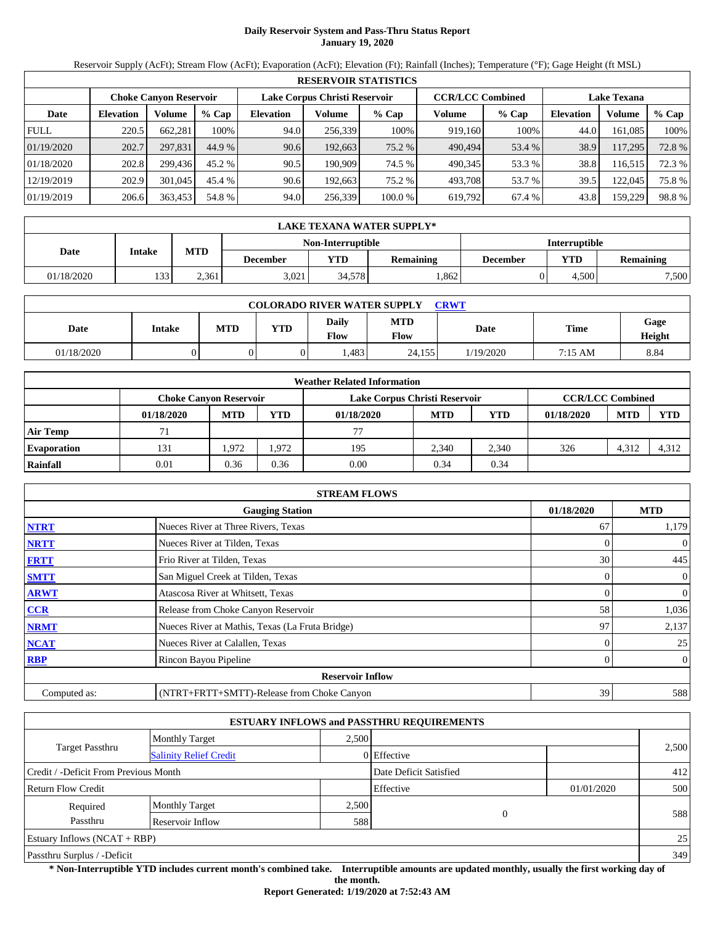# **Daily Reservoir System and Pass-Thru Status Report January 19, 2020**

Reservoir Supply (AcFt); Stream Flow (AcFt); Evaporation (AcFt); Elevation (Ft); Rainfall (Inches); Temperature (°F); Gage Height (ft MSL)

|             |                               |         |         |                  |                               | <b>RESERVOIR STATISTICS</b> |         |                         |                    |         |        |
|-------------|-------------------------------|---------|---------|------------------|-------------------------------|-----------------------------|---------|-------------------------|--------------------|---------|--------|
|             | <b>Choke Canyon Reservoir</b> |         |         |                  | Lake Corpus Christi Reservoir |                             |         | <b>CCR/LCC Combined</b> | <b>Lake Texana</b> |         |        |
| Date        | <b>Elevation</b>              | Volume  | $%$ Cap | <b>Elevation</b> | Volume                        | $%$ Cap                     | Volume  | $%$ Cap                 | <b>Elevation</b>   | Volume  | % Cap  |
| <b>FULL</b> | 220.5                         | 662.281 | 100%    | 94.0             | 256,339                       | 100%                        | 919.160 | 100%                    | 44.0               | 161.085 | 100%   |
| 01/19/2020  | 202.7                         | 297,831 | 44.9 %  | 90.6             | 192,663                       | 75.2 %                      | 490,494 | 53.4 %                  | 38.9               | 117,295 | 72.8 % |
| 01/18/2020  | 202.8                         | 299.436 | 45.2 %  | 90.5             | 190.909                       | 74.5 %                      | 490.345 | 53.3 %                  | 38.8               | 116,515 | 72.3 % |
| 12/19/2019  | 202.9                         | 301,045 | 45.4 %  | 90.6             | 192.663                       | 75.2 %                      | 493.708 | 53.7 %                  | 39.5               | 122,045 | 75.8%  |
| 01/19/2019  | 206.6                         | 363,453 | 54.8 %  | 94.0             | 256,339                       | 100.0 %                     | 619,792 | 67.4 %                  | 43.8               | 159,229 | 98.8%  |

|            | LAKE TEXANA WATER SUPPLY* |            |                 |                                                  |                  |          |       |                  |  |  |
|------------|---------------------------|------------|-----------------|--------------------------------------------------|------------------|----------|-------|------------------|--|--|
|            |                           |            |                 | <b>Interruptible</b><br><b>Non-Interruptible</b> |                  |          |       |                  |  |  |
| Date       | Intake                    | <b>MTD</b> | <b>December</b> | YTD                                              | <b>Remaining</b> | December | YTD   | <b>Remaining</b> |  |  |
| 01/18/2020 | 133                       | 2.361      | 3.021           | 34.578                                           | .862             |          | 4.500 | 7,500            |  |  |

| <b>COLORADO RIVER WATER SUPPLY</b><br><b>CRWT</b> |        |     |            |                             |                    |           |         |                |  |  |
|---------------------------------------------------|--------|-----|------------|-----------------------------|--------------------|-----------|---------|----------------|--|--|
| Date                                              | Intake | MTD | <b>YTD</b> | <b>Daily</b><br><b>Flow</b> | <b>MTD</b><br>Flow | Date      | Time    | Gage<br>Height |  |  |
| 01/18/2020                                        |        |     |            | .483                        | 24.155             | 1/19/2020 | 7:15 AM | 8.84           |  |  |

|                    |                               |            |            | <b>Weather Related Information</b> |            |                         |            |            |            |
|--------------------|-------------------------------|------------|------------|------------------------------------|------------|-------------------------|------------|------------|------------|
|                    | <b>Choke Canvon Reservoir</b> |            |            | Lake Corpus Christi Reservoir      |            | <b>CCR/LCC Combined</b> |            |            |            |
|                    | 01/18/2020                    | <b>MTD</b> | <b>YTD</b> | 01/18/2020                         | <b>MTD</b> | <b>YTD</b>              | 01/18/2020 | <b>MTD</b> | <b>YTD</b> |
| <b>Air Temp</b>    |                               |            |            | 77                                 |            |                         |            |            |            |
| <b>Evaporation</b> | 131                           | .972       | 1.972      | 195                                | 2.340      | 2.340                   | 326        | 4,312      | 4,312      |
| Rainfall           | 0.01                          | 0.36       | 0.36       | 0.00                               | 0.34       | 0.34                    |            |            |            |

|              | <b>STREAM FLOWS</b>                             |                |                |
|--------------|-------------------------------------------------|----------------|----------------|
|              | <b>Gauging Station</b>                          | 01/18/2020     | <b>MTD</b>     |
| <b>NTRT</b>  | Nueces River at Three Rivers, Texas             | 67             | 1,179          |
| <b>NRTT</b>  | Nueces River at Tilden, Texas                   |                | $\mathbf{0}$   |
| <b>FRTT</b>  | Frio River at Tilden, Texas                     | 30             | 445            |
| <b>SMTT</b>  | San Miguel Creek at Tilden, Texas               | $\overline{0}$ | $\mathbf{0}$   |
| <b>ARWT</b>  | Atascosa River at Whitsett, Texas               | $\Omega$       | $\mathbf{0}$   |
| <b>CCR</b>   | Release from Choke Canyon Reservoir             | 58             | 1,036          |
| <b>NRMT</b>  | Nueces River at Mathis, Texas (La Fruta Bridge) | 97             | 2,137          |
| <b>NCAT</b>  | Nueces River at Calallen, Texas                 |                | 25             |
| <b>RBP</b>   | Rincon Bayou Pipeline                           | $\Omega$       | $\overline{0}$ |
|              | <b>Reservoir Inflow</b>                         |                |                |
| Computed as: | (NTRT+FRTT+SMTT)-Release from Choke Canyon      | 39             | 588            |

|                                                  |                       |       | <b>ESTUARY INFLOWS and PASSTHRU REQUIREMENTS</b> |            |       |  |
|--------------------------------------------------|-----------------------|-------|--------------------------------------------------|------------|-------|--|
|                                                  | <b>Monthly Target</b> | 2.500 |                                                  |            |       |  |
| Target Passthru<br><b>Salinity Relief Credit</b> |                       |       | 0 Effective                                      |            | 2,500 |  |
| Credit / -Deficit From Previous Month            |                       |       | Date Deficit Satisfied                           |            | 412   |  |
| <b>Return Flow Credit</b>                        |                       |       | Effective                                        | 01/01/2020 | 500   |  |
| Required                                         | <b>Monthly Target</b> | 2,500 |                                                  |            |       |  |
| Passthru                                         | Reservoir Inflow      | 588   | $\Omega$                                         |            | 588   |  |
| Estuary Inflows $(NCAT + RBP)$                   |                       |       |                                                  |            | 25    |  |
| Passthru Surplus / -Deficit                      |                       |       |                                                  |            | 349   |  |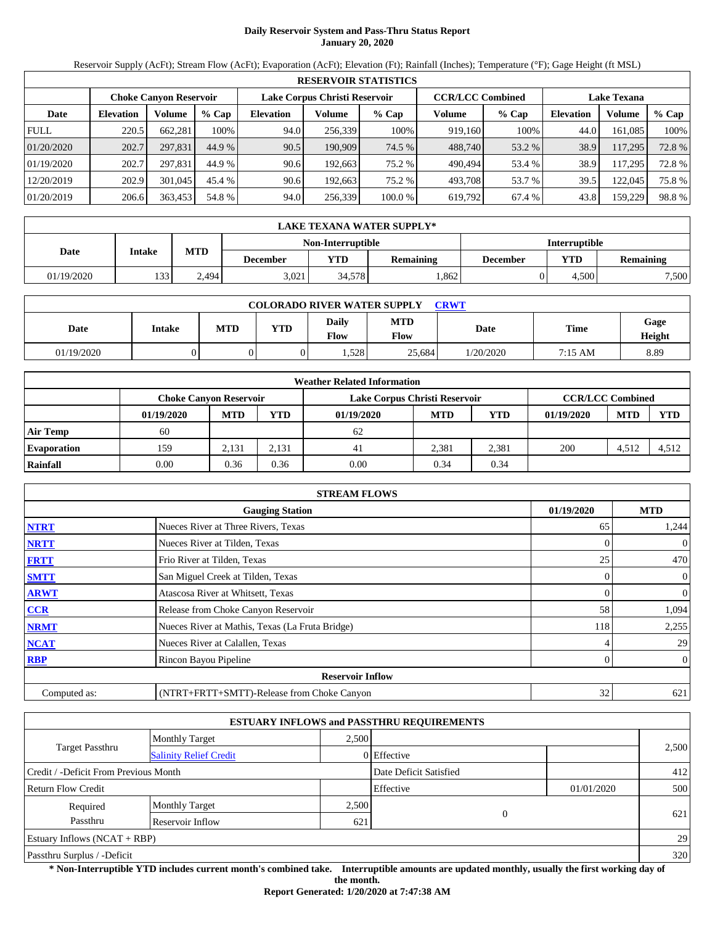# **Daily Reservoir System and Pass-Thru Status Report January 20, 2020**

Reservoir Supply (AcFt); Stream Flow (AcFt); Evaporation (AcFt); Elevation (Ft); Rainfall (Inches); Temperature (°F); Gage Height (ft MSL)

|             |                               |         |         |                  |                               | <b>RESERVOIR STATISTICS</b> |         |                         |                    |         |        |
|-------------|-------------------------------|---------|---------|------------------|-------------------------------|-----------------------------|---------|-------------------------|--------------------|---------|--------|
|             | <b>Choke Canyon Reservoir</b> |         |         |                  | Lake Corpus Christi Reservoir |                             |         | <b>CCR/LCC Combined</b> | <b>Lake Texana</b> |         |        |
| Date        | <b>Elevation</b>              | Volume  | $%$ Cap | <b>Elevation</b> | Volume                        | $%$ Cap                     | Volume  | % Cap                   | <b>Elevation</b>   | Volume  | % Cap  |
| <b>FULL</b> | 220.5                         | 662,281 | 100%    | 94.0             | 256.339                       | 100%                        | 919,160 | 100%                    | 44.0               | 161,085 | 100%   |
| 01/20/2020  | 202.7                         | 297,831 | 44.9 %  | 90.5             | 190.909                       | 74.5 %                      | 488,740 | 53.2 %                  | 38.9               | 117,295 | 72.8%  |
| 01/19/2020  | 202.7                         | 297.831 | 44.9 %  | 90.6             | 192.663                       | 75.2 %                      | 490.494 | 53.4 %                  | 38.9               | 117.295 | 72.8 % |
| 12/20/2019  | 202.9                         | 301,045 | 45.4 %  | 90.6             | 192.663                       | 75.2 %                      | 493.708 | 53.7 %                  | 39.5               | 122,045 | 75.8%  |
| 01/20/2019  | 206.6                         | 363,453 | 54.8 %  | 94.0             | 256,339                       | 100.0 %                     | 619,792 | 67.4 %                  | 43.8               | 159.229 | 98.8%  |

|            | LAKE TEXANA WATER SUPPLY* |            |                 |                          |                  |                      |       |                  |  |  |
|------------|---------------------------|------------|-----------------|--------------------------|------------------|----------------------|-------|------------------|--|--|
|            |                           |            |                 | <b>Non-Interruptible</b> |                  | <b>Interruptible</b> |       |                  |  |  |
| Date       | Intake                    | <b>MTD</b> | <b>December</b> | YTD                      | <b>Remaining</b> | December             | YTD   | <b>Remaining</b> |  |  |
| 01/19/2020 | 133                       | 2.494      | 3.021           | 34.578                   | .862             |                      | 4.500 | 7,500            |  |  |

| <b>COLORADO RIVER WATER SUPPLY</b><br><b>CRWT</b> |        |     |            |                               |                    |           |         |                |  |  |
|---------------------------------------------------|--------|-----|------------|-------------------------------|--------------------|-----------|---------|----------------|--|--|
| Date                                              | Intake | MTD | <b>YTD</b> | <b>Daily</b><br>$F_{\rm low}$ | <b>MTD</b><br>Flow | Date      | Time    | Gage<br>Height |  |  |
| 01/19/2020                                        |        |     |            | .528                          | 25.684             | 1/20/2020 | 7:15 AM | 8.89           |  |  |

|                    |                               |            |            | <b>Weather Related Information</b> |            |            |                         |            |            |
|--------------------|-------------------------------|------------|------------|------------------------------------|------------|------------|-------------------------|------------|------------|
|                    | <b>Choke Canvon Reservoir</b> |            |            | Lake Corpus Christi Reservoir      |            |            | <b>CCR/LCC Combined</b> |            |            |
|                    | 01/19/2020                    | <b>MTD</b> | <b>YTD</b> | 01/19/2020                         | <b>MTD</b> | <b>YTD</b> | 01/19/2020              | <b>MTD</b> | <b>YTD</b> |
| <b>Air Temp</b>    | 60                            |            |            | 62                                 |            |            |                         |            |            |
| <b>Evaporation</b> | 159                           | 2.131      | 2.131      | 41                                 | 2.381      | 2,381      | 200                     | 4,512      | 4.512      |
| Rainfall           | 0.00                          | 0.36       | 0.36       | 0.00                               | 0.34       | 0.34       |                         |            |            |

|              | <b>STREAM FLOWS</b>                             |                |                |
|--------------|-------------------------------------------------|----------------|----------------|
|              | <b>Gauging Station</b>                          | 01/19/2020     | <b>MTD</b>     |
| <b>NTRT</b>  | Nueces River at Three Rivers, Texas             | 65             | 1,244          |
| <b>NRTT</b>  | Nueces River at Tilden, Texas                   |                | $\mathbf{0}$   |
| <b>FRTT</b>  | Frio River at Tilden, Texas                     | 25             | 470            |
| <b>SMTT</b>  | San Miguel Creek at Tilden, Texas               | $\overline{0}$ | $\overline{0}$ |
| <b>ARWT</b>  | Atascosa River at Whitsett, Texas               | $\Omega$       | $\mathbf{0}$   |
| <b>CCR</b>   | Release from Choke Canyon Reservoir             | 58             | 1,094          |
| <b>NRMT</b>  | Nueces River at Mathis, Texas (La Fruta Bridge) | 118            | 2,255          |
| <b>NCAT</b>  | Nueces River at Calallen, Texas                 | 4              | 29             |
| <b>RBP</b>   | Rincon Bayou Pipeline                           | $\mathbf{0}$   | $\overline{0}$ |
|              | <b>Reservoir Inflow</b>                         |                |                |
| Computed as: | (NTRT+FRTT+SMTT)-Release from Choke Canyon      | 32             | 621            |

|                                       |                               |       | <b>ESTUARY INFLOWS and PASSTHRU REQUIREMENTS</b> |            |       |  |
|---------------------------------------|-------------------------------|-------|--------------------------------------------------|------------|-------|--|
|                                       | <b>Monthly Target</b>         | 2.500 |                                                  |            |       |  |
| <b>Target Passthru</b>                | <b>Salinity Relief Credit</b> |       | 0 Effective                                      |            | 2,500 |  |
| Credit / -Deficit From Previous Month |                               |       | Date Deficit Satisfied                           |            | 412   |  |
| <b>Return Flow Credit</b>             |                               |       | Effective                                        | 01/01/2020 | 500   |  |
| Required                              | <b>Monthly Target</b>         | 2,500 |                                                  |            |       |  |
| Passthru                              | Reservoir Inflow              | 621   | $\theta$                                         |            | 621   |  |
| Estuary Inflows $(NCAT + RBP)$        |                               |       |                                                  |            | 29    |  |
| Passthru Surplus / -Deficit           |                               |       |                                                  |            | 320   |  |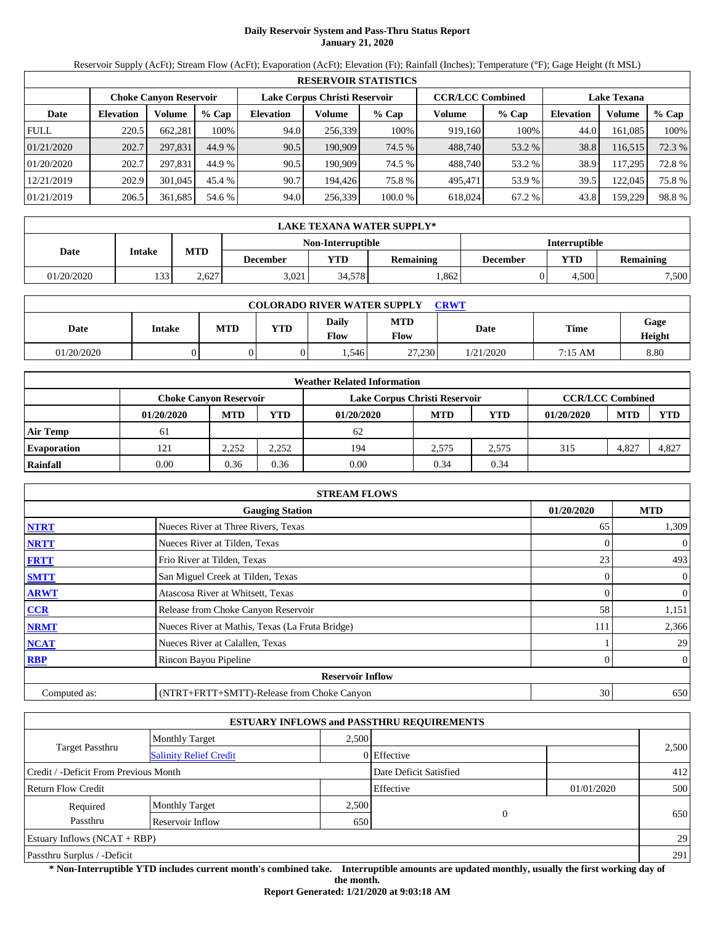# **Daily Reservoir System and Pass-Thru Status Report January 21, 2020**

Reservoir Supply (AcFt); Stream Flow (AcFt); Evaporation (AcFt); Elevation (Ft); Rainfall (Inches); Temperature (°F); Gage Height (ft MSL)

|             | <b>RESERVOIR STATISTICS</b> |                               |         |                  |                               |         |                         |         |                  |                    |        |
|-------------|-----------------------------|-------------------------------|---------|------------------|-------------------------------|---------|-------------------------|---------|------------------|--------------------|--------|
|             |                             | <b>Choke Canvon Reservoir</b> |         |                  | Lake Corpus Christi Reservoir |         | <b>CCR/LCC Combined</b> |         |                  | <b>Lake Texana</b> |        |
| Date        | <b>Elevation</b>            | <b>Volume</b>                 | $%$ Cap | <b>Elevation</b> | Volume                        | $%$ Cap | Volume                  | $%$ Cap | <b>Elevation</b> | Volume             | % Cap  |
| <b>FULL</b> | 220.5                       | 662.281                       | 100%    | 94.0             | 256,339                       | 100%    | 919,160                 | 100%    | 44.0             | 161.085            | 100%   |
| 01/21/2020  | 202.7                       | 297.831                       | 44.9 %  | 90.5             | 190,909                       | 74.5 %  | 488,740                 | 53.2 %  | 38.8             | 116,515            | 72.3 % |
| 01/20/2020  | 202.7                       | 297.831                       | 44.9 %  | 90.5             | 190.909                       | 74.5 %  | 488.740                 | 53.2 %  | 38.9             | 117.295            | 72.8 % |
| 12/21/2019  | 202.9                       | 301,045                       | 45.4 %  | 90.7             | 194.426                       | 75.8%   | 495.471                 | 53.9 %  | 39.5             | 122,045            | 75.8%  |
| 01/21/2019  | 206.5                       | 361,685                       | 54.6 %  | 94.0             | 256,339                       | 100.0 % | 618,024                 | 67.2 %  | 43.8             | 159,229            | 98.8%  |

|            | LAKE TEXANA WATER SUPPLY* |            |                 |                          |                  |                      |       |                  |  |  |  |
|------------|---------------------------|------------|-----------------|--------------------------|------------------|----------------------|-------|------------------|--|--|--|
|            |                           |            |                 | <b>Non-Interruptible</b> |                  | <b>Interruptible</b> |       |                  |  |  |  |
| Date       | Intake                    | <b>MTD</b> | <b>December</b> | YTD                      | <b>Remaining</b> | December             | YTD   | <b>Remaining</b> |  |  |  |
| 01/20/2020 | 133                       | 2.627      | 3.021           | 34.578                   | .862             |                      | 4.500 | 7,500            |  |  |  |

| <b>COLORADO RIVER WATER SUPPLY</b><br><b>CRWT</b> |        |     |            |                        |                           |             |         |                |  |  |
|---------------------------------------------------|--------|-----|------------|------------------------|---------------------------|-------------|---------|----------------|--|--|
| Date                                              | Intake | MTD | <b>VTD</b> | Daily<br>$F_{\rm low}$ | <b>MTD</b><br><b>Flow</b> | <b>Date</b> | Time    | Gage<br>Height |  |  |
| 01/20/2020                                        |        |     |            | .546                   | 27,230                    | 1/21/2020   | 7:15 AM | 8.80           |  |  |

|                    |            |                               |       | <b>Weather Related Information</b> |            |            |                         |            |            |
|--------------------|------------|-------------------------------|-------|------------------------------------|------------|------------|-------------------------|------------|------------|
|                    |            | <b>Choke Canyon Reservoir</b> |       | Lake Corpus Christi Reservoir      |            |            | <b>CCR/LCC Combined</b> |            |            |
|                    | 01/20/2020 | <b>MTD</b>                    | YTD   | 01/20/2020                         | <b>MTD</b> | <b>YTD</b> | 01/20/2020              | <b>MTD</b> | <b>YTD</b> |
| <b>Air Temp</b>    | 61         |                               |       | 62                                 |            |            |                         |            |            |
| <b>Evaporation</b> | 121        | 2.252                         | 2,252 | 194                                | 2.575      | 2.575      | 315                     | 4,827      | 4,827      |
| Rainfall           | 0.00       | 0.36                          | 0.36  | 0.00                               | 0.34       | 0.34       |                         |            |            |

|              | <b>STREAM FLOWS</b>                             |            |                |
|--------------|-------------------------------------------------|------------|----------------|
|              | <b>Gauging Station</b>                          | 01/20/2020 | <b>MTD</b>     |
| <b>NTRT</b>  | Nueces River at Three Rivers, Texas             | 65         | 1,309          |
| <b>NRTT</b>  | Nueces River at Tilden, Texas                   |            | $\overline{0}$ |
| <b>FRTT</b>  | Frio River at Tilden, Texas                     | 23         | 493            |
| <b>SMTT</b>  | San Miguel Creek at Tilden, Texas               | 0          | $\overline{0}$ |
| <b>ARWT</b>  | Atascosa River at Whitsett, Texas               | 0          | $\overline{0}$ |
| <b>CCR</b>   | Release from Choke Canyon Reservoir             | 58         | 1,151          |
| <b>NRMT</b>  | Nueces River at Mathis, Texas (La Fruta Bridge) | 111        | 2,366          |
| <b>NCAT</b>  | Nueces River at Calallen, Texas                 |            | 29             |
| <b>RBP</b>   | Rincon Bayou Pipeline                           | 0          | $\overline{0}$ |
|              | <b>Reservoir Inflow</b>                         |            |                |
| Computed as: | (NTRT+FRTT+SMTT)-Release from Choke Canyon      | 30         | 650            |

|                                       |                               |       | <b>ESTUARY INFLOWS and PASSTHRU REQUIREMENTS</b> |            |       |
|---------------------------------------|-------------------------------|-------|--------------------------------------------------|------------|-------|
|                                       | <b>Monthly Target</b>         | 2.500 |                                                  |            |       |
| <b>Target Passthru</b>                | <b>Salinity Relief Credit</b> |       | 0 Effective                                      |            | 2,500 |
| Credit / -Deficit From Previous Month |                               |       | Date Deficit Satisfied                           |            | 412   |
| <b>Return Flow Credit</b>             |                               |       | Effective                                        | 01/01/2020 | 500   |
| Required                              | <b>Monthly Target</b>         | 2,500 |                                                  |            |       |
| Passthru                              | Reservoir Inflow              | 650   | $\theta$                                         |            | 650   |
| Estuary Inflows $(NCAT + RBP)$        |                               |       |                                                  |            | 29    |
| Passthru Surplus / -Deficit           |                               |       |                                                  |            | 291   |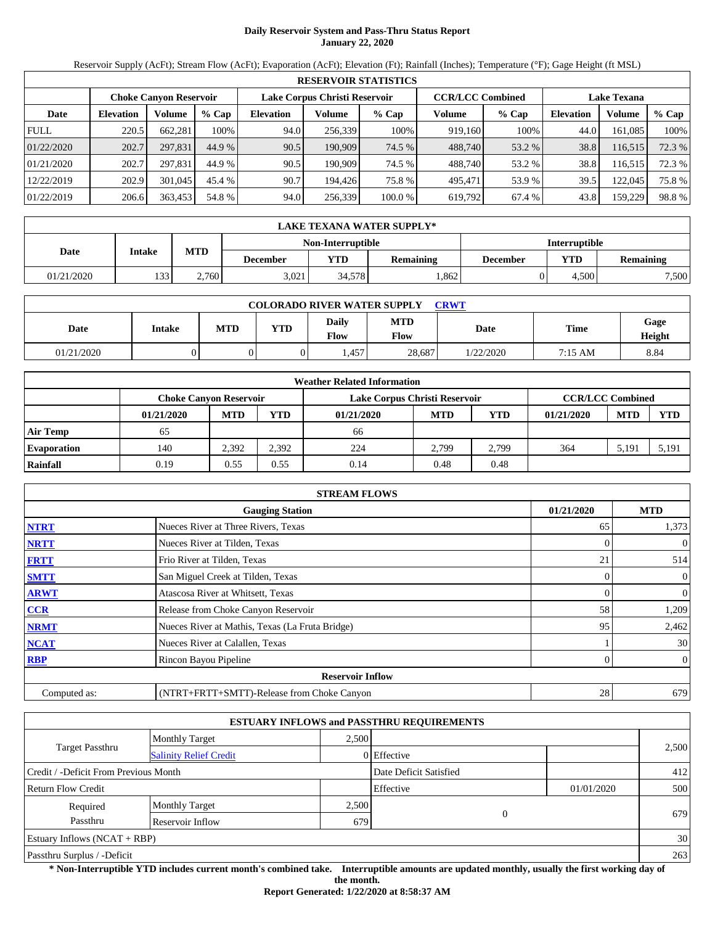# **Daily Reservoir System and Pass-Thru Status Report January 22, 2020**

Reservoir Supply (AcFt); Stream Flow (AcFt); Evaporation (AcFt); Elevation (Ft); Rainfall (Inches); Temperature (°F); Gage Height (ft MSL)

|             | <b>RESERVOIR STATISTICS</b>                                                               |         |         |                  |         |         |                    |         |                  |         |        |  |
|-------------|-------------------------------------------------------------------------------------------|---------|---------|------------------|---------|---------|--------------------|---------|------------------|---------|--------|--|
|             | <b>CCR/LCC Combined</b><br>Lake Corpus Christi Reservoir<br><b>Choke Canyon Reservoir</b> |         |         |                  |         |         | <b>Lake Texana</b> |         |                  |         |        |  |
| Date        | <b>Elevation</b>                                                                          | Volume  | $%$ Cap | <b>Elevation</b> | Volume  | $%$ Cap | Volume             | $%$ Cap | <b>Elevation</b> | Volume  | % Cap  |  |
| <b>FULL</b> | 220.5                                                                                     | 662.281 | 100%    | 94.0             | 256.339 | 100%    | 919.160            | 100%    | 44.0             | 161.085 | 100%   |  |
| 01/22/2020  | 202.7                                                                                     | 297,831 | 44.9 %  | 90.5             | 190,909 | 74.5 %  | 488,740            | 53.2 %  | 38.8             | 116,515 | 72.3 % |  |
| 01/21/2020  | 202.7                                                                                     | 297.831 | 44.9 %  | 90.5             | 190.909 | 74.5 %  | 488.740            | 53.2 %  | 38.8             | 116,515 | 72.3 % |  |
| 12/22/2019  | 202.9                                                                                     | 301,045 | 45.4 %  | 90.7             | 194.426 | 75.8 %  | 495.471            | 53.9 %  | 39.5             | 122,045 | 75.8 % |  |
| 01/22/2019  | 206.6                                                                                     | 363,453 | 54.8 %  | 94.0             | 256,339 | 100.0 % | 619,792            | 67.4 %  | 43.8             | 159,229 | 98.8%  |  |

|            | LAKE TEXANA WATER SUPPLY* |            |                 |                   |                  |                      |       |                  |  |  |  |
|------------|---------------------------|------------|-----------------|-------------------|------------------|----------------------|-------|------------------|--|--|--|
|            |                           |            |                 | Non-Interruptible |                  | <b>Interruptible</b> |       |                  |  |  |  |
| Date       | Intake                    | <b>MTD</b> | <b>December</b> | VTD               | <b>Remaining</b> | December             | YTD   | <b>Remaining</b> |  |  |  |
| 01/21/2020 | 133                       | 2,760      | 3.021           | 34,578            | .862             |                      | 4.500 | 7,500            |  |  |  |

| <b>COLORADO RIVER WATER SUPPLY</b><br><b>CRWT</b> |        |            |            |                      |                           |             |         |                |  |  |
|---------------------------------------------------|--------|------------|------------|----------------------|---------------------------|-------------|---------|----------------|--|--|
| Date                                              | Intake | <b>MTD</b> | <b>YTD</b> | Daily<br><b>Flow</b> | <b>MTD</b><br><b>Flow</b> | <b>Date</b> | Time    | Gage<br>Height |  |  |
| 01/21/2020                                        |        |            |            | .457                 | 28.687                    | 1/22/2020   | 7:15 AM | 8.84           |  |  |

|                    |                               |            |            | <b>Weather Related Information</b> |            |       |                         |            |            |
|--------------------|-------------------------------|------------|------------|------------------------------------|------------|-------|-------------------------|------------|------------|
|                    | <b>Choke Canyon Reservoir</b> |            |            | Lake Corpus Christi Reservoir      |            |       | <b>CCR/LCC Combined</b> |            |            |
|                    | 01/21/2020                    | <b>MTD</b> | <b>YTD</b> | 01/21/2020                         | <b>MTD</b> | YTD   | 01/21/2020              | <b>MTD</b> | <b>YTD</b> |
| Air Temp           | 65                            |            |            | 66                                 |            |       |                         |            |            |
| <b>Evaporation</b> | 140                           | 2.392      | 2,392      | 224                                | 2.799      | 2.799 | 364                     | 5,191      | 5,191      |
| Rainfall           | 0.19                          | 0.55       | 0.55       | 0.14                               | 0.48       | 0.48  |                         |            |            |

|              | <b>STREAM FLOWS</b>                             |                 |                |
|--------------|-------------------------------------------------|-----------------|----------------|
|              | <b>Gauging Station</b>                          | 01/21/2020      | <b>MTD</b>     |
| <b>NTRT</b>  | Nueces River at Three Rivers, Texas             | 65              | 1,373          |
| <b>NRTT</b>  | Nueces River at Tilden, Texas                   |                 | $\mathbf{0}$   |
| <b>FRTT</b>  | Frio River at Tilden, Texas                     | 21              | 514            |
| <b>SMTT</b>  | San Miguel Creek at Tilden, Texas               | $\overline{0}$  | $\overline{0}$ |
| <b>ARWT</b>  | Atascosa River at Whitsett, Texas               | $\Omega$        | $\mathbf{0}$   |
| <b>CCR</b>   | Release from Choke Canyon Reservoir             | 58              | 1,209          |
| <b>NRMT</b>  | Nueces River at Mathis, Texas (La Fruta Bridge) | 95              | 2,462          |
| <b>NCAT</b>  | Nueces River at Calallen, Texas                 |                 | 30             |
| <b>RBP</b>   | Rincon Bayou Pipeline                           |                 | $\overline{0}$ |
|              | <b>Reservoir Inflow</b>                         |                 |                |
| Computed as: | (NTRT+FRTT+SMTT)-Release from Choke Canyon      | 28 <sub>1</sub> | 679            |

|                                       |                               |       | <b>ESTUARY INFLOWS and PASSTHRU REQUIREMENTS</b> |            |       |
|---------------------------------------|-------------------------------|-------|--------------------------------------------------|------------|-------|
|                                       | <b>Monthly Target</b>         | 2.500 |                                                  |            |       |
| <b>Target Passthru</b>                | <b>Salinity Relief Credit</b> |       | 0 Effective                                      |            | 2,500 |
| Credit / -Deficit From Previous Month |                               |       | Date Deficit Satisfied                           |            | 412   |
| <b>Return Flow Credit</b>             |                               |       | Effective                                        | 01/01/2020 | 500   |
| Required                              | <b>Monthly Target</b>         | 2,500 |                                                  |            |       |
| Passthru                              | Reservoir Inflow              | 679   | $\Omega$                                         |            | 679   |
| <b>Estuary Inflows (NCAT + RBP)</b>   |                               |       |                                                  |            | 30    |
| Passthru Surplus / -Deficit           |                               |       |                                                  |            | 263   |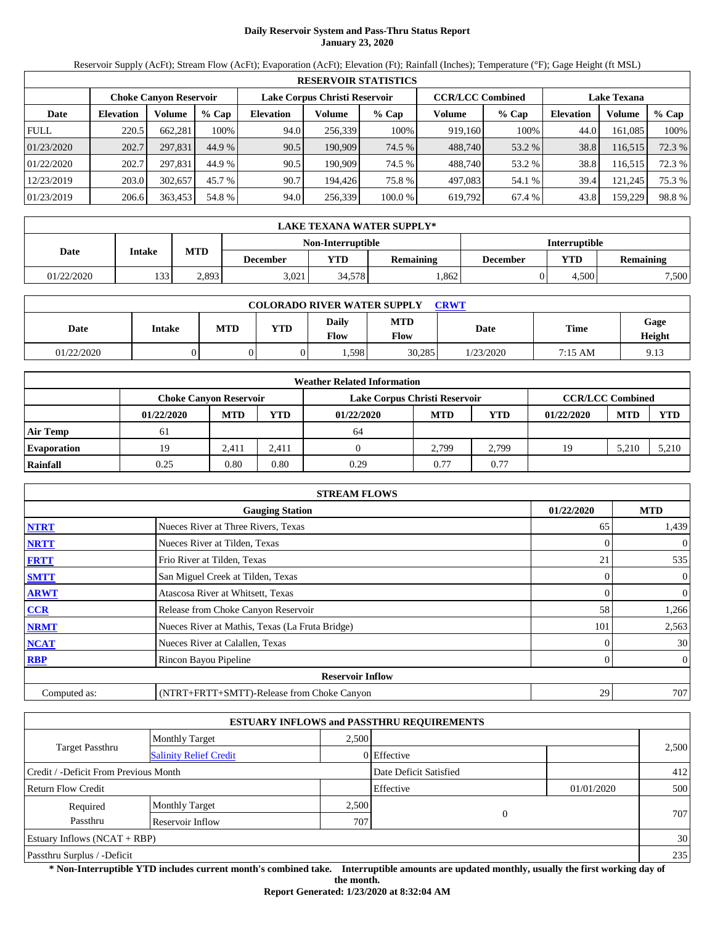# **Daily Reservoir System and Pass-Thru Status Report January 23, 2020**

Reservoir Supply (AcFt); Stream Flow (AcFt); Evaporation (AcFt); Elevation (Ft); Rainfall (Inches); Temperature (°F); Gage Height (ft MSL)

|             |                               |         |         |                  |                               | <b>RESERVOIR STATISTICS</b> |         |                         |                    |         |        |
|-------------|-------------------------------|---------|---------|------------------|-------------------------------|-----------------------------|---------|-------------------------|--------------------|---------|--------|
|             | <b>Choke Canyon Reservoir</b> |         |         |                  | Lake Corpus Christi Reservoir |                             |         | <b>CCR/LCC Combined</b> | <b>Lake Texana</b> |         |        |
| Date        | <b>Elevation</b>              | Volume  | $%$ Cap | <b>Elevation</b> | Volume                        | $%$ Cap                     | Volume  | $%$ Cap                 | <b>Elevation</b>   | Volume  | % Cap  |
| <b>FULL</b> | 220.5                         | 662.281 | 100%    | 94.0             | 256.339                       | 100%                        | 919.160 | 100%                    | 44.0               | 161.085 | 100%   |
| 01/23/2020  | 202.7                         | 297,831 | 44.9 %  | 90.5             | 190,909                       | 74.5 %                      | 488,740 | 53.2 %                  | 38.8               | 116,515 | 72.3 % |
| 01/22/2020  | 202.7                         | 297.831 | 44.9 %  | 90.5             | 190.909                       | 74.5 %                      | 488.740 | 53.2 %                  | 38.8               | 116,515 | 72.3 % |
| 12/23/2019  | 203.0                         | 302,657 | 45.7 %  | 90.7             | 194.426                       | 75.8 %                      | 497.083 | 54.1 %                  | 39.4               | 121.245 | 75.3 % |
| 01/23/2019  | 206.6                         | 363,453 | 54.8 %  | 94.0             | 256,339                       | 100.0 %                     | 619,792 | 67.4 %                  | 43.8               | 159,229 | 98.8%  |

|            | LAKE TEXANA WATER SUPPLY* |            |                 |        |                  |          |       |                      |  |  |
|------------|---------------------------|------------|-----------------|--------|------------------|----------|-------|----------------------|--|--|
|            | <b>Non-Interruptible</b>  |            |                 |        |                  |          |       | <b>Interruptible</b> |  |  |
| Date       | Intake                    | <b>MTD</b> | <b>December</b> | YTD    | <b>Remaining</b> | December | YTD   | <b>Remaining</b>     |  |  |
| 01/22/2020 | 133                       | 2,893      | 3.021           | 34.578 | .862             |          | 4.500 | 7,500                |  |  |

| <b>COLORADO RIVER WATER SUPPLY</b><br>CRWT |        |            |            |                      |                    |           |             |                |  |  |
|--------------------------------------------|--------|------------|------------|----------------------|--------------------|-----------|-------------|----------------|--|--|
| Date                                       | Intake | <b>MTD</b> | <b>YTD</b> | Daily<br><b>Flow</b> | <b>MTD</b><br>Flow | Date      | <b>Time</b> | Gage<br>Height |  |  |
| 01/22/2020                                 |        |            |            | .598                 | 30,285             | 1/23/2020 | 7:15 AM     | 9.13           |  |  |

|                    |                               |            |            | <b>Weather Related Information</b> |            |       |                         |            |            |
|--------------------|-------------------------------|------------|------------|------------------------------------|------------|-------|-------------------------|------------|------------|
|                    | <b>Choke Canyon Reservoir</b> |            |            | Lake Corpus Christi Reservoir      |            |       | <b>CCR/LCC Combined</b> |            |            |
|                    | 01/22/2020                    | <b>MTD</b> | <b>YTD</b> | 01/22/2020                         | <b>MTD</b> | YTD   | 01/22/2020              | <b>MTD</b> | <b>YTD</b> |
| <b>Air Temp</b>    | -61                           |            |            | 64                                 |            |       |                         |            |            |
| <b>Evaporation</b> | 19                            | 2.411      | 2.411      |                                    | 2.799      | 2.799 | 19                      | 5,210      | 5,210      |
| Rainfall           | 0.25                          | 0.80       | 0.80       | 0.29                               | 0.77       | 0.77  |                         |            |            |

|              | <b>STREAM FLOWS</b>                             |            |                |
|--------------|-------------------------------------------------|------------|----------------|
|              | <b>Gauging Station</b>                          | 01/22/2020 | <b>MTD</b>     |
| <b>NTRT</b>  | Nueces River at Three Rivers, Texas             | 65         | 1,439          |
| <b>NRTT</b>  | Nueces River at Tilden, Texas                   |            | $\overline{0}$ |
| <b>FRTT</b>  | Frio River at Tilden, Texas                     | 21         | 535            |
| <b>SMTT</b>  | San Miguel Creek at Tilden, Texas               | $\Omega$   | $\overline{0}$ |
| <b>ARWT</b>  | Atascosa River at Whitsett, Texas               |            | $\mathbf{0}$   |
| <b>CCR</b>   | Release from Choke Canyon Reservoir             | 58         | 1,266          |
| <b>NRMT</b>  | Nueces River at Mathis, Texas (La Fruta Bridge) | 101        | 2,563          |
| <b>NCAT</b>  | Nueces River at Calallen, Texas                 |            | 30             |
| <b>RBP</b>   | Rincon Bayou Pipeline                           | 0          | $\overline{0}$ |
|              | <b>Reservoir Inflow</b>                         |            |                |
| Computed as: | (NTRT+FRTT+SMTT)-Release from Choke Canyon      | 29         | 707            |

|                                       |                               |       | <b>ESTUARY INFLOWS and PASSTHRU REQUIREMENTS</b> |            |       |
|---------------------------------------|-------------------------------|-------|--------------------------------------------------|------------|-------|
|                                       | <b>Monthly Target</b>         | 2.500 |                                                  |            |       |
| <b>Target Passthru</b>                | <b>Salinity Relief Credit</b> |       | 0 Effective                                      |            | 2,500 |
| Credit / -Deficit From Previous Month |                               |       | Date Deficit Satisfied                           |            | 412   |
| <b>Return Flow Credit</b>             |                               |       | Effective                                        | 01/01/2020 | 500   |
| Required                              | <b>Monthly Target</b>         | 2,500 |                                                  |            |       |
| Passthru                              | Reservoir Inflow              | 707   | $\theta$                                         |            | 707   |
| Estuary Inflows $(NCAT + RBP)$        |                               |       |                                                  |            | 30    |
| Passthru Surplus / -Deficit           |                               |       |                                                  |            | 235   |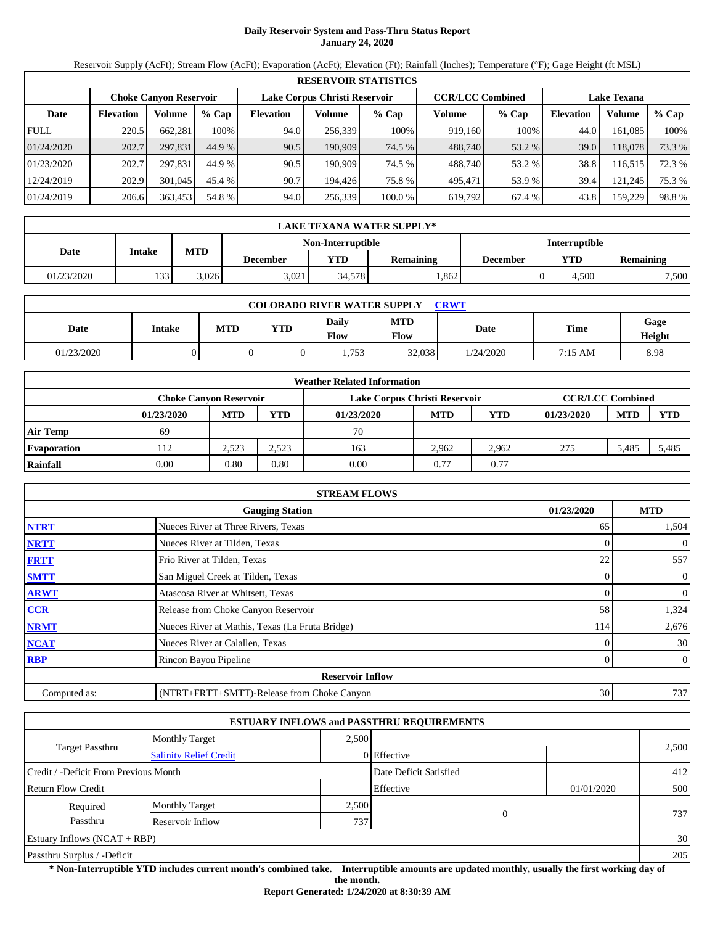# **Daily Reservoir System and Pass-Thru Status Report January 24, 2020**

Reservoir Supply (AcFt); Stream Flow (AcFt); Evaporation (AcFt); Elevation (Ft); Rainfall (Inches); Temperature (°F); Gage Height (ft MSL)

|             |                               |         |         |                  |                               | <b>RESERVOIR STATISTICS</b> |         |                         |                    |         |        |
|-------------|-------------------------------|---------|---------|------------------|-------------------------------|-----------------------------|---------|-------------------------|--------------------|---------|--------|
|             | <b>Choke Canyon Reservoir</b> |         |         |                  | Lake Corpus Christi Reservoir |                             |         | <b>CCR/LCC Combined</b> | <b>Lake Texana</b> |         |        |
| Date        | <b>Elevation</b>              | Volume  | $%$ Cap | <b>Elevation</b> | Volume                        | $%$ Cap                     | Volume  | $%$ Cap                 | <b>Elevation</b>   | Volume  | % Cap  |
| <b>FULL</b> | 220.5                         | 662.281 | 100%    | 94.0             | 256.339                       | 100%                        | 919.160 | 100%                    | 44.0               | 161.085 | 100%   |
| 01/24/2020  | 202.7                         | 297,831 | 44.9 %  | 90.5             | 190,909                       | 74.5 %                      | 488,740 | 53.2 %                  | 39.0               | 118.078 | 73.3 % |
| 01/23/2020  | 202.7                         | 297.831 | 44.9 %  | 90.5             | 190.909                       | 74.5 %                      | 488.740 | 53.2 %                  | 38.8               | 116,515 | 72.3 % |
| 12/24/2019  | 202.9                         | 301,045 | 45.4 %  | 90.7             | 194.426                       | 75.8 %                      | 495.471 | 53.9 %                  | 39.4               | 121.245 | 75.3 % |
| 01/24/2019  | 206.6                         | 363,453 | 54.8 %  | 94.0             | 256,339                       | 100.0 %                     | 619,792 | 67.4 %                  | 43.8               | 159,229 | 98.8%  |

|            | LAKE TEXANA WATER SUPPLY* |                                           |                 |        |                  |          |       |                  |  |  |
|------------|---------------------------|-------------------------------------------|-----------------|--------|------------------|----------|-------|------------------|--|--|
|            |                           | <b>Interruptible</b><br>Non-Interruptible |                 |        |                  |          |       |                  |  |  |
| Date       | Intake                    | <b>MTD</b>                                | <b>December</b> | VTD    | <b>Remaining</b> | December | YTD   | <b>Remaining</b> |  |  |
| 01/23/2020 | 133                       | 3.026                                     | 3.021           | 34,578 | .862             |          | 4.500 | 7,500            |  |  |

| <b>COLORADO RIVER WATER SUPPLY</b><br><b>CRWT</b> |        |     |            |                        |                           |             |         |                |  |  |
|---------------------------------------------------|--------|-----|------------|------------------------|---------------------------|-------------|---------|----------------|--|--|
| Date                                              | Intake | MTD | <b>YTD</b> | Daily<br>$F_{\rm low}$ | <b>MTD</b><br><b>Flow</b> | <b>Date</b> | Time    | Gage<br>Height |  |  |
| 01/23/2020                                        |        |     |            | .753                   | 32.038                    | 1/24/2020   | 7:15 AM | 8.98           |  |  |

|                    |                               |            |       | <b>Weather Related Information</b> |            |       |                         |            |            |
|--------------------|-------------------------------|------------|-------|------------------------------------|------------|-------|-------------------------|------------|------------|
|                    | <b>Choke Canvon Reservoir</b> |            |       | Lake Corpus Christi Reservoir      |            |       | <b>CCR/LCC Combined</b> |            |            |
|                    | 01/23/2020                    | <b>MTD</b> | YTD   | 01/23/2020                         | <b>MTD</b> | YTD   | 01/23/2020              | <b>MTD</b> | <b>YTD</b> |
| <b>Air Temp</b>    | 69                            |            |       | 70                                 |            |       |                         |            |            |
| <b>Evaporation</b> | 112                           | 2.523      | 2,523 | 163                                | 2.962      | 2.962 | 275                     | 5.485      | 5,485      |
| Rainfall           | 0.00                          | 0.80       | 0.80  | 0.00                               | 0.77       | 0.77  |                         |            |            |

|              | <b>STREAM FLOWS</b>                             |            |                |
|--------------|-------------------------------------------------|------------|----------------|
|              | <b>Gauging Station</b>                          | 01/23/2020 | <b>MTD</b>     |
| <b>NTRT</b>  | Nueces River at Three Rivers, Texas             | 65         | 1,504          |
| <b>NRTT</b>  | Nueces River at Tilden, Texas                   |            | $\overline{0}$ |
| <b>FRTT</b>  | Frio River at Tilden, Texas                     | 22         | 557            |
| <b>SMTT</b>  | San Miguel Creek at Tilden, Texas               | $\Omega$   | $\overline{0}$ |
| <b>ARWT</b>  | Atascosa River at Whitsett, Texas               |            | $\mathbf{0}$   |
| <b>CCR</b>   | Release from Choke Canyon Reservoir             | 58         | 1,324          |
| <b>NRMT</b>  | Nueces River at Mathis, Texas (La Fruta Bridge) | 114        | 2,676          |
| <b>NCAT</b>  | Nueces River at Calallen, Texas                 |            | 30             |
| <b>RBP</b>   | Rincon Bayou Pipeline                           | 0          | $\overline{0}$ |
|              | <b>Reservoir Inflow</b>                         |            |                |
| Computed as: | (NTRT+FRTT+SMTT)-Release from Choke Canyon      | 30         | 737            |

|                                                         |                       |       | <b>ESTUARY INFLOWS and PASSTHRU REQUIREMENTS</b> |            |       |  |
|---------------------------------------------------------|-----------------------|-------|--------------------------------------------------|------------|-------|--|
|                                                         | <b>Monthly Target</b> | 2.500 |                                                  |            |       |  |
| <b>Target Passthru</b><br><b>Salinity Relief Credit</b> |                       |       | 0 Effective                                      |            | 2,500 |  |
| Credit / -Deficit From Previous Month                   |                       |       | Date Deficit Satisfied                           |            | 412   |  |
| <b>Return Flow Credit</b>                               |                       |       | Effective                                        | 01/01/2020 | 500   |  |
| Required                                                | <b>Monthly Target</b> | 2,500 |                                                  |            |       |  |
| Passthru                                                | Reservoir Inflow      | 737   | $\theta$                                         |            | 737   |  |
| Estuary Inflows $(NCAT + RBP)$                          |                       |       |                                                  |            | 30    |  |
| Passthru Surplus / -Deficit                             |                       |       |                                                  |            | 205   |  |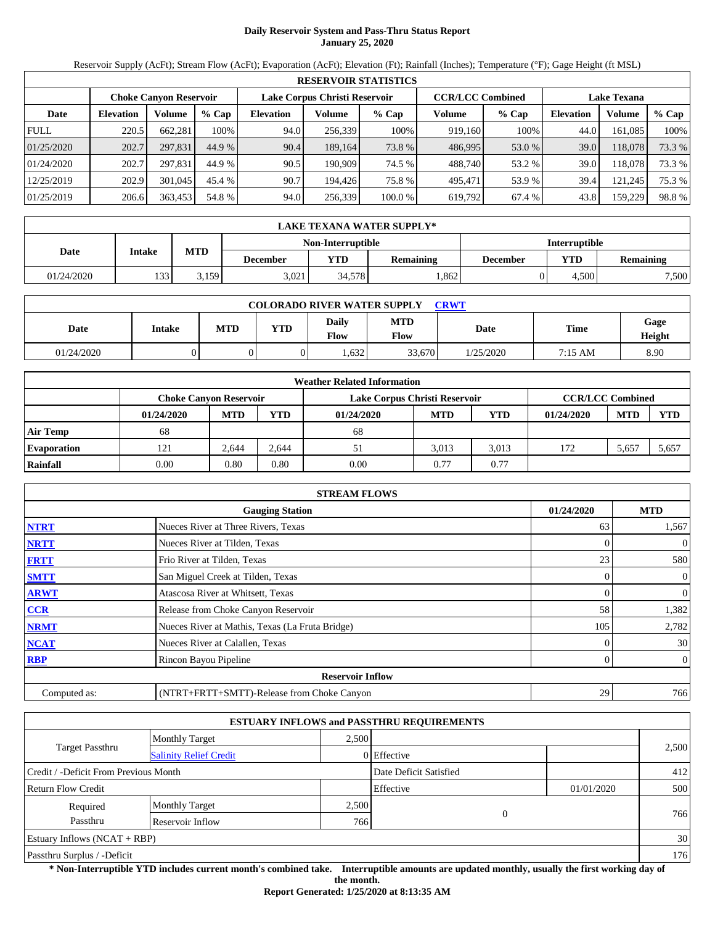# **Daily Reservoir System and Pass-Thru Status Report January 25, 2020**

Reservoir Supply (AcFt); Stream Flow (AcFt); Evaporation (AcFt); Elevation (Ft); Rainfall (Inches); Temperature (°F); Gage Height (ft MSL)

|             | <b>RESERVOIR STATISTICS</b> |                               |         |                  |                               |         |                         |         |                  |                    |        |  |
|-------------|-----------------------------|-------------------------------|---------|------------------|-------------------------------|---------|-------------------------|---------|------------------|--------------------|--------|--|
|             |                             | <b>Choke Canyon Reservoir</b> |         |                  | Lake Corpus Christi Reservoir |         | <b>CCR/LCC Combined</b> |         |                  | <b>Lake Texana</b> |        |  |
| Date        | <b>Elevation</b>            | Volume                        | $%$ Cap | <b>Elevation</b> | Volume                        | $%$ Cap | Volume                  | $%$ Cap | <b>Elevation</b> | Volume             | % Cap  |  |
| <b>FULL</b> | 220.5                       | 662.281                       | 100%    | 94.0             | 256,339                       | 100%    | 919,160                 | 100%    | 44.0             | 161.085            | 100%   |  |
| 01/25/2020  | 202.7                       | 297,831                       | 44.9 %  | 90.4             | 189,164                       | 73.8 %  | 486,995                 | 53.0 %  | 39.0             | 118,078            | 73.3 % |  |
| 01/24/2020  | 202.7                       | 297.831                       | 44.9 %  | 90.5             | 190.909                       | 74.5 %  | 488.740                 | 53.2 %  | 39.0             | 118.078            | 73.3 % |  |
| 12/25/2019  | 202.9                       | 301,045                       | 45.4 %  | 90.7             | 194.426                       | 75.8 %  | 495.471                 | 53.9 %  | 39.4             | 121,245            | 75.3 % |  |
| 01/25/2019  | 206.6                       | 363,453                       | 54.8 %  | 94.0             | 256,339                       | 100.0 % | 619,792                 | 67.4 %  | 43.8             | 159,229            | 98.8%  |  |

|            | <b>LAKE TEXANA WATER SUPPLY*</b> |            |                 |                   |           |                      |       |           |  |  |  |
|------------|----------------------------------|------------|-----------------|-------------------|-----------|----------------------|-------|-----------|--|--|--|
|            |                                  |            |                 | Non-Interruptible |           | <b>Interruptible</b> |       |           |  |  |  |
| Date       | <b>Intake</b>                    | <b>MTD</b> | <b>December</b> | YTD               | Remaining | December             | YTD   | Remaining |  |  |  |
| 01/24/2020 | 133                              | 3,159      | 3,021           | 34.578            | .862      |                      | 4.500 | 7,500     |  |  |  |

| <b>COLORADO RIVER WATER SUPPLY</b><br>CRWT |        |     |            |                      |             |           |             |                |  |  |
|--------------------------------------------|--------|-----|------------|----------------------|-------------|-----------|-------------|----------------|--|--|
| Date                                       | Intake | MTD | <b>YTD</b> | Daily<br><b>Flow</b> | MTD<br>Flow | Date      | <b>Time</b> | Gage<br>Height |  |  |
| 01/24/2020                                 |        |     |            | .632                 | 33,670      | 1/25/2020 | 7:15 AM     | 8.90           |  |  |

|                    |                               |            |            | <b>Weather Related Information</b> |            |            |                         |            |            |
|--------------------|-------------------------------|------------|------------|------------------------------------|------------|------------|-------------------------|------------|------------|
|                    | <b>Choke Canvon Reservoir</b> |            |            | Lake Corpus Christi Reservoir      |            |            | <b>CCR/LCC Combined</b> |            |            |
|                    | 01/24/2020                    | <b>MTD</b> | <b>YTD</b> | 01/24/2020                         | <b>MTD</b> | <b>YTD</b> | 01/24/2020              | <b>MTD</b> | <b>YTD</b> |
| <b>Air Temp</b>    | 68                            |            |            | 68                                 |            |            |                         |            |            |
| <b>Evaporation</b> | 121                           | 2.644      | 2.644      | 51                                 | 3.013      | 3.013      | 172                     | 5,657      | 5,657      |
| Rainfall           | 0.00                          | 0.80       | 0.80       | 0.00                               | 0.77       | 0.77       |                         |            |            |

|              | <b>STREAM FLOWS</b>                             |                |                |
|--------------|-------------------------------------------------|----------------|----------------|
|              | <b>Gauging Station</b>                          | 01/24/2020     | <b>MTD</b>     |
| <b>NTRT</b>  | Nueces River at Three Rivers, Texas             | 63             | 1,567          |
| <b>NRTT</b>  | Nueces River at Tilden, Texas                   |                | $\mathbf{0}$   |
| <b>FRTT</b>  | Frio River at Tilden, Texas                     | 23             | 580            |
| <b>SMTT</b>  | San Miguel Creek at Tilden, Texas               | $\overline{0}$ | $\overline{0}$ |
| <b>ARWT</b>  | Atascosa River at Whitsett, Texas               | $\Omega$       | $\mathbf{0}$   |
| <b>CCR</b>   | Release from Choke Canyon Reservoir             | 58             | 1,382          |
| <b>NRMT</b>  | Nueces River at Mathis, Texas (La Fruta Bridge) | 105            | 2,782          |
| <b>NCAT</b>  | Nueces River at Calallen, Texas                 |                | 30             |
| <b>RBP</b>   | Rincon Bayou Pipeline                           | $\mathbf{0}$   | $\overline{0}$ |
|              | <b>Reservoir Inflow</b>                         |                |                |
| Computed as: | (NTRT+FRTT+SMTT)-Release from Choke Canyon      | 29             | 766            |

|                                       |                               |       | <b>ESTUARY INFLOWS and PASSTHRU REQUIREMENTS</b> |            |       |
|---------------------------------------|-------------------------------|-------|--------------------------------------------------|------------|-------|
|                                       | <b>Monthly Target</b>         | 2.500 |                                                  |            |       |
| <b>Target Passthru</b>                | <b>Salinity Relief Credit</b> |       | 0 Effective                                      |            | 2,500 |
| Credit / -Deficit From Previous Month |                               |       | Date Deficit Satisfied                           |            | 412   |
| <b>Return Flow Credit</b>             |                               |       | Effective                                        | 01/01/2020 | 500   |
| Required                              | <b>Monthly Target</b>         | 2,500 |                                                  |            |       |
| Passthru                              | Reservoir Inflow              | 766   | $\theta$                                         |            | 766   |
| Estuary Inflows $(NCAT + RBP)$        |                               |       |                                                  |            | 30    |
| Passthru Surplus / -Deficit           |                               |       |                                                  |            | 176   |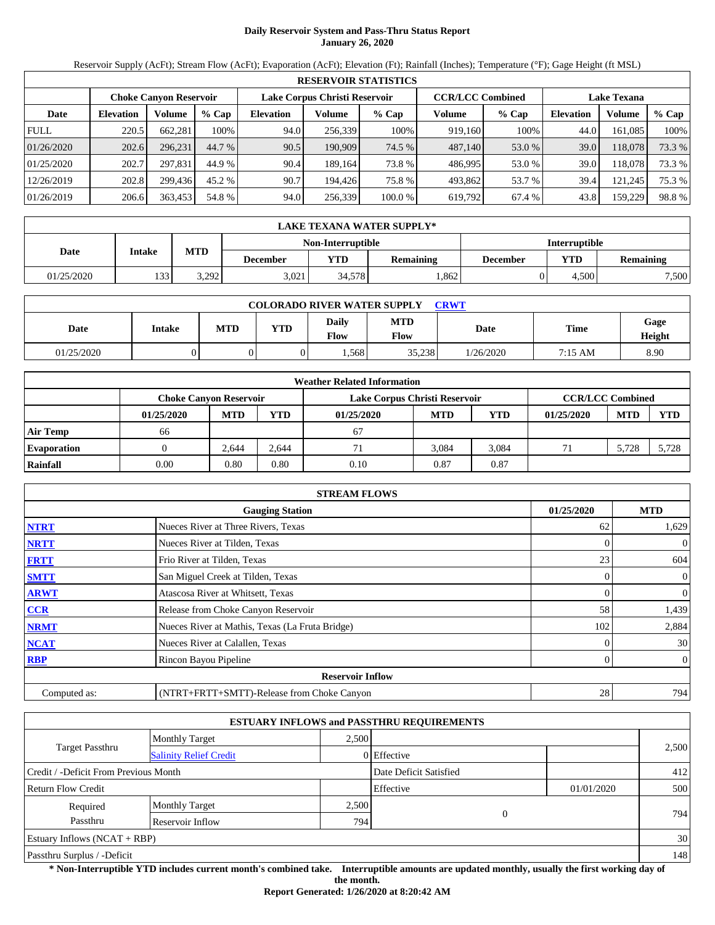# **Daily Reservoir System and Pass-Thru Status Report January 26, 2020**

Reservoir Supply (AcFt); Stream Flow (AcFt); Evaporation (AcFt); Elevation (Ft); Rainfall (Inches); Temperature (°F); Gage Height (ft MSL)

|             | <b>RESERVOIR STATISTICS</b>                                                               |         |         |                  |         |         |                    |         |                  |         |        |  |
|-------------|-------------------------------------------------------------------------------------------|---------|---------|------------------|---------|---------|--------------------|---------|------------------|---------|--------|--|
|             | Lake Corpus Christi Reservoir<br><b>CCR/LCC Combined</b><br><b>Choke Canyon Reservoir</b> |         |         |                  |         |         | <b>Lake Texana</b> |         |                  |         |        |  |
| Date        | <b>Elevation</b>                                                                          | Volume  | $%$ Cap | <b>Elevation</b> | Volume  | $%$ Cap | Volume             | $%$ Cap | <b>Elevation</b> | Volume  | % Cap  |  |
| <b>FULL</b> | 220.5                                                                                     | 662,281 | 100%    | 94.0             | 256,339 | 100%    | 919,160            | 100%    | 44.0             | 161,085 | 100%   |  |
| 01/26/2020  | 202.6                                                                                     | 296.231 | 44.7 %  | 90.5             | 190,909 | 74.5 %  | 487.140            | 53.0 %  | 39.0             | 118,078 | 73.3 % |  |
| 01/25/2020  | 202.7                                                                                     | 297.831 | 44.9 %  | 90.4             | 189.164 | 73.8 %  | 486,995            | 53.0 %  | 39.0             | 118,078 | 73.3 % |  |
| 12/26/2019  | 202.8                                                                                     | 299.436 | 45.2 %  | 90.7             | 194.426 | 75.8 %  | 493,862            | 53.7 %  | 39.4             | 121,245 | 75.3 % |  |
| 01/26/2019  | 206.6                                                                                     | 363,453 | 54.8 %  | 94.0             | 256,339 | 100.0 % | 619,792            | 67.4 %  | 43.8             | 159,229 | 98.8%  |  |

|            | LAKE TEXANA WATER SUPPLY* |            |                 |                          |                  |                      |       |                  |  |  |  |
|------------|---------------------------|------------|-----------------|--------------------------|------------------|----------------------|-------|------------------|--|--|--|
|            |                           |            |                 | <b>Non-Interruptible</b> |                  | <b>Interruptible</b> |       |                  |  |  |  |
| Date       | Intake                    | <b>MTD</b> | <b>December</b> | YTD                      | <b>Remaining</b> | December             | YTD   | <b>Remaining</b> |  |  |  |
| 01/25/2020 | 133                       | 3,292      | 3.021           | 34.578                   | .862             |                      | 4.500 | 7,500            |  |  |  |

| <b>COLORADO RIVER WATER SUPPLY</b><br><b>CRWT</b> |               |            |            |               |                    |           |             |                |  |  |
|---------------------------------------------------|---------------|------------|------------|---------------|--------------------|-----------|-------------|----------------|--|--|
| Date                                              | <b>Intake</b> | <b>MTD</b> | <b>YTD</b> | Daily<br>Flow | <b>MTD</b><br>Flow | Date      | <b>Time</b> | Gage<br>Height |  |  |
| 01/25/2020                                        |               |            |            | .568          | 35.238             | 1/26/2020 | 7:15 AM     | 8.90           |  |  |

|                    |                               |            |            | <b>Weather Related Information</b> |            |            |                         |            |            |
|--------------------|-------------------------------|------------|------------|------------------------------------|------------|------------|-------------------------|------------|------------|
|                    | <b>Choke Canvon Reservoir</b> |            |            | Lake Corpus Christi Reservoir      |            |            | <b>CCR/LCC Combined</b> |            |            |
|                    | 01/25/2020                    | <b>MTD</b> | <b>YTD</b> | 01/25/2020                         | <b>MTD</b> | <b>YTD</b> | 01/25/2020              | <b>MTD</b> | <b>YTD</b> |
| <b>Air Temp</b>    | 66                            |            |            | 67                                 |            |            |                         |            |            |
| <b>Evaporation</b> |                               | 2.644      | 2.644      | 71                                 | 3.084      | 3.084      |                         | 5.728      | 5.728      |
| Rainfall           | 0.00                          | 0.80       | 0.80       | 0.10                               | 0.87       | 0.87       |                         |            |            |

|              | <b>STREAM FLOWS</b>                             |                 |                |
|--------------|-------------------------------------------------|-----------------|----------------|
|              | <b>Gauging Station</b>                          | 01/25/2020      | <b>MTD</b>     |
| <b>NTRT</b>  | Nueces River at Three Rivers, Texas             | 62              | 1,629          |
| <b>NRTT</b>  | Nueces River at Tilden, Texas                   |                 | $\mathbf{0}$   |
| <b>FRTT</b>  | Frio River at Tilden, Texas                     | 23              | 604            |
| <b>SMTT</b>  | San Miguel Creek at Tilden, Texas               | $\overline{0}$  | $\overline{0}$ |
| <b>ARWT</b>  | Atascosa River at Whitsett, Texas               | $\Omega$        | $\mathbf{0}$   |
| <b>CCR</b>   | Release from Choke Canyon Reservoir             | 58              | 1,439          |
| <b>NRMT</b>  | Nueces River at Mathis, Texas (La Fruta Bridge) | 102             | 2,884          |
| <b>NCAT</b>  | Nueces River at Calallen, Texas                 |                 | 30             |
| <b>RBP</b>   | Rincon Bayou Pipeline                           | $\mathbf{0}$    | $\overline{0}$ |
|              | <b>Reservoir Inflow</b>                         |                 |                |
| Computed as: | (NTRT+FRTT+SMTT)-Release from Choke Canyon      | 28 <sub>1</sub> | 794            |

|                                       |                               |       | <b>ESTUARY INFLOWS and PASSTHRU REQUIREMENTS</b> |            |       |
|---------------------------------------|-------------------------------|-------|--------------------------------------------------|------------|-------|
|                                       | <b>Monthly Target</b>         | 2.500 |                                                  |            |       |
| <b>Target Passthru</b>                | <b>Salinity Relief Credit</b> |       | 0 Effective                                      |            | 2,500 |
| Credit / -Deficit From Previous Month |                               |       | Date Deficit Satisfied                           |            | 412   |
| <b>Return Flow Credit</b>             |                               |       | Effective                                        | 01/01/2020 | 500   |
| Required                              | <b>Monthly Target</b>         | 2,500 |                                                  |            |       |
| Passthru                              | Reservoir Inflow              | 794   | $\mathbf{0}$                                     |            | 794   |
| Estuary Inflows $(NCAT + RBP)$        |                               |       |                                                  |            | 30    |
| Passthru Surplus / -Deficit           |                               |       |                                                  |            | 148   |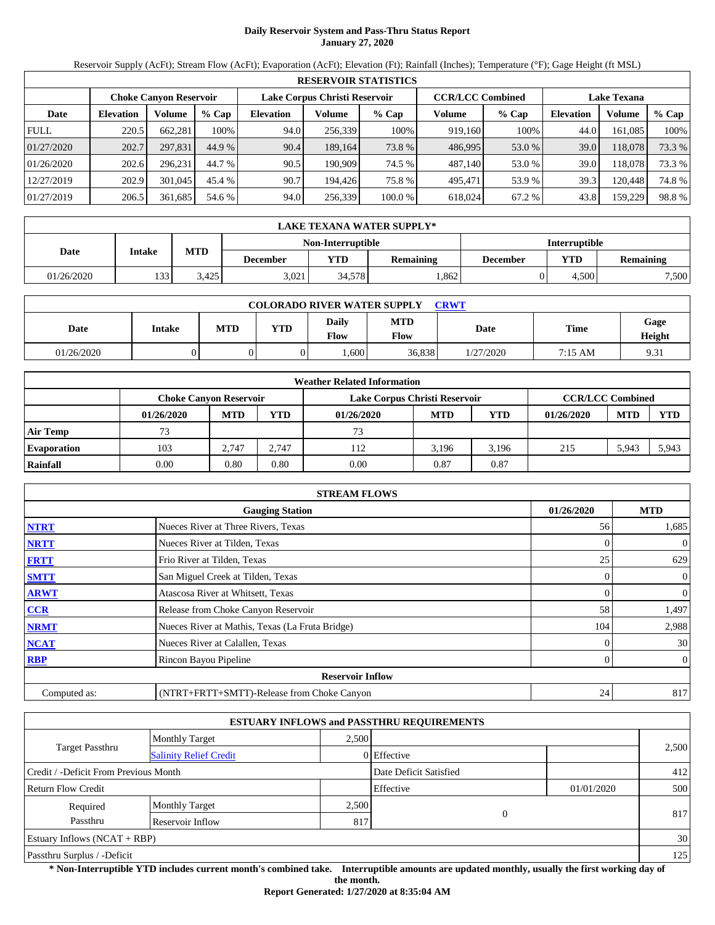# **Daily Reservoir System and Pass-Thru Status Report January 27, 2020**

Reservoir Supply (AcFt); Stream Flow (AcFt); Evaporation (AcFt); Elevation (Ft); Rainfall (Inches); Temperature (°F); Gage Height (ft MSL)

|             | <b>RESERVOIR STATISTICS</b> |                               |         |                  |                               |         |                         |         |                    |         |        |  |
|-------------|-----------------------------|-------------------------------|---------|------------------|-------------------------------|---------|-------------------------|---------|--------------------|---------|--------|--|
|             |                             | <b>Choke Canyon Reservoir</b> |         |                  | Lake Corpus Christi Reservoir |         | <b>CCR/LCC Combined</b> |         | <b>Lake Texana</b> |         |        |  |
| Date        | <b>Elevation</b>            | Volume                        | $%$ Cap | <b>Elevation</b> | Volume                        | % Cap   | Volume                  | $%$ Cap | <b>Elevation</b>   | Volume  | % Cap  |  |
| <b>FULL</b> | 220.5                       | 662.281                       | 100%    | 94.0             | 256.339                       | 100%    | 919.160                 | 100%    | 44.0               | 161.085 | 100%   |  |
| 01/27/2020  | 202.7                       | 297,831                       | 44.9 %  | 90.4             | 189.164                       | 73.8 %  | 486,995                 | 53.0 %  | 39.0               | 118.078 | 73.3 % |  |
| 01/26/2020  | 202.6                       | 296.231                       | 44.7 %  | 90.5             | 190.909                       | 74.5 %  | 487.140                 | 53.0 %  | 39.0               | 118.078 | 73.3 % |  |
| 12/27/2019  | 202.9                       | 301,045                       | 45.4 %  | 90.7             | 194.426                       | 75.8 %  | 495.471                 | 53.9 %  | 39.3               | 120.448 | 74.8%  |  |
| 01/27/2019  | 206.5                       | 361,685                       | 54.6 %  | 94.0             | 256,339                       | 100.0 % | 618.024                 | 67.2 %  | 43.8               | 159,229 | 98.8%  |  |

|            | LAKE TEXANA WATER SUPPLY* |            |                 |        |                  |          |                         |       |  |  |  |
|------------|---------------------------|------------|-----------------|--------|------------------|----------|-------------------------|-------|--|--|--|
|            | <b>Interruptible</b>      |            |                 |        |                  |          |                         |       |  |  |  |
| Date       | Intake                    | <b>MTD</b> | <b>December</b> | VTD-   | <b>Remaining</b> | December | YTD<br><b>Remaining</b> |       |  |  |  |
| 01/26/2020 | 133                       | 3.425      | 3,021           | 34,578 | .862             |          | 4.500                   | 7,500 |  |  |  |

| <b>COLORADO RIVER WATER SUPPLY</b><br><b>CRWT</b> |        |     |            |                        |                           |             |         |                        |  |  |
|---------------------------------------------------|--------|-----|------------|------------------------|---------------------------|-------------|---------|------------------------|--|--|
| Date                                              | Intake | MTD | <b>VTD</b> | Daily<br>$F_{\rm low}$ | <b>MTD</b><br><b>Flow</b> | <b>Date</b> | Time    | Gage<br>Height         |  |  |
| 01/26/2020                                        |        |     |            | $.600 -$               | 36.838                    | 1/27/2020   | 7:15 AM | Q <sub>2</sub><br>7.JI |  |  |

|                    |                               |            |            | <b>Weather Related Information</b> |            |       |                         |            |            |
|--------------------|-------------------------------|------------|------------|------------------------------------|------------|-------|-------------------------|------------|------------|
|                    | <b>Choke Canyon Reservoir</b> |            |            | Lake Corpus Christi Reservoir      |            |       | <b>CCR/LCC Combined</b> |            |            |
|                    | 01/26/2020                    | <b>MTD</b> | <b>YTD</b> | 01/26/2020                         | <b>MTD</b> | YTD   | 01/26/2020              | <b>MTD</b> | <b>YTD</b> |
| <b>Air Temp</b>    |                               |            |            | 73                                 |            |       |                         |            |            |
| <b>Evaporation</b> | 103                           | 2.747      | 2.747      | 112                                | 3.196      | 3.196 | 215                     | 5,943      | 5,943      |
| Rainfall           | 0.00                          | 0.80       | $_{0.80}$  | $0.00\,$                           | 0.87       | 0.87  |                         |            |            |

|              | <b>STREAM FLOWS</b>                             |            |                |
|--------------|-------------------------------------------------|------------|----------------|
|              | <b>Gauging Station</b>                          | 01/26/2020 | <b>MTD</b>     |
| <b>NTRT</b>  | Nueces River at Three Rivers, Texas             | 56         | 1,685          |
| <b>NRTT</b>  | Nueces River at Tilden, Texas                   |            | $\overline{0}$ |
| <b>FRTT</b>  | Frio River at Tilden, Texas                     | 25         | 629            |
| <b>SMTT</b>  | San Miguel Creek at Tilden, Texas               | 0          | $\overline{0}$ |
| <b>ARWT</b>  | Atascosa River at Whitsett, Texas               |            | $\mathbf{0}$   |
| <b>CCR</b>   | Release from Choke Canyon Reservoir             | 58         | 1,497          |
| <b>NRMT</b>  | Nueces River at Mathis, Texas (La Fruta Bridge) | 104        | 2,988          |
| <b>NCAT</b>  | Nueces River at Calallen, Texas                 |            | 30             |
| <b>RBP</b>   | Rincon Bayou Pipeline                           | 0          | $\overline{0}$ |
|              | <b>Reservoir Inflow</b>                         |            |                |
| Computed as: | (NTRT+FRTT+SMTT)-Release from Choke Canyon      | 24         | 817            |

|                                       |                               |       | <b>ESTUARY INFLOWS and PASSTHRU REQUIREMENTS</b> |            |       |
|---------------------------------------|-------------------------------|-------|--------------------------------------------------|------------|-------|
|                                       | <b>Monthly Target</b>         | 2.500 |                                                  |            |       |
| <b>Target Passthru</b>                | <b>Salinity Relief Credit</b> |       | 0 Effective                                      |            | 2,500 |
| Credit / -Deficit From Previous Month |                               |       | Date Deficit Satisfied                           |            | 412   |
| <b>Return Flow Credit</b>             |                               |       | Effective                                        | 01/01/2020 | 500   |
| Required                              | <b>Monthly Target</b>         | 2,500 |                                                  |            |       |
| Passthru                              | Reservoir Inflow              | 817   | $\theta$                                         |            | 817   |
| Estuary Inflows $(NCAT + RBP)$        |                               |       |                                                  |            | 30    |
| Passthru Surplus / -Deficit           |                               |       |                                                  |            | 125   |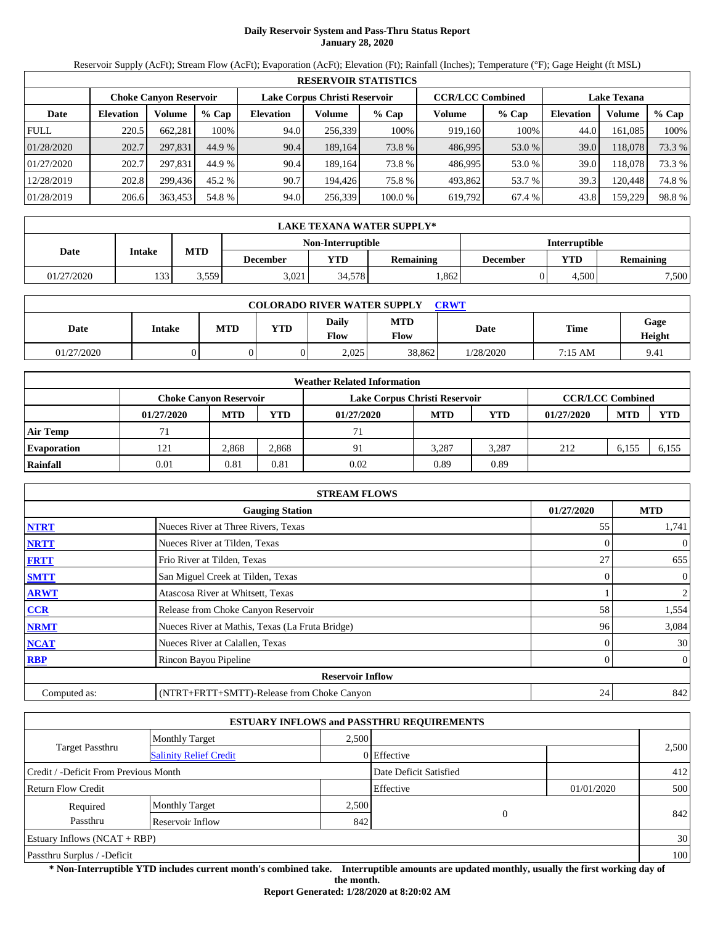# **Daily Reservoir System and Pass-Thru Status Report January 28, 2020**

Reservoir Supply (AcFt); Stream Flow (AcFt); Evaporation (AcFt); Elevation (Ft); Rainfall (Inches); Temperature (°F); Gage Height (ft MSL)

|             | <b>RESERVOIR STATISTICS</b> |                               |         |                  |                               |         |                         |         |                    |         |        |  |
|-------------|-----------------------------|-------------------------------|---------|------------------|-------------------------------|---------|-------------------------|---------|--------------------|---------|--------|--|
|             |                             | <b>Choke Canyon Reservoir</b> |         |                  | Lake Corpus Christi Reservoir |         | <b>CCR/LCC Combined</b> |         | <b>Lake Texana</b> |         |        |  |
| Date        | <b>Elevation</b>            | Volume                        | $%$ Cap | <b>Elevation</b> | Volume                        | $%$ Cap | Volume                  | $%$ Cap | <b>Elevation</b>   | Volume  | % Cap  |  |
| <b>FULL</b> | 220.5                       | 662.281                       | 100%    | 94.0             | 256,339                       | 100%    | 919,160                 | 100%    | 44.0               | 161.085 | 100%   |  |
| 01/28/2020  | 202.7                       | 297,831                       | 44.9 %  | 90.4             | 189,164                       | 73.8 %  | 486,995                 | 53.0 %  | 39.0               | 118,078 | 73.3 % |  |
| 01/27/2020  | 202.7                       | 297.831                       | 44.9 %  | 90.4             | 189.164                       | 73.8 %  | 486.995                 | 53.0 %  | 39.0               | 118.078 | 73.3 % |  |
| 12/28/2019  | 202.8                       | 299.436                       | 45.2 %  | 90.7             | 194.426                       | 75.8 %  | 493.862                 | 53.7 %  | 39.3               | 120.448 | 74.8%  |  |
| 01/28/2019  | 206.6                       | 363,453                       | 54.8 %  | 94.0             | 256,339                       | 100.0 % | 619,792                 | 67.4 %  | 43.8               | 159,229 | 98.8%  |  |

|            | LAKE TEXANA WATER SUPPLY* |            |                 |                      |                  |          |                         |       |  |  |  |
|------------|---------------------------|------------|-----------------|----------------------|------------------|----------|-------------------------|-------|--|--|--|
|            |                           |            |                 | <b>Interruptible</b> |                  |          |                         |       |  |  |  |
| Date       | Intake                    | <b>MTD</b> | <b>December</b> | YTD                  | <b>Remaining</b> | December | YTD<br><b>Remaining</b> |       |  |  |  |
| 01/27/2020 | 133                       | 3,559      | 3.021           | 34.578               | .862             |          | 4.500                   | 7,500 |  |  |  |

| <b>COLORADO RIVER WATER SUPPLY</b><br>CRWT |        |     |            |                      |             |           |             |                |  |  |
|--------------------------------------------|--------|-----|------------|----------------------|-------------|-----------|-------------|----------------|--|--|
| Date                                       | Intake | MTD | <b>YTD</b> | Daily<br><b>Flow</b> | MTD<br>Flow | Date      | <b>Time</b> | Gage<br>Height |  |  |
| 01/27/2020                                 |        |     |            | 2,025                | 38,862      | 1/28/2020 | 7:15 AM     | 9.41           |  |  |

|                    |                               |            |            | <b>Weather Related Information</b> |            |            |                         |            |            |
|--------------------|-------------------------------|------------|------------|------------------------------------|------------|------------|-------------------------|------------|------------|
|                    | <b>Choke Canvon Reservoir</b> |            |            | Lake Corpus Christi Reservoir      |            |            | <b>CCR/LCC Combined</b> |            |            |
|                    | 01/27/2020                    | <b>MTD</b> | <b>YTD</b> | 01/27/2020                         | <b>MTD</b> | <b>YTD</b> | 01/27/2020              | <b>MTD</b> | <b>YTD</b> |
| <b>Air Temp</b>    |                               |            |            | 71                                 |            |            |                         |            |            |
| <b>Evaporation</b> | 121                           | 2.868      | 2,868      | 91                                 | 3.287      | 3.287      | 212                     | 6,155      | 6.155      |
| Rainfall           | 0.01                          | 0.81       | 0.81       | 0.02                               | 0.89       | 0.89       |                         |            |            |

|              | <b>STREAM FLOWS</b>                             |                |                |
|--------------|-------------------------------------------------|----------------|----------------|
|              | <b>Gauging Station</b>                          | 01/27/2020     | <b>MTD</b>     |
| <b>NTRT</b>  | Nueces River at Three Rivers, Texas             | 55             | 1,741          |
| <b>NRTT</b>  | Nueces River at Tilden, Texas                   |                | $\mathbf{0}$   |
| <b>FRTT</b>  | Frio River at Tilden, Texas                     | 27             | 655            |
| <b>SMTT</b>  | San Miguel Creek at Tilden, Texas               | $\overline{0}$ | $\mathbf{0}$   |
| <b>ARWT</b>  | Atascosa River at Whitsett, Texas               |                | 2              |
| <b>CCR</b>   | Release from Choke Canyon Reservoir             | 58             | 1,554          |
| <b>NRMT</b>  | Nueces River at Mathis, Texas (La Fruta Bridge) | 96             | 3,084          |
| <b>NCAT</b>  | Nueces River at Calallen, Texas                 |                | 30             |
| <b>RBP</b>   | Rincon Bayou Pipeline                           | $\Omega$       | $\overline{0}$ |
|              | <b>Reservoir Inflow</b>                         |                |                |
| Computed as: | (NTRT+FRTT+SMTT)-Release from Choke Canyon      | 24             | 842            |

|                                       |                               |       | <b>ESTUARY INFLOWS and PASSTHRU REQUIREMENTS</b> |            |       |
|---------------------------------------|-------------------------------|-------|--------------------------------------------------|------------|-------|
|                                       | <b>Monthly Target</b>         | 2.500 |                                                  |            |       |
| <b>Target Passthru</b>                | <b>Salinity Relief Credit</b> |       | 0 Effective                                      |            | 2,500 |
| Credit / -Deficit From Previous Month |                               |       | Date Deficit Satisfied                           |            | 412   |
| <b>Return Flow Credit</b>             |                               |       | Effective                                        | 01/01/2020 | 500   |
| Required                              | <b>Monthly Target</b>         | 2,500 |                                                  |            |       |
| Passthru                              | Reservoir Inflow              | 842   | $\theta$                                         |            | 842   |
| Estuary Inflows $(NCAT + RBP)$        |                               |       |                                                  |            | 30    |
| Passthru Surplus / -Deficit           |                               |       |                                                  |            | 100   |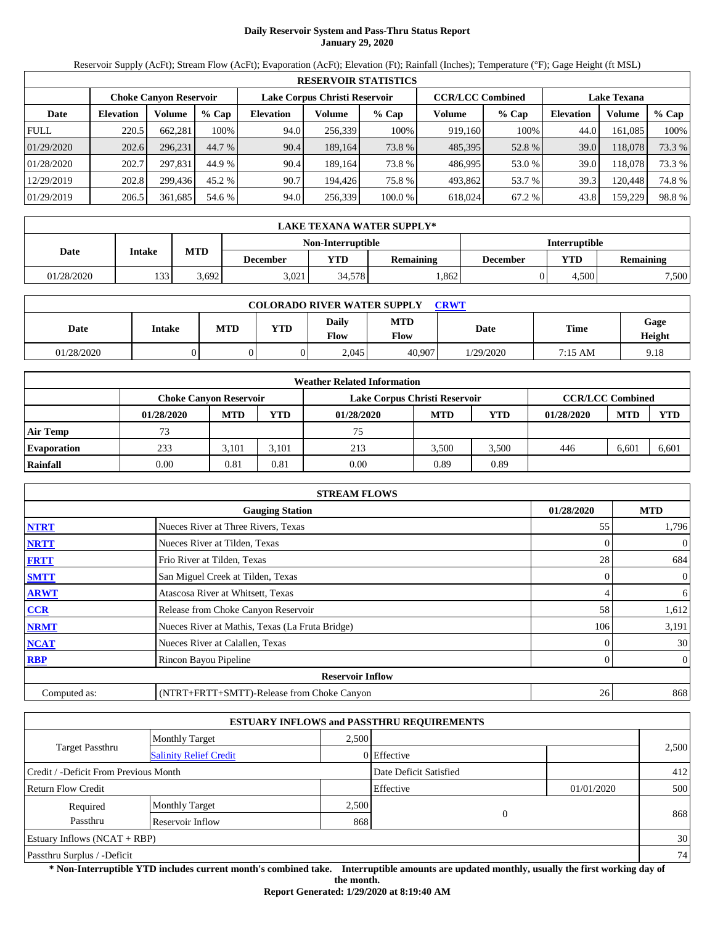# **Daily Reservoir System and Pass-Thru Status Report January 29, 2020**

Reservoir Supply (AcFt); Stream Flow (AcFt); Evaporation (AcFt); Elevation (Ft); Rainfall (Inches); Temperature (°F); Gage Height (ft MSL)

|             | <b>RESERVOIR STATISTICS</b> |                               |         |                  |                               |         |                         |         |                    |         |        |  |  |
|-------------|-----------------------------|-------------------------------|---------|------------------|-------------------------------|---------|-------------------------|---------|--------------------|---------|--------|--|--|
|             |                             | <b>Choke Canyon Reservoir</b> |         |                  | Lake Corpus Christi Reservoir |         | <b>CCR/LCC Combined</b> |         | <b>Lake Texana</b> |         |        |  |  |
| Date        | <b>Elevation</b>            | Volume                        | $%$ Cap | <b>Elevation</b> | Volume                        | $%$ Cap | Volume                  | $%$ Cap | <b>Elevation</b>   | Volume  | % Cap  |  |  |
| <b>FULL</b> | 220.5                       | 662.281                       | 100%    | 94.0             | 256,339                       | 100%    | 919,160                 | 100%    | 44.0               | 161.085 | 100%   |  |  |
| 01/29/2020  | 202.6                       | 296.231                       | 44.7 %  | 90.4             | 189,164                       | 73.8 %  | 485,395                 | 52.8%   | 39.0               | 118,078 | 73.3 % |  |  |
| 01/28/2020  | 202.7                       | 297.831                       | 44.9 %  | 90.4             | 189.164                       | 73.8 %  | 486.995                 | 53.0 %  | 39.0               | 118.078 | 73.3 % |  |  |
| 12/29/2019  | 202.8                       | 299.436                       | 45.2 %  | 90.7             | 194.426                       | 75.8 %  | 493.862                 | 53.7 %  | 39.3               | 120.448 | 74.8%  |  |  |
| 01/29/2019  | 206.5                       | 361,685                       | 54.6 %  | 94.0             | 256,339                       | 100.0 % | 618,024                 | 67.2 %  | 43.8               | 159,229 | 98.8%  |  |  |

|            | LAKE TEXANA WATER SUPPLY* |            |                 |                          |           |          |                      |                  |  |  |  |
|------------|---------------------------|------------|-----------------|--------------------------|-----------|----------|----------------------|------------------|--|--|--|
|            |                           |            |                 | <b>Non-Interruptible</b> |           |          | <b>Interruptible</b> |                  |  |  |  |
| Date       | Intake                    | <b>MTD</b> | <b>December</b> | YTD                      | Remaining | December | YTD                  | <b>Remaining</b> |  |  |  |
| 01/28/2020 | 133                       | 3,692      | 3.021           | 34.578                   | .862      |          | 4.500                | 7,500            |  |  |  |

| <b>COLORADO RIVER WATER SUPPLY</b><br><b>CRWT</b> |        |            |            |                             |                    |           |         |                |  |  |  |
|---------------------------------------------------|--------|------------|------------|-----------------------------|--------------------|-----------|---------|----------------|--|--|--|
| Date                                              | Intake | <b>MTD</b> | <b>YTD</b> | <b>Daily</b><br><b>Flow</b> | <b>MTD</b><br>Flow | Date      | Time    | Gage<br>Height |  |  |  |
| 01/28/2020                                        |        |            |            | 2.045                       | 40,907             | 1/29/2020 | 7:15 AM | 9.18           |  |  |  |

|                    | <b>Weather Related Information</b> |                                                                                           |            |            |            |            |            |            |            |  |  |
|--------------------|------------------------------------|-------------------------------------------------------------------------------------------|------------|------------|------------|------------|------------|------------|------------|--|--|
|                    |                                    | <b>CCR/LCC Combined</b><br>Lake Corpus Christi Reservoir<br><b>Choke Canvon Reservoir</b> |            |            |            |            |            |            |            |  |  |
|                    | 01/28/2020                         | <b>MTD</b>                                                                                | <b>YTD</b> | 01/28/2020 | <b>MTD</b> | <b>YTD</b> | 01/28/2020 | <b>MTD</b> | <b>YTD</b> |  |  |
| <b>Air Temp</b>    |                                    |                                                                                           |            | 75         |            |            |            |            |            |  |  |
| <b>Evaporation</b> | 233                                | 3.101                                                                                     | 3.101      | 213        | 3.500      | 3.500      | 446        | 6.601      | 6,601      |  |  |
| Rainfall           | 0.00                               | 0.81                                                                                      | 0.81       | 0.00       | 0.89       | 0.89       |            |            |            |  |  |

|              | <b>STREAM FLOWS</b>                             |                |                |
|--------------|-------------------------------------------------|----------------|----------------|
|              | <b>Gauging Station</b>                          | 01/28/2020     | <b>MTD</b>     |
| <b>NTRT</b>  | Nueces River at Three Rivers, Texas             | 55             | 1,796          |
| <b>NRTT</b>  | Nueces River at Tilden, Texas                   |                | $\mathbf{0}$   |
| <b>FRTT</b>  | Frio River at Tilden, Texas                     | 28             | 684            |
| <b>SMTT</b>  | San Miguel Creek at Tilden, Texas               | $\overline{0}$ | $\overline{0}$ |
| <b>ARWT</b>  | Atascosa River at Whitsett, Texas               | 4              | 6              |
| <b>CCR</b>   | Release from Choke Canyon Reservoir             | 58             | 1,612          |
| <b>NRMT</b>  | Nueces River at Mathis, Texas (La Fruta Bridge) | 106            | 3,191          |
| <b>NCAT</b>  | Nueces River at Calallen, Texas                 |                | 30             |
| <b>RBP</b>   | Rincon Bayou Pipeline                           | $\Omega$       | $\overline{0}$ |
|              | <b>Reservoir Inflow</b>                         |                |                |
| Computed as: | (NTRT+FRTT+SMTT)-Release from Choke Canyon      | 26             | 868            |

|                                       |                               |       | <b>ESTUARY INFLOWS and PASSTHRU REQUIREMENTS</b> |            |       |
|---------------------------------------|-------------------------------|-------|--------------------------------------------------|------------|-------|
|                                       | <b>Monthly Target</b>         | 2.500 |                                                  |            |       |
| <b>Target Passthru</b>                | <b>Salinity Relief Credit</b> |       | 0 Effective                                      |            | 2,500 |
| Credit / -Deficit From Previous Month |                               |       | Date Deficit Satisfied                           |            | 412   |
| <b>Return Flow Credit</b>             |                               |       | Effective                                        | 01/01/2020 | 500   |
| Required                              | <b>Monthly Target</b>         | 2,500 |                                                  |            |       |
| Passthru                              | Reservoir Inflow              | 868   | $\theta$                                         |            | 868   |
| Estuary Inflows $(NCAT + RBP)$        |                               |       |                                                  |            | 30    |
| Passthru Surplus / -Deficit           |                               |       |                                                  |            | 74    |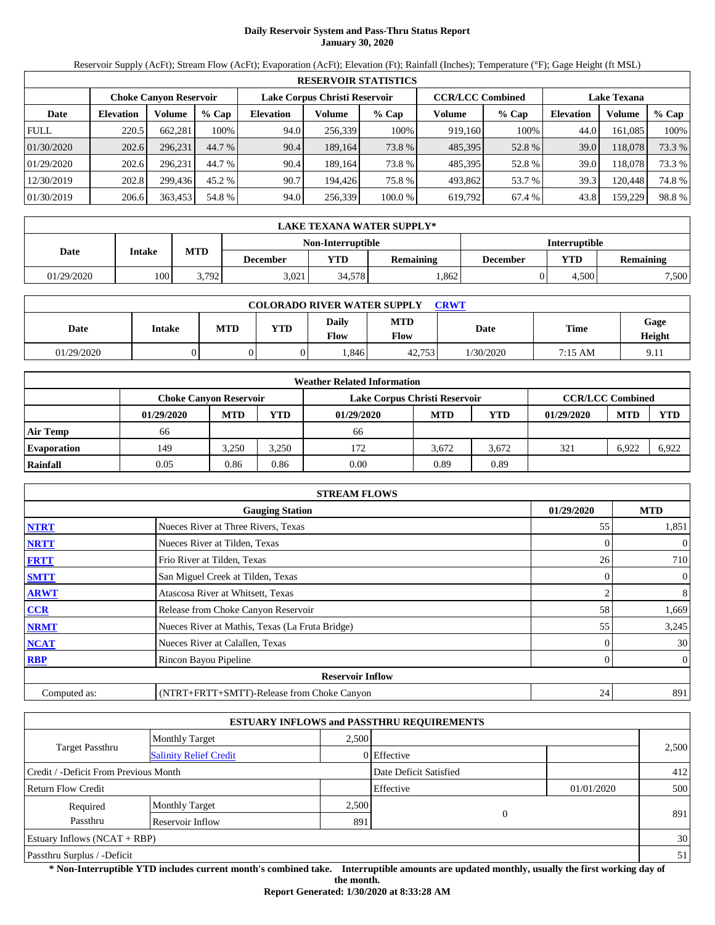# **Daily Reservoir System and Pass-Thru Status Report January 30, 2020**

Reservoir Supply (AcFt); Stream Flow (AcFt); Evaporation (AcFt); Elevation (Ft); Rainfall (Inches); Temperature (°F); Gage Height (ft MSL)

|             | <b>RESERVOIR STATISTICS</b> |                               |         |                  |                               |         |                         |         |                    |         |        |  |  |
|-------------|-----------------------------|-------------------------------|---------|------------------|-------------------------------|---------|-------------------------|---------|--------------------|---------|--------|--|--|
|             |                             | <b>Choke Canvon Reservoir</b> |         |                  | Lake Corpus Christi Reservoir |         | <b>CCR/LCC Combined</b> |         | <b>Lake Texana</b> |         |        |  |  |
| Date        | <b>Elevation</b>            | Volume                        | $%$ Cap | <b>Elevation</b> | Volume                        | $%$ Cap | Volume                  | $%$ Cap | <b>Elevation</b>   | Volume  | % Cap  |  |  |
| <b>FULL</b> | 220.5                       | 662,281                       | 100%    | 94.0             | 256,339                       | 100%    | 919,160                 | 100%    | 44.0               | 161,085 | 100%   |  |  |
| 01/30/2020  | 202.6                       | 296.231                       | 44.7 %  | 90.4             | 189.164                       | 73.8 %  | 485,395                 | 52.8%   | 39.0               | 118,078 | 73.3 % |  |  |
| 01/29/2020  | 202.6                       | 296.231                       | 44.7 %  | 90.4             | 189.164                       | 73.8 %  | 485,395                 | 52.8%   | 39.0               | 118.078 | 73.3 % |  |  |
| 12/30/2019  | 202.8                       | 299,436                       | 45.2 %  | 90.7             | 194.426                       | 75.8 %  | 493,862                 | 53.7 %  | 39.3               | 120,448 | 74.8%  |  |  |
| 01/30/2019  | 206.6                       | 363,453                       | 54.8 %  | 94.0             | 256,339                       | 100.0%  | 619,792                 | 67.4 %  | 43.8               | 159,229 | 98.8%  |  |  |

|            | LAKE TEXANA WATER SUPPLY* |            |                 |                          |                  |          |                      |                  |  |  |  |
|------------|---------------------------|------------|-----------------|--------------------------|------------------|----------|----------------------|------------------|--|--|--|
|            |                           |            |                 | <b>Non-Interruptible</b> |                  |          | <b>Interruptible</b> |                  |  |  |  |
| Date       | Intake                    | <b>MTD</b> | <b>December</b> | YTD                      | <b>Remaining</b> | December | YTD                  | <b>Remaining</b> |  |  |  |
| 01/29/2020 | 100 <sup> </sup>          | 3.792      | 3.021           | 34.578                   | .862             |          | 4.500                | 7,500            |  |  |  |

| <b>COLORADO RIVER WATER SUPPLY</b><br><b>CRWT</b> |        |     |            |                        |                           |             |         |                          |  |  |
|---------------------------------------------------|--------|-----|------------|------------------------|---------------------------|-------------|---------|--------------------------|--|--|
| Date                                              | Intake | MTD | <b>YTD</b> | Daily<br>$F_{\rm low}$ | <b>MTD</b><br><b>Flow</b> | <b>Date</b> | Time    | Gage<br>Height           |  |  |
| 01/29/2020                                        |        |     |            | .846                   | 42.753                    | 1/30/2020   | 7:15 AM | Q <sub>1</sub><br>7. I I |  |  |

|                    | <b>Weather Related Information</b> |                                                                                           |       |            |            |       |            |            |            |  |  |
|--------------------|------------------------------------|-------------------------------------------------------------------------------------------|-------|------------|------------|-------|------------|------------|------------|--|--|
|                    |                                    | <b>CCR/LCC Combined</b><br>Lake Corpus Christi Reservoir<br><b>Choke Canvon Reservoir</b> |       |            |            |       |            |            |            |  |  |
|                    | 01/29/2020                         | <b>MTD</b>                                                                                | YTD   | 01/29/2020 | <b>MTD</b> | YTD   | 01/29/2020 | <b>MTD</b> | <b>YTD</b> |  |  |
| <b>Air Temp</b>    | 66                                 |                                                                                           |       | 66         |            |       |            |            |            |  |  |
| <b>Evaporation</b> | 149                                | 3.250                                                                                     | 3,250 | 172        | 3.672      | 3.672 | 321        | 6.922      | 6.922      |  |  |
| Rainfall           | 0.05                               | 0.86                                                                                      | 0.86  | 0.00       | 0.89       | 0.89  |            |            |            |  |  |

|              | <b>STREAM FLOWS</b>                             |            |                |
|--------------|-------------------------------------------------|------------|----------------|
|              | <b>Gauging Station</b>                          | 01/29/2020 | <b>MTD</b>     |
| <b>NTRT</b>  | Nueces River at Three Rivers, Texas             | 55         | 1,851          |
| <b>NRTT</b>  | Nueces River at Tilden, Texas                   |            | $\overline{0}$ |
| <b>FRTT</b>  | Frio River at Tilden, Texas                     | 26         | 710            |
| <b>SMTT</b>  | San Miguel Creek at Tilden, Texas               | $\Omega$   | $\overline{0}$ |
| <b>ARWT</b>  | Atascosa River at Whitsett, Texas               |            | 8              |
| <b>CCR</b>   | Release from Choke Canyon Reservoir             | 58         | 1,669          |
| <b>NRMT</b>  | Nueces River at Mathis, Texas (La Fruta Bridge) | 55         | 3,245          |
| <b>NCAT</b>  | Nueces River at Calallen, Texas                 |            | 30             |
| <b>RBP</b>   | Rincon Bayou Pipeline                           | 0          | $\overline{0}$ |
|              | <b>Reservoir Inflow</b>                         |            |                |
| Computed as: | (NTRT+FRTT+SMTT)-Release from Choke Canyon      | 24         | 891            |

|                                       |                               |       | <b>ESTUARY INFLOWS and PASSTHRU REQUIREMENTS</b> |            |       |
|---------------------------------------|-------------------------------|-------|--------------------------------------------------|------------|-------|
|                                       | <b>Monthly Target</b>         | 2.500 |                                                  |            |       |
| <b>Target Passthru</b>                | <b>Salinity Relief Credit</b> |       | 0 Effective                                      |            | 2,500 |
| Credit / -Deficit From Previous Month |                               |       | Date Deficit Satisfied                           |            | 412   |
| <b>Return Flow Credit</b>             |                               |       | Effective                                        | 01/01/2020 | 500   |
| Required                              | <b>Monthly Target</b>         | 2,500 |                                                  |            |       |
| Passthru                              | Reservoir Inflow              | 891   | 0                                                |            | 891   |
| Estuary Inflows $(NCAT + RBP)$        |                               |       |                                                  |            | 30    |
| Passthru Surplus / -Deficit           |                               |       |                                                  |            | 51    |